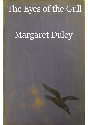## The Eyes of the Gull

# **Margaret Duley**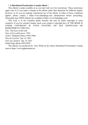#### **\* A Distributed Proofreaders Canada eBook \***

This eBook is made available at no cost and with very few restrictions. These restrictions apply only if (1) you make a change in the eBook (other than alteration for different display devices), or (2) you are making commercial use of the eBook. If either of these conditions applies, please contact a https://www.fadedpage.com administrator before proceeding. Thousands more FREE eBooks are available at https://www.fadedpage.com.

This work is in the Canadian public domain, but may be under copyright in some countries. If you live outside Canada, check your country's copyright laws. IF THE BOOK IS UNDER COPYRIGHT IN YOUR COUNTRY, DO NOT DOWNLOAD OR REDISTRIBUTE THIS FILE.

*Title:* The Eyes of the Gull

*Date of first publication:* 1936

*Author:* Margaret Duley (1894-1968)

*Date first posted:* Apr. 14, 2021

*Date last updated:* Apr. 14, 2021

Faded Page eBook #20210438

This eBook was produced by: Alex White & the online Distributed Proofreaders Canada team at https://www.pgdpcanada.net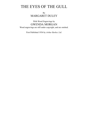### THE EYES OF THE GULL

By MARGARET DULEY

With Wood Engravings by GWENDA MORGAN Wood engravings are still under copyright, and are omitted.

First Published 1936 by *Arthur Barker, Ltd.*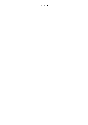To Paolo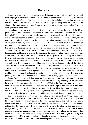#### Chapter One

Isabel Pyke sat on a rock and looked towards the narrow bay. But for brief intervals and recurring days of incredible weather she had seen the same stretch of sea and sky for twenty years. At the age of ten she had begun to grope her way towards her individual dream, and to make the rock on the bare headland her lonely sanctuary: the one place where she could be alone in the stark outport of painted houses, straggling at haphazard spots and angles, on a zigzag road and many lanes.

A solitary house, on a foundation of granite stones, stood on the edge of the bleak promontory. It was a shunned object to the fisherfolk and a dread tale to decades of children. But Isabel Pyke had never heard the pick and hammer associated with it by ghoulish legend, and the only sounds that ever fell on her ears were the mutations of the wind and the guttural notes of the gulls. The only things she ever dreaded in her sanctuary were the ferocious eyes of the gulls! When they hovered low to the Head, she looked towards the horizon for fear of meeting their cold glittering gaze. Should she find herself staring into a pair of yellow eyes, her dream was dispelled for the day. They held the spirit of Helluland: savage, bitter, and chill.

Isabel Pyke had been in spiritual rebellion to Newfoundland all her life. She called it by the name she had learned at school: 'Helluland, or the Land of Naked Rocks.' Ever since she could look at picture books she had wanted to go to Spain: to Southern Spain: Cordova, Seville, and Granada. Andalusia! The word syllabicated on her lips with the smooth sensuousness of Uncle Seth's port wine on Christmas Day. (He had a row of dusty bottles on a shelf, along with red sealed crocks of Guava Jelly, and fresher looking bottles of Bay Rum.) When the old wine had slipped over her palate and eased into her blood, she could voicelessly whisper, 'Andalusia, Andalusia,' while her outward consciousness repelled the grating dominance of her mother's voice laying down the law to Aunt Dorcas and Uncle Seth. But she could mouth it sensuously to herself when sitting on her special rock, and inwardly change the granite garb of her own headlands to a soft bloom of olive, orange, palm, and pomegranate.

Isabel Pyke's hour of isolation was over. She knew by the position of the sun that it was time to put on the kettle for tea. Her Mother was daily sustained by three large meals and three large snacks; the one snack she prepared for herself being the four-thirty one, when Isabel took her walk on the promontory. She had seen her Mother's square body reel on its feet once or twice with 'a dizzy spell', and Isabel had murmured something about sending up the shore for the doctor. The strong figure had straightened and the dominant voice had grated, 'nonsense girl, make me a cup of tea,' thus adding another snack, between a snack and a meal.

Isabel Pyke rose to her feet and the wind lashed her blue cotton dress strongly behind her body, leaving it stark in outline. Her hair blew back tautly from the hair-line, and she stood like a figure-head over a ship's cutwater. Her hair was light brown and badly cut, her cheek bones Slavic in shape under wide eyes, the colour of clear water: the lashes were black against golden skin. She turned away from the sea, and the wind dishevelled her hair and dress to savage disarray. For a moment she faced the house with its dusty windows and stopped abruptly in shocked amazement. A sombrely dressed man was walking up the steps to the faded front door! Who could be entering the Head House? Her feet stayed rooted by the unexpected sight. Many times since her childhood she had run up the crumbling steps to look in the filmy windows, but old furniture stood changeless in increasing dust. Only the yellow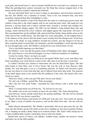eyed gulls and herself knew it, and no human footfall but her own had ever ventured so far. When the partridge-berry pickers swarmed over the Head they always stopped short of the house and the berries around it ripened and withered.

The sun told Isabel there was no time to linger in speculation, and movement returned to her feet. Her Mother was a martinet of routine. Time to her was stomach time, and more accurately registered than their Grandfather's clock.

Isabel trod the trackless scrub of the Head until she came to a rutted grass grown road, and walked a long mile to the small outport with its one road and many lanes. She made her way between a curving beach and a narrow railroad track, towards a crooked lane holding five houses at different oblique angles. The fifth was her Mother's lying behind thick lilac and syringa, which obscured the lower windows and tapped against the clap-board. The buzz of flies accompanied her up the pebbled walk, and myriad blue-bottles shone darkly azure on the white front of the wooden house. The July light was warm and golden. As she stepped from it to the dimness of the narrow hall she heard voices coming from the dining-room. Fresh from the wind on the Head, its snug stuffiness invaded her nostrils, and she longed to let the air blow round the plush covered table, the armchairs, and the Grandfather's clock that had ticked its way through many years. Her Mother's strong brown eyes looked from it to her.

'You're late Bella trapesing over that Head.'

Her Mother's voice was like the granite rocks of Helluland: hard, sharp, and jagged.

Her Aunt Dorcas's voice flowed benignly over her. It held the roundness of Andalusia.

'Let her be, Emily. There's no hurry my maid.'

'No hurry indeed! Just like you Dork not to eat regular! Bella, here's your Aunt Mary Ann from Lunenburg: your Aunt Dorcas's sister-in-law. She came in on the train a week back.'

As Isabel's dazzled eyes cleared to observation she saw the third black figure. She had often heard of Aunt Mary Ann in Nova Scotia. She was the wife of Aunt Dorcas's elder brother Joe, who had gone to sea in a Lunenburg schooner. As Isabel went forward to greet her she was drawn to a kiss from thin lips, lost to fullness from early false teeth. The nearness of the black figure came to her nostrils like the stuffiness of the room. She heard a flat voice raised on a query.

'Well now, Emily, is this your girl? She don't favour your family.'

'No, she's not a Wilkes,' grated Mrs. Pyke accusingly.

'She's like her own good Father,' smoothed her Aunt Dorcas, with a smile from deep brown eyes.

'Well, I've heard about you all from Joe. 'Tis real nice to see you.'

'He couldn't stay in his own country to know his own folks,' Mrs. Pyke informed her.

Aunt Dorcas's serene remark toned down the grating challenge. 'He did well for himself Emily, did Joe. He was always a good boy.'

'Maybe, Dorcas Penney, and maybe not. Bella girl, look spry now. Your Aunts are staying to tea. Open a crock of number one preserve, and cut the black fruit cake—the one with ten eggs.'

Isabel obeyed automatically. Her Mother's personality had never gone past her ear. She went into the kitchen and put the kettle on the stove standing on sail canvas painted Chinese red. A sleeping cat made a dusky lump on its crimson surface. Mrs. Pyke's dirty teacup lay on a white scrubbed table, beside a small plate, brown with rich crumbs.

Boiled ham, leaves of lettuce, red radishes, scalded cream, number one preserve, bread and butter, lay on the table together.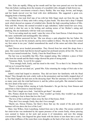Mrs. Pyke ate rapidly, filling up her mouth until her lips were pursed out over her teeth. Then she bolted, washing down the remains of a mouthful with a draught of dark brown tea.

Aunt Dorcas's movements evinced a heavy fluidity. She was large, bovine, and benign, and her hands moved over her food with slow deliberation. She suggested a great cow, dragging home a bursting udder.

Aunt Mary Ann took brief sips of tea with her little finger stuck out from the cup. She wore a black dress of shiny satin with a string of glass beads. The dress had a deep V-shaped neck which showed an expanse of wrinkled skin. Beside the high concealing bodices of Mrs. Pyke and Mrs. Penney she seemed revealed in ugly nakedness. Isabel turned her eyes away, and tried to shut her ears to the bolting and sucking noises of her Mother's eating and drinking. She ate moderately with her wide eyes unseeing.

'You're not eating much my maid,' came the voice of her Aunt Dorcas. It had always been the same: unalterable and unchangeable: like infinity.

Isabel's Mother answered for her. 'She was always a pale pilgarlick like her Father. He had to leave the sea for his stomach, and lay down sudden to illness. The day he died I cooked my first onion in ten year.' (Isabel remembered the smell of the onion and white lilac mixed together.)

Aunt Dorcas never heeded personalities. They flowed from her mind like drops from a pane. Her cousin Emily had thrown herself against her profound serenity all her life. The slow bovine eyes turned towards her, 'Emily, I hear the Head House is let.'

The fact was so incredible that Mrs. Pyke stopped eating. She withdrew a piece of fruit cake from her mouth and the black wedge showed the print of strong teeth.

'Nonsense, Dork, 'tis not fit for a pigsty.'

' 'Twas strongly built, Emily, and has stood to the wind. 'Tis so that it's let. Simeon Pyke told me as I crossed the beach.'

'All the fools are not dead yet,' grated Mrs. Pyke returning the wedge of fruit cake to her mouth.

Isabel's mind had leaped to attention. They did not know her familiarity with the Head House! They thought she took a daily walk on the promontory and inevitably stopped short of it. The black figure she had seen on the decaying steps! Was her sanctuary to be invaded? For so many years only the wind had known it, and the yellow-eyed gulls. She strained to hasten the slow detail of her aunt's voice.

'There's a foreign fellow staying at Lydia Rumsden's. He got the key from Simeon and asked him to find women to clean the house.'

Mrs. Pyke's laugh was a bark. 'And did he get them?' she asked.

Mrs. Penney shook her head slowly. 'They wouldn't go Emily, they wouldn't go, though there's nothing to fear to them that love the Lord.'

'The love of the Lord hasn't taken away the fear of that house, Dork.'

'They don't love enough, Emily, they don't love enough.'

'Maybe not, Dorcas Penney, but there's those that say the sound of the pick and the hammer will rise above the love of the Lord.'

Mary Ann Wilkes, from Lunenburg, looked from one to the other. The serene comfort of her sister-in-law was moderated by the square presence of her cousin Emily, whose piercing eyes seemed to fasten on her neck and accuse it of immodesty; and now this strange conversation! Mary Ann fingered her glass beads with the desire to turn them into a scarf. In spite of the stuffiness of the room there were draughts on the back of her neck. Her own voice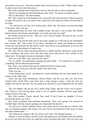came thinly to her ears. 'And why wouldn't they clean the house, Emily? Think a body would be glad to earn a few cents these days.'

Mrs. Pyke's grating scorn reduced her, and now she felt silly as well as immodest.

'Money for scraping dirt from Head House, Mary Ann! 'Tis money too dearly earned.'

'Has it a bad name?' she asked timidly.

Mrs. Pyke sucked up a last draught of tea, sweet from the moist remains of three teaspoons of sugar. She put her cup in its saucer with a final click, and wiped her mouth with the back of her hand.

' 'Tis well known you don't live in these parts, Mary Ann. The house is known the length of the shore. Sixty year ago——'

Isabel pushed back her chair with a sudden scrape. She knew it all by heart! Her Mother glared, but her Aunt Dorcas asked kindly, 'can I help you clear my maid?'

Her Mother answered for her. 'That you won't, Dorcas Penney! We had our day. Let the young wait on the old.'

Aunt Mary Ann left the table and sat nervously upright on a stiff sofa by the Nottingham lace curtains. Mrs. Pyke stayed in her place, distorting her mouth and letting her tongue cleanse the area between her lips and her teeth. Aunt Dorcas rose ponderously to her feet and her slow hands piled dishes for Isabel's tray.

Mrs. Pyke left the table and placed herself in a faded armchair facing her cousin-in-law from Lunenburg. Her brown eyes with their hairy brows discovered every wrinkle on the naked neck. The draughts became increasingly evident.

'Ain't you cold, Mary Ann, with your low dress?'

'No, no, Emily,' she said hastily, grasping the glass beads. ' 'Tis warmish of a summer in Lunenburg. Tell me about the queer house.'

Mrs. Pyke's eyes left the neck and she settled herself for a long recital.

Isabel left the room erect with the weight of the heavy tray.

'Sixty year ago——'

'Come Michaelmas, Emily,' prompted her cousin fumbling with her large hands for the creases on the white cloth.

'Sixty year ago come Michaelmas, Dorcas Penney, and the year after you were born, Captain Pyke, Josiah Pyke, came back from a long foreign voyage. I mind the time my Mother first told me the story. He was going to be married to a poor pilgarlick like my Isabel ——'

'My own Mother told me she was a pretty thing, Emily, and she wrote a bit of poetry.' Mrs. Penney's slow moving figure came to rest in another armchair with her large hands folded serenely in her lap.

Mrs. Pyke snorted. 'Poetry indeed! Pure trash! If she'd been my daughter I'd have knocked the poetry out of her.'

Mrs. Penny continued with profound detachment. 'They were going to be married on Twelfth Night.' But her cousin's grating voice demanded the narrative.

'The girl was a Tucker: Elfrieda Tucker, and a poor sawney crowd the lot of them! This one was keeping company with Josiah a two year, but for ten month he'd been away in China and other heathen parts——'

'The Chinese are coming to the way of the Lord, Emily. The foreign missions——'

'Maybe so, Dorcas Penney, not that I hold with going out to the heathen when the heathen are at our own front door, but a lot could have been converted since then. This was sixty year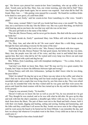ago.' Her brown eyes pierced her cousin-in-law from Lunenburg, who sat up stiffer in her chair. 'Josiah came up the Bay, Mary Ann, one winter morning, and what did he find?' Mary Ann fingered her glass beads again, but no answer was required. 'And what did he find? He found, Mary Ann——' (the grating voice paused for a second). 'He found his worthless brideto-be dead in a new grave, of a still-born child.'

'Ain't that sad, Emily,' said her cousin-in-law from Lunenburg in a flat voice. 'Josiah's child?'

'Have sense, woman! Didn't I just tell you Josiah had been away a ten month? No, Mary Ann, not a soul knows to this day who the fellow was. She was a poor thin thing, not built for child bearing, and no one knew she was that way until she was on her time.'

'The poor girl held on to the name of the father.'

'That she did, Dorcas Penney, and he never got his deserts. She died with the secret locked up inside her.'

'What did Josiah do, Emily?' questioned Mary Ann Wilkes still with her hands on her glass beads.

'Do, Mary Ann, and what did he do? He went rearin' about like a wild thing: running through the lanes and asking everyone for the name of the man.'

'And taking the name of the Lord in vain.' Mrs. Penney's head shook with slow regret.

'And what if he did, Dorcas Penney? He had good reason, but before the day was done, Mary Ann, the people were fair sick of his voice, and they went in and bolted their doors against him. But what did he do? He waited until every lamp was blown out and crept into the graveyard with a pick and dug her up.'

Mrs. Wilkes, from Lunenburg, said with triumphant intelligence. ' 'Tis a crime, Emily, to desecrate a grave.'

'And don't you think we know that, Mary Ann? We may not live in a great country like Canada, but I hope we know the difference between right and wrong?'

Dorcas Penney said with slow forbearance, 'perhaps he didn't know what he was doing, the poor fellow.'

'Didn't he indeed? He dug her up to see if there was any token in her coffin: and when he didn't find one he shook the dead thing until her head cracked against the ice. 'Twas a white moonlight night, and a couple that was living close by, saw him clear as day. They were afraid to go out; he sounded that wild, but they waited until he was gone and then went across the graves and found the dead creature with her face turned up to the sky and her shoulders froze to the ground.'

'I hope he was arrested, Emily. 'Tis horrible.'

'Haven't I told you we know the law as well as you do? Yes, he was arrested BUT he got off. They thought he was cracked, and so he was with what he did after. He gave up his ship and took with him the ship's carpenter, a dreadful ugly fellow with one eye. He was a Covey duck from down the Shore. The pair of them went out to the Head and built a house: built it with their own hands, digging and hauling, cutting and sawing, beating and hammering, and the folks said they could hear it all across the Bay. Josiah was never seen in the village again until he went across the beach to be buried not far from Elfrieda. I can remember the day, and how we always hid whenever Coveyduck went to the Store. Every child ran as fast as its legs could carry it.'

'What happened to him when Josiah died?'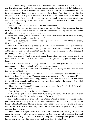'Now you're asking. No one ever knew. He came to the store once after Josiah's funeral, and then a long time went by. They thought he must be starved so Simeon Pyke's father (who was the nearest kin to Josiah) walked out to see what ailed him. He found the house neat and tidy, but shockin' bare, and never a sign of Coveyduck. From that day to this, his disappearance is just as great a mystery as the name of the fellow who got Elfrieda into trouble. Some say Josiah called Coveyduck away, others think he wandered down the Shore, and there's them that say he fell over the Head and drowned natural like, but the tide never washed up his body.'

'But that doesn't explain the sound of the pick and hammer.'

' 'Tis said the haunt on the house comes from the rage that Josiah hammered into the walls, and when the wind is low, the echo of it still comes across the Bay, and the sound of the pick digging on hard ground begins in the graveyard.'

Mary Ann Wilkes gave a flat Nova Scotian laugh. 'You're too cut off from the world, Emily. That's why you cling to stories like that.'

Mrs. Pyke's eyes found the wrinkled neck again. 'And I suppose Lunenburg is London, New York, and Paris?'

Dorcas Penney flowed on like smooth oil. 'Emily, I think like Mary Ann. 'Tis an unnatural tale we've built up ourselves, and its wrong to pass it on to every lot of children. If we walked out to the house like we walk across the beach the story would soon die away. But,' she sighed profoundly, 'it's a long walk and the wind is strong.'

Mrs. Pyke snorted. 'Wind or no wind, Dorcas Penney, there's no one stoppin' you if you want to take that walk. 'Tis like you indeed to wait till you can only get the length of the beach.'

Mary Ann Wilkes from Lunenburg released her hold on her glass beads and said with nervous decision, 'don't you think we'd better be going, Dorcas?'

'You're right, Mary Ann. Seth will be wondering what's keeping us, and you'll be busy the week visitin' the folks.'

'Nonsense, Dork. Sit right down, Mary Ann, and stop a bit longer. I want to hear which of the folks is doing things for you. You must come to tea proper when I'm more prepared.'

'Thank you,' she murmured nasally, looking towards her sister-in-law. But her heavy figure still rested serenely, and her brown eyes gazed back kindly at the expanse of wrinkled neck. Mary Ann sat down again.

'That's right now. You couldn't go anyway without a cup of tea. Bella!' Mrs. Pyke's voice was raised on a loud note, 'Bella!'

'Yes, Mother,' came quietly through the thin partition.

'Bella, make a pot of tea th' once. Your Aunts are goin' early. I must say you're mighty slow with your dishes. Think you had to wash up for a regiment.'

Isabel had lingered in the crimson-floored kitchen. When her dishes were washed and the place tidied away she had gone to the back door and watched the sea dim to grey, and the old house on the Head become blurred in outline. She wondered what she would find to-morrow. Her Mother's voice reached her easily in the back yard and she took quick long steps to the crimson-floored kitchen.

When Isabel had steeped the sixth and final brew of tea she was free to go to her room under the slanting roof. She closed the door and her body relaxed with a soft sigh. The wind blew in from the Bay and brought a smell of drying fish. The honeycomb spread and white lace curtains were blue-white like the ice which came down from the North.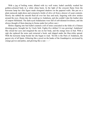With a jug of boiling water, diluted with icy well water, Isabel carefully washed her golden-coloured body in a white china basin. In the light of the crescent flame from the kerosene lamp her slim figure made elongated shadows on the papered walls. She put on a plain nainsook night-dress and extracted a bottle of olive oil from a drawer of scant contents. Slowly she rubbed the smooth fluid all over her face and neck, lingering with slow strokes around the eyes. (Some day she would go to Andalusia, and she couldn't take the leather skin of outport Helluland. The dark-eyed Andalusians were full of soft-skinned loveliness, and she always thought of them dancing in fiestas under hot yellow sun.)

Before slipping into bed Isabel counted a roll of notes concealed in the folds of a Chinese dressing-gown, brought her by Uncle Seth. Eighty-five dollars! It was growing! Andalusia! She closed her eyes and imagined the sun on her body, and the orange trees in bud. With a sigh she replaced the notes and extracted a book, and slipped under the blue-white spread. With the kerosene lamp beside her she began to read. 'Seville is the Paris of Andalusia, the gayest city of all Spain. Glittering like a jewel on the banks of the Guadalquivir, environed by orange-groves and palms, and glowing like a sun——'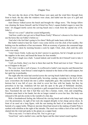#### Chapter Two

The next day the doors of the Head House were open and the wind blew through from front to back: the day after the windows were clean, and Isabel met the eyes of a gull and couldn't think of Spain.

Aunt Dorcas walked across the beach and brought the village news. 'The foreign fellow was cleaning the house himself, and he'd hired Joe Perry's square-bodied wagon to meet the train.' (It chugged inertly across the curving beach once a week from the capital city of St. John's.)

'Haven't we a taxi?' asked her cousin belligerently.

'And how could a taxi get out to Head House Emily? Whoever's chosen to live there must use the horse like our Father's before us.'

'And who's the fool that's going to live there? Bella girl make haste with the tea.'

But Isabel waited to hear her Aunt's voice come slowly over the click of her needles. Her knitting was the antithesis of her movements. With an economy of gesture she consumed large balls of wool: a skein by morning became a sock by night. Click, click, click until the calm voice was ready.

'I don't know Emily. Lydia says he don't answer to questions, but he's bought up most of the supplies in the store, and leased the house for four months.'

Mrs. Pyke's laugh was a bark. 'Leased indeed, and would the devil himself want to take it from him?'

'I tell you Emily, there's no fear to them that read the Word and trust in God. "There can no evil happen to the just." '

The voice was like a well of peace. It overflowed to Isabel's taut muscles and liberated her feet to the kitchen. Aunt Dorcas's mind might be chained to the limits of the small outport, but her spirit lay in profundity.

The night after the train had crawled across the curving beach Isabel had a strange dream. All space was full of snowy-breasted gulls, hovering, soaring, swooping to the level of her eyes: everywhere she looked she met a yellow implacable gaze. She searched wildly for the horizon but it was full of eyes: she tried to cover her face with her hands, but they lay powerless in her lap. Andalusia left her and she spun in the grip of Helluland: desolate, savage, and chill. As she sat in icy paralysis a gull swooped down and hovered in front of her face. Fascinated she saw that it had blue eyes like a human, warm, vital, and compelling. Freedom came back to her hands, but she no longer wanted to cover her face. Her body was released to life and she awoke to the warmth of a July day.

With a foreshadowed feeling she followed the curving beach and walked with long steps over the promontory. In sight of her rock she stopped abruptly in her cheap canvas shoes. In front of an easel sat a long figure, with the sun turning the back of an auburn head to the burnish of a copper kettle. Whatever atavistic blood had mixed in the making of Isabel Pyke it seethed with rebellion at the sight of the intruder. The easel was within a foot of her rock! She slanted into the wind and spoke to the gleam on a copper head.

'This is my rock. I've had it all my life. You've got to go.'

'Good God,' said a startled voice, and the figure and the chair turned round together.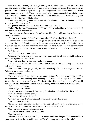Peter Keen saw the body of a strange looking girl starkly outlined by the wind from the sea. She narrowed to the waist, to the knees, to the ankles, and the cotton dress tautened over pointed untouched breasts. Spots of angry colour heightened Slavic cheek bones, and dilated pupils made grey eyes black. The elemental quality of the figure wakened all his artistic sense. 'Don't move,' he rapped. 'You look like Boreas, North Wind, any wind! My easel is dug into the ground. Don't move for God's sake.'

'I will,' she said, sitting down on the rock with her face turned towards the horizon. 'You can go away. This is my rock!'

Exasperated he regarded the disturber of his new found solitude.

'Indeed,' he drawled, 'I understood I had leased a house and paid the rent. Inconsiderable I will admit, but paid nevertheless.'

'You may have the house but you haven't got the Head,' she said, speaking to the horizon. 'This is my rock.'

'So you've said before. Is that all your vocabulary? Shall we sing "Rock of Ages?" '

Tears burnt in her eyes at the unknown quality of his ridicule, and at the violation of her sanctuary. She was defenceless against the smooth irony of such a voice. She looked like a figure of woe with her hair streaming back from her head. Where had she got that face? Looking at it he saw the tears. He said more gently, 'let's talk about it. What's your name?'

'Isabel Pyke.'

'And why is this your rock Isabel?'

'Because I've come here every day for twenty years and stayed until the light told me it was time to put on the kettle for tea.'

'Are you twenty Isabel? Your body looks so virginal.'

She wouldn't talk about her body. 'I'm thirty next January,' she said sulkily with her face still to the horizon.

'You don't look it and yet you do,' he said reflectively. 'Your face is angry and secret. What are you secret about Isabel?'

'This is my rock.'

'Yes, yes,' he agreed soothingly, 'we've conceded that. I'm sorry to gate crash, but I've taken the house to be completely alone. One day I didn't know where to go. I couldn't paint. I thought I'd never paint again: I was so full of soft living. Then I looked at a map of the world and shut my eyes and jabbed. When I opened them my finger was lying on Newfoundland.'

'Helluland,' she muttered.

'What did you say Isabel?'

She said out loud with granite in her voice, 'Helluland or the Land of Naked Rocks.'

'It has a Norwegian sound Isabel.'

'Eric the Red. He named it right.'

'By your voice you don't like your native land. It looks very fair to me.'

'You only came yesterday.'

'True I only came yesterday, but I'm very pleased with what I see. I wanted space above me, beneath me, and around me, and this seems to give me what I need.'

'You won't stay,' she said with conviction.

'Don't bank on that Isabel. I'm afraid I will.'

'You won't stay.'

'There's an element of repetition in your conversation Isabel. Do you think you could turn your face away from the sea and look at me? There's nothing out there but the gulls.'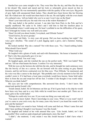Startled her eyes came straight to his. They were blue like the sky, and blue like the eyes in her dream! She stared and stared and her look so reluctantly given stayed on him in fascinated regard. He was momentarily speechless with the quality of her own eyes. Big pools of grey light with unexpected black lashes. They should have been brown like her blowing hair. He wished now she would turn them back to the sea. He said lightly with the even charm of a cultured voice, 'tell me Isabel why you're so sure I won't stay on the Head.'

'Hasn't your man told you: the man who was at the widow Rumsden's?'

'My man Isabel is the perfect servant. I can take him from Paris to the Pole and he's equally unaffected. We came to St. John's and I told him to find the loneliest place in Newfoundland where I could camp out. He hasn't confided in me the difficulties of his quest, but I'd thought he'd done very well until you came.'

'Hasn't he told you about Josiah, Coveyduck, and Elfrieda Tucker?'

'Good God no, he never gossips.'

'This,' she said flatly, 'is sixty year old gossip. Did you hear anything last night?' Her voice grew sibylline. 'The sound of a pick digging open a grave, and a hammer, beating, beating.'

He looked startled. Was she a natural? Not with those eyes. 'No, I heard nothing Isabel. What should I have heard?'

'What I told you.'

He laughed with a gleam of teeth, and said with illumination, 'the house is haunted is that it? That's why they practically gave it to me.'

'Yes it's haunted. You won't stay.'

He laughed again, and she watched the sun on the perfect teeth. 'Will I not Isabel? Wait and see. Tell me what haunts the house. I confess I'm very interested.'

With her eyes on the horizon she told him the tale, and he thought her stark sentences were like the brevity of line on a canvas. He sat forward with his arms resting on grey flannel trousers, and his red brows contracted over his blue eyes. 'Poor Elfrieda,' he murmured, and his voice was like a caress to the dead girl. 'She probably met a lovely moment in her life and couldn't resist it. If it had been a local man everybody would have known. Some bold sailor blew in from the sea and swept her off her feet. I wonder if she thought it was worth while. What do you think Isabel?'

His eyes saw her with comprehension. She answered him slowly. 'I don't know. She sinned and spoiled Josiah's life.'

'Josiah sinned, Isabel. He let bitterness eat him up. If he'd gone back to his ship he would have been very busy and in a very little while he would have met another girl. There are many girls in the world Isabel.'

'Perhaps he could only love one. If you want one thing you want only one.'

'You seem to know Isabel. There's knowledge in your voice. What is it you want? And if you've come to your rock every day for many years why haven't you heard the sound of the pick and the hammer?'

'Perhaps there's no sound to hear. Nobody will come and find out. When I came first and didn't hear anything I thought it was because I was like Josiah.'

He laughed and looked at her with amused blue eyes. 'Like Josiah, Isabel,  $ISN^T$  that impossible? How could an undeveloped girl understand a story like that?'

'I didn't,' she muttered, 'I only meant I was like Josiah because I didn't have what I wanted<sup>'</sup>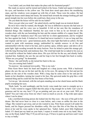'I see Isabel, and you think that makes the place safe for frustrated people?'

She made no answer and he turned and looked at the house. Faded and square it looked to his eyes, and harmless in the yellow sun. The front door stood open above the mouldering steps, and the windows were propped up with bits of stick. These were his orders. He had thought the house smelt damp and musty. He turned back towards the strange-looking girl and gazed straight into her eyes before she could turn, them away to the sea.

'Do you think the house will be safe for me Isabel?'

'Have you got what you want?' she asked slowly, and his laugh was an ironical denial.

He have what he wanted, she thought. He was so different to anyone she had seen or talked to before, and his voice was so beautiful. It fell on her ears like the roundness of finished things: like Andalusia! Startled, her eyes went to him as he sat forward on the wooden chair, with the sun burnishing his hair and the minute stubble of a copper beard. She hadn't thought of Andalusia once! His eyes held her in silent appraisement, and he weighed her face against her body. It looked as if a hand had never touched it: it was so long and free and virginal: and her eyes—great luminous pools, like clear light that held no yellow. He had wanted to paint with enormous energy, undisturbed by outside sources: to sit free and untrammelled with the wind in his hair, and to portray space, infinite space: and above all to paint light: light receding towards the misty horizon. Now he itched to paint this strange girl, with the long flowing body and mutinous face. The wind had made her as naked to his eyes as she would be without her faded cotton dress. His eyes left her for the sea, and silently Isabel watched him. Suddenly she saw the sun and her leap to her feet brought him back to reality. 'Where are you going?' he demanded.

'Home,' she said briefly as she turned her back to the sea.

'Are you coming back Isabel?'

'To-morrow,' she muttered irrevocably. 'This is my rock.'

Peter Keen threw back his head and laughed on a deep joyous note. With a backward glance she saw the sun on his hair and the sky in his eyes. He sprang to his feet and put his palette on the seat of the wooden chair. With a long step he came close to her and put his hands on her shoulders, turning her round to his face. She quivered under his grip like a wild untamed thing and he could feel the fine bones of her body.

'Let me go,' she stormed, with the red spots standing out on her cheek bones and the black pupils swamping her eyes.

'Hush, hush,' he said soothingly, and the lovely voice made her want to crumple up in a heap. 'I only wanted to suggest Isabel that this place is big enough for us both. Can't you be generous and let me stay here? I'll go on painting and you can sit on your rock. Will you Isabel? You can't take away from me what I want as much as you do. A big wide open space where I can be alone.'

Like a terrified drowning person she looked into his blue eyes—the eyes of the gull in her dream. She had never been so close to a man before, and a man so unlike the men in the village. She wanted to get away, and yet she wanted to stay. Peter Keen sensed it all under his hands, and his fingers pressed her shoulders softly. His eyes like bits of the blue sky burnt down at her and his voice spoke to her upturned face. 'Isabel, Isabel, poor little frightened Isabel. If I dared put my hand on your heart, I expect it would come out in my hand. May I stay on the Head, Isabel? May I? If you tell me to go, I'll have to pack up and leave and I want to stay so badly.'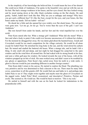In the simplicity of her knowledge she believed him. It would mean the loss of her dream! She could never think of Andalusia, if he spoke in the beautiful voice and sat with the sun on his hair. She had a strange weakness in her knees, and her eyes closed. Her face looked wrung and he stood staring down at the silky black eyelashes resting on the flat cheeks. He said gently, 'Isabel, Isabel don't look like that. Why are you so unhappy and strange? Why have you got such a different face? It's like the East, except for the eyes, and your bones, the fine bones under my hands. Tell me Isabel—tell me?'

He shook her a little and she opened her eyes widely over flat cheek bones. The red spots were gone now. 'Let me go, let me go. You're worse than the eyes of the gull. I can't see Andalusia.'

She tore herself from under his hands, and her feet and the wind impelled her over the scrub.

Peter Keen stared after her. What a strange girl! Andalusia! What did she mean? What a face and what a body to paint if she could ever become unconscious of it without her clothes. For the moment he shrugged her away. He was damn glad about the haunted house. Josiah and Coveyduck would be too much competition for the village curiosity. He would be all alone except for Isabel Pyke! He stretched his long body in the sun, and the wind stirred his auburn hair. He turned and studied the battered old house. What a strange tale, and he hadn't felt a thing. It only smelt old and damp, and last night he had dragged his camp-bed to the open window and let the wind blow all around him. He had waked with its strong breath in his face, and seen a white gull pass his window. He looked towards the rear of the house, with all the windows propped up on bits of stick. His man worked away and didn't seem to be troubled by any ghosts or apparitions. Peter Keen's lips curled away from his teeth in a wide smile. A ghost to Stevens would be just something different in another foreign country!

Peter Keen didn't return to his canvas. He started to explore the Head. The plumbing was very primitive and he was determined to find a descent to the sea. There must be many little coves, somewhere in all this granite cliff. He would find one and bathe in it, and perhaps take Isabel Pyke to see it! They might swim together and maybe meet the ghost of Coveyduck on the jagged rocks. Isabel Pyke! Brief, economical, and descriptive! Primitive, Puritan and exotic. She seemed so. He would see. She would be back to-morrow. 'This is my rock.'

He smiled to himself and with the sun on his back he looked for indentations in the perpendicular cliffs.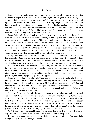#### Chapter Three

Isabel Pyke was pale under her golden tan as she poured boiling water into the earthenware teapot. She was afraid of her Mother's eyes after her great experience. Anything as big as that must surely show on the outside! She put the tea on the stove to steep, and tiptoed to a square of mirror on the kitchen wall. Fearfully she gazed at her own face, but to her eyes she looked just the same. In the crimson-floored kitchen she had become again the creature of food and drink. She put her long hand up to her face and stared again. 'Why have you got such a different face?' What did different mean? She dropped her hand and started to lay a tray. There was only work in the house on the lane.

Isabel Pyke had a hundred and twenty dollars a year of her own. It came in ten dollar cheques once a month from some Trust Company in the City, and she cashed them at the store. She gave the storekeeper a slip of blue paper and he gave her back a ten dollar bill. Isabel Pyke bought all her own clothes and saved money to go to Andalusia! In spite of her dream, once a week she paid out the sum of fifty cents to a woman in the village to do the washing and scrubbing. She did all the rest herself, but she was lost to everything on her knees wringing out a scrub-cloth. Her Mother made her pay for her laziness, telling her that in her young day she had worked from daylight to dark without any hired help.

Emily Pyke owned her house and bit of ground, and two more houses in the village, and her tall, frail husband had left her a sum of money. Isabel didn't know how much, but there was always enough for citron, raisins, cherries, and currants, and if Mrs. Pyke couldn't buy a supply at the store, she wrote to a shop in the City, and the parcel came in on the train.

Mrs. Pyke's baffled resentment was that her soft spoken husband had left his house and his bit of money in Trust for his daughter. It had to go to that pale pilgarlick after her death! But Isabel would die first! The Wilkes' didn't lie down to illness! Grandfather Wilkes had reached ninety-four without an ache or a pain, and the week he had died some seals had drifted in on a pan of ice, and he had enjoyed a large meal of flippers.

Isabel knew all that her Mother felt. There was no silence about it as she talked 'at' her through her Aunt Dorcas. When Mrs. Pyke scornfully dismissed the ways of her husband, Isabel became doubly grateful to his memory. He had always been so gentle with her and when he was home from the sea, it was his figure that came to her bed when she called in the night. Her Mother never heard. When she slept she died to sound, and when her Father went back to the sea Isabel learned not to call.

The next afternoon as she walked over the promontory her heart beat fast under her second cotton frock: but it was bluer than the other and she had washed her hair to high lights of gold. As she neared her rock she saw him painting in absorbed concentration with his back to the land. The wind was low on the Head, the sea rolled lazily in, and with the light on the copper hair Isabel couldn't say Helluland! She had been on the rock for sometime before he saw her. He rested his elbows on his knees and sat looking at her with his thumb stuck through his palette. Her hair was a soft mass and only lightly stirred by the breeze.

'Isabel, you're here! You should come with the wind! This is surely not your Helluland today? It's an Italian sky and a Mediterranean sea. Come and look at my picture.'

She came and stood shyly by his side while he studied her regretfully. 'Your dress falls straight to-day Isabel. I can't see you so well.'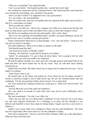'What are you painting?' she asked hurriedly.

'Can't you see Isabel—the beautiful golden day—and all that lovely light.'

He watched her expression and her contracted brows. She looked puzzled, and turned her eyes towards the surrounding view, and back to his picture.

'Don't you like it Isabel? I'm supposed to be a very good painter.'

'It's very yellow,' she said doubtfully.

'But it's a yellow day, and your own golden skin has captured all the light, and your hair is full of it. I must paint you Isabel.'

'Will you paint me yellow?'

'Yes if I see you that way—full of sun. I suppose you'd like me to look across the Bay and paint six little houses and six little fish-flakes with a man in a blue shirt sitting in a boat.'

She felt he was laughing at her but she said steadily, 'that's what's there.'

'But if you were painting Newfoundland Isabel, wouldn't you paint Helluland, and by the sound of your voice it would be a pretty grim picture.'

Isabel contracted her black brows in deep thought. 'I see,' she said slowly. 'I look at it one way and you look at it another.'

His smile bathed her. 'More or less Isabel, in relation to the light.'

'Did Murillo paint like that?'

'And what do you know of Murillo, Isabel?'

'Nothing,' she muttered, 'except that his pictures are in Spain.'

'Isabel,' he commanded, 'I've got to hear all about Spain. You're going to tell me what you meant when you said you couldn't see Andalusia.'

He laid his palette carefully on a chair, and with a friendly gesture took Isabel Pyke by the hand and drew her down beside him on the dry scrub. They sat with their faces looking towards the sea.

Isabel Pyke was silent. She didn't know how to begin, but he smiled into her eyes. 'Go on Isabel I'm waiting.'

'I don't know what to say.'

He leaned back on his elbow and looked up. From where he lay her lashes seemed to stretch to enormous length to end in light brown tips. He saw her clenched hands and said soothingly. 'I'll ask you questions Isabel, and *do* answer. I'm so interested.'

His voice claimed her confidence before her words gave it. 'What will I tell you first?' she asked shyly.

'Tell me about the eyes of the gulls and Andalusia.'

His voice made it as smooth as Uncle Seth's port wine, but he said it differently with a sound like a 'th'.

She said wonderingly. 'You don't say it like I do.'

'That's the way they say it in Spain Isabel. Andalusia! Lovely word isn't it? Lovely place too, and such exquisite architecture. It's a challenge to an artist, but the Alhambra is too delicate and beautiful to have been made by human hands. Angels must have come down to fashion it.'

Isabel's eyes of grey light were swamped in black, and she said breathlessly. 'My book says the Virgin Mary often comes down to visit the cathedrals in Spain.'

Peter Keen said gravely, 'I haven't seen Her Isabel. Perhaps I didn't go to the right places. What else does your book say?'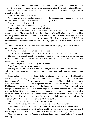'It says,' she gushed out, 'that when the devil took the Lord up to a high mountain, that it was well the Pyrenees were in the way or He would have fallen down and worshipped Spain.'

Peter Keen smiled into her excited eyes. 'It's a beautiful country Isabel. Perhaps beautiful enough even for Him.'

'You've been there,' she breathed.

'Of course Isabel and I shall go again, and sit in the sun under snow-capped mountains. It restores my faith in the achievements of man, when I go to Spain.'

'But where do you live every day?'

'I don't Isabel. I just momentarily reside, here, there, and everywhere.'

'You must be very rich,' she said in an awed voice.

Now he lay on his back with his eyes closed to the strong rays of the sun, and his lips curled in a smile. The sun made his teeth like shining pearls, and his lashes curled and golden like his gleaming hair. Isabel stared down at him as if he were magic from another world while she watched the words come out of his mouth. 'Too rich for my own good, Isabel, but that's the fault of my Father and Grandfather. I'm trying to live it down in a temporary period of asceticism.'

'My Father left me money,' she whispered, 'and I'm saving to go to Spain. Sometimes I think it will take all my life.'

'But why Spain Isabel? It might be any other place.'

'I don't know. I've always liked the sound of it. Orange, olive, palm, and pomegranate.'

His blue eyes opened quickly, momentarily dazzled by the strong rays of the sun, but Isabel was looking out to sea and her face was closed and secret. He sat up and turned slantways towards her.

'Isabel I told you to tell me about Spain. Now begin.'

'I can't put it into words,' she muttered.

He laughed and took her by the shoulders. 'Oh yes you can Isabel Pyke from Helluland! Tell me why you've come to this haunted Head for twenty years and when you began to think of Spain.'

Isabel looked into his eyes and felt as if she were facing bits of the burning sky. He put his arm around her, and strangely her head went into the hollow of his shoulder. His nose received the fragrance of Uncle Seth's Bay Rum, while she began to talk. She fumbled with her words at first but Isabel Pyke had found a companion, and she savoured the novelty of conversation. He liberated her tongue, he aired her mind, he listened to everything she had to say, and when her speech faltered, and her eyes questioned, he pressed her hand and bade her go on. For the first time in her life her dream found verbal expression. She told it to a blue shirt underneath a square chin with a minute stubble of auburn beard. She found words for Andalusia, the roll of bills, the red book, the olive oil, and how the eyes of the gull always destroyed her picture. In describing the yellow eyes her head pressed into his shoulder.

'The eyes of the gull Isabel? How fanciful! I must look.'

'No, no, they're yellow and cold and take away from you what you want.'

'But I don't know what I want Isabel, so I think I'll have a look. It sounds interesting.'

She was silent and content for a long time, until he put his hand under her chin and turned her face up to him and the sun. 'You said I was worse than the eyes of the gull Isabel.'

'Yes,' she said gravely, 'but Andalusia will come back when you go. Will I go?' she asked fearfully.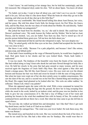'I don't know,' he said looking at her strange face, but he held her sustainingly, and she felt reassured. She whispered shyly under his chin. 'Tell ME about Spain. You know all about it.'

'No Isabel, not to-day. I want to hear all about you, and I don't see it as you do. I might spoil it for you. Tell me what it's like down there? What the boats do when they go out in the morning, and what you do all day shut up in this little Bay?'

Isabel was very comfortable. She found herself telling him about Aunt Dorcas, her voice, and her peace. She told him about Uncle Seth, his foreign travel, his Port Wine, his Guava Jelly, and his Bay Rum, but she was chary of words about her Mother. He said directly, 'Isabel you and your Mother are antagonistic?'

She jerked her head from his shoulder, 'no, no,' she said in denial. She could hear Aunt Dorcas's profound voice. 'My maid, honour thy Father and thy Mother.' But he had no Aunt Dorcas, and he insisted, 'yes, you are Isabel. Face facts my dear. You've stored up a lot of psychic poison behind those great eyes. Tell me how she feels about you.'

She didn't understand all that he said but she whispered in reply, 'her eyes despise me.'

'Why,' he asked gently with his blue eyes on her face. (Isabel had accepted the fact that he was very close to her.)

She threw it out wildly. 'Because I'm a pale pilgarlick, and because I don't like onions, and pea-soup, and fatback pork.'

If she hadn't been trembling on the verge of liberated hysteria, he would have laughed out loud. Red spots burnt in her cheeks and her eyes looked black. 'Hush, hush Isabel, I understand.'

It was too much. The kindness of the beautiful voice burst the founts of her repression. She had walked along so long! Great sobs shook her and tears flowed through her body like a river. He held her closely in the arms that had gone around so many women, and his nose received again the fragrance of Uncle Seth's Bay Rum. She cried against a blue shirt and found a strange peace. She felt like Aunt Dorcas's voice. His eyes went out over the distant horizon and because her hair was fresh and sweet he kissed it with the ease of long practice. But when her tears were wept out of her she drew primly away in sudden consciousness. She saw the slant of the sun, and in a second was on her feet like a hunted thing and streaking over the Head. His copper head gleamed as he looked after her. 'Her exits are rather sudden,' he reflected. 'Damn it all, where's my palette?'

When she appeared again she came with the wind. With a terse command he turned his easel towards the land and dug the legs into the ground. He drew her in long sweeping lines while she stood in the scrub, lashed by an inshore wind, and the pose was too familiar to her body to give her any consciousness of it. She had a way of lifting it out of her waist and pointing her breasts to the wind that maddened him with its beauty of line. He worked with contracted brows and did not throw her a word. But when her time came to go she left him in equal silence.

The next day she walked up behind him and demanded, 'am I like that? Have I got such big cheek bones, and do I look as if I had on no clothes?'

He smiled at the outraged face. 'The wind was your lover Isabel. He took them away. His name was Boreas.'

She turned away and hunched on the rock. She was worried about the look of her dress. It must be too small for her. She had a thin white one for Sundays. She would wear that to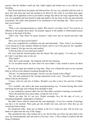morrow. But her Mother would ask why. Isabel sighed and looked out to sea with her eyes brooding.

Peter Keen laid down his palette and followed her. He was very satisfied with his work. It grew free and clean and vital and seemed to be blown by the wind. It was better than space and light, and it appealed to him to put Isabel's strange face above her long virginal body. She was very paintable and lent herself to light and shadow. He lay down in the sun and stretched luxuriously. His white teeth gleamed as he murmured to the brooding face. 'Have you ever had a lover Isabel?'

'No.'

'What a very uncompromising no, Isabel. Why haven't you had a lover? You must be so different to the people down there. He pointed vaguely to the huddle of whitewashed houses far away at the head of the Bay.

'That's why. They think I'm queer, because I walk every day by myself and don't talk much.'

'Have you ever been kissed Isabel?'

His voice compelled her confidence but she said reluctantly. 'Once, when I was fourteen. A boy kissed me in the meadow behind our house, and we sat in the grass by the vegetablecellar. I hated it. His lips were dry and cracked.'

'Is that the limit of your experience Isabel?'

His voice had the smooth quality that she feared. She said angrily, 'I've told you. That's all. I don't want those men to kiss me.'

'Why Isabel?'

'They don't wash enough,' she muttered with her face burning.

'It's an excellent reason my dear. Don't be cross Isabel. I only wanted to know all about you.'

He took her hand and studied its long lines. There was a Botticelli touch on her outward body as well as in the shadows breaking through her face.

'Tell me,' he murmured caressingly, 'haven't you any friends in the village?'

'No,' she said confused by the varying expressions in his voice. 'The girls I used to go to school with are all married.'

'I know, with lots and lots of babies. Wouldn't you like to have lots and lots of babies Isabel?'

'No I wouldn't, she said in the same uncompromising way. 'It means having false teeth, and being fat and ugly and working from daylight to dark.'

'A very unattractive picture Isabel, but isn't that rather a primitive marriage you describe?'

'That's the kind they have down there, except for one or two.'

'Maybe my dear, but it's not love. People nowadays love for the sake of LOVE, as something delightful, independent of families.'

She didn't know what he meant but she said obstinately, 'if you love outside of marriage you have to be married. Three girls got into trouble last year, and now when they go out everybody looks at them.'

He whispered softly, 'there are no babies in the love I mean my dear. Tell me how you think of it apart from the way of the village.'

She searched his face, then looked out to sea, but his blue eyes drew her gaze back to his own. He waited patiently until she said in a far away voice, 'I like to think it could be like the Song of Solomon.'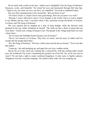He lay back with a smile on his face. 'Isabel you're delightful! Like the Song of Solomon? Sensuous, exotic, and beautiful.' He closed his eyes and murmured through half shut lips, ' "Open to me, my sister, my love, my dove, my undefiled." You look so undefiled Isabel.'

Her eyes flew spontaneously to his closed lids. 'But you know it too!'

'Of course I know it. I hope I know most good things. How do you know it so well?'

'Because I wasn't allowed to read it. Every Sunday in the winter I have to read a chapter to my Mother and my Aunt. I can pick where I like, anywhere except the Books of Genesis, Leviticus, and The Song of Solomon.'

His eyes opened and he laughed on a note of deep delight, while the flawless teeth gleamed in the sun. Isabel whispered to herself. 'Thy teeth are like a flock of sheep that are even shorn.' (Teeth were a thing of beauty to her. The people in the village kept theirs for such a short time.)

'So of course the forbidden books became your favourites?'

'Oh no, not Genesis or Leviticus. They have no music, and the story of Adam and Eve sounds like the people back there.'

'Bur the Song of Solomon. "We have a little sister and she has no breasts." You're not like that Isabel.'

'I must go,' she said springing up, and again her exit was a sudden streak.

But he lay on in the warm sun, looking like a relaxed Pan, with lips smiling under closed eyes. He wondered if he wasn't committing the greatest sin of his life. No, no he was sure he wasn't! No one had a right to expect continued happiness. It only came in fugitive gleams. 'Happiness was but a wayside camping.' He smiled a little wider. He was camping out.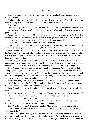#### Chapter Four

Isabel was snipping the roots from early turnip-tops when her Mother entered the crimsonfloored kitchen.

'Bella, I didn't mind to tell you but your Aunt Dorcas was over a'yesterday when you were trapesing over the promontory. She wants us to come to tea to-day.'

'Yes Mother?'

'She's having a few folks for your Aunt Mary Ann—her with her bare neck and her prate about Lunenburg. Pity she don't see her age and cover up her body. It's that withered with poor feeding.'

Isabel said nothing and her Mother leaned over the hot stove and took the lid off a saucepan. She eyed the bubbling contents with a sharp glance. 'Now Bella, that's a sight too small a piece of spare-rib for them greens! I could eat that much myself.'

'It's all we had in the house Mother, and I don't want any.'

'Indeed 'tis a pity about you. It's a meal for your betters! Do you a sight of good if you'd eat a few slivers of pork every day: you might get some flesh on your bones.'

Isabel went on snipping and Mrs. Pyke went into the small pantry and raised the cover of the bread tin. Her voice grated through the open door. 'Now Bella, here you've begun on the new batch before you've finished this stale loaf. I don't know what would happen if I didn't keep my eye on everything.'

Isabel snipped again and the voice grated from the recesses of the pantry. 'Pity we're going out. That's a nice bit of fish in soak. I suppose we'll get a good tea, but your Aunt Dorcas is not much of a cook. Her cakes are something awful—too heavy by a long sight.'

Mrs. Pyke returned and started to go out through the back door. As she opened it a shaft of strong light brought in a swarm of buzzing flies which circled round the kitchen and filled it with a noisy hum. Mrs. Pyke's square figure parted the formation of their entrance. She turned back to her daughter. 'Beat out the flies now Bella, and give me the key to the store-room. I want to see how those hams are looking in pickle.'

Isabel took a large key from a nail hammered into the wall and handed it to her Mother.

'We'll be leaving early Bella. 'Tis wonderful fine, and your Aunt Dorcas says to come right over after dinner and sit for a spell in the garden.'

Isabel's pupils dilated as she picked up the rusty scissors. 'But I'm going for a walk first Mother.'

Mrs. Pyke squared back. 'Stuff and nonsense. You can go without a walk for one day. If you did the washing and the scrubbing you wouldn't need so much exercise.'

'But I'd like to go for a walk Mother.'

'And what if you do? There's a sight of things we can't do in this world just because we want to! We'll go at the time we're asked, right after dinner.'

Mrs. Pyke turned to go. 'I'll go for a walk first Mother, and go to Aunt Dorcas's after.'

'You'll do no such thing Miss. And what's out on the promontory to make you that eager? That artist fellow?'

Isabel's heart gave a fearful jolt and she held her breath. She made an uncalculated snip at a turnip-top and a bit of her finger nail flew into the bowl. With awful relief she heard her Mother's voice grate on. 'Think you'd be glad of a change instead of mopin' around by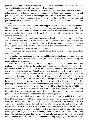yourself. If you'd go to the tea-meetin's with your friends you wouldn't be so silent. No Miss you'll go to tea to your Aunt Dorcas, and you'll go when I go!'

Isabel stared into the bowl and her Mother went on. 'And you needn't look sulky about it either. You can walk double to-morrow. I'm going to your Aunt Maria Benjamin's for tea and you're not asked. Don't wonder at all when you sit like a stick or a stone without opening your mouth. Your Aunt Maria has got a nice bit of veal from up the shore. 'Twill be a real treat, and you can have the afternoon off and take a sandwich to the Head and walk your legs off if you want to.'

Mrs. Pyke went out in the sun, and Isabel snipped on with nothing free but her thoughts. She had double preparations to make: vegetables to peel and scrape, and greens to clean for two dinners. Mrs. Pyke approved of extra food on Sundays, but of no extra preparations. Only the work entailed in cooking was holy on the Sabbath: special cooking that signified the occasion of the Lord's Day.

Mrs. Pyke got up in the mornings and made her bed, and sat and directed for the rest of the day, or walked across the beach and visited the folks. Her mouth talked and ate during her waking hours. On Saturday morning she was out in the store-room prodding the fat hams lying in pickle. Isabel had a chicken to draw, a jam tart to make, brewis to put in soak for the Sunday morning breakfast and the daily work beside.

The turnip-tops were finished and before she did anything else she had to beat out the flies with a heavy duster.

The kitchen was quiet again with only the bubble from the kettle and the saucepans. The sun streamed through the one window, burnished the top of the black stove and lit up the nickel plate on the oven door.

'Take a sandwich to the Head!' Pink spots ran up and stood out on Isabel's cheeks. She made an incision in the flesh of the chicken and plunged her hand through the opening. Tomorrow her Mother would walk across the beach soon after dinner, to Aunt Maria Benjamin's, and would not return until ten o'clock! Isabel's eyes dilated as she drew out a handful of insides. She would take a jam sandwich and stay out on the Head for many hours! She separated the liver, and the heart, and the gizzard from the mass of entrails! (Giblet soup with onion, barley, and macaroni for dinner to-morrow.) Perhaps he would miss her to-day, perhaps he would be glad to see her to-morrow! He talked to her as if he liked to talk to her. She picked up the gizzard, cut it open and scraped out the gritty substance it contained. If he didn't want her to stay she would soon know! And she would wear her Sunday dress! While her Mother was at church in the morning she would run the iron over it, and it would be cool and in its place before she returned. She washed her hands, rinsed the greens in clear water and pressed them into the saucepan with the too small piece of spare-rib.

At half-past three Isabel and her Mother let themselves out on the pebbled walk. Isabel locked the front door and hid the key under the mat. She had on her Sunday dress and it fell white and soft, and smocked round the shoulders and round the waist. She had worn it for two years, but it washed fresh and white and didn't have to be starched. She had on a large white hat and white canvas shoes. Mrs. Pyke was buttoned up to the neck in stiff black with a jabot of Battenburg lace. Her hat was hard straw with a jet ornament and her shiny black gloves were tight on her fingers. They walked silently down the lane across the beach and turned their backs on the promontory. The sea was even and calm and crept up the beach in a languid wash. The boats rested in black bulk, and the houses turning every way on the crooked lanes,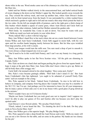shone white in the sun. Wood smoke came out of the chimneys in a thin blue, and curled up to the bluer sky.

Isabel and her Mother walked slowly in the unaccustomed heat, and Isabel noticed beads of sweat clinging to the down on her Mother's upper lip. She looked quickly away towards the sea. They crossed the railway track, and went up another lane, where Aunt Dorcas's house stood, with its front turned away from the beach. It was surrounded by a white washed fence which enclosed a garden to right and to left and ran round a thin strip which joined the back to the two sides. On the left ran straight drills of potatoes, and to the right grew a thick clump of lilac bushes which shaded a square of coarse grass, where Aunt Dorcas and Uncle Seth sat with some of the other relations. Isabel and her Mother entered the garden side.

'Well Emily 'tis wonderful fine. Come in and sit down. You must be warm with your walk. Bella my maid you look real pretty in your white dress.'

'Pretty indeed! She's a show with her long legs.'

Mary Ann Wilkes's hand flew to her neck where she sat on a rustic bench between Cousin Emma Wilkes and Aunt Susie Cruikshank. Uncle Seth sagged in moist bulk, with his vest open and his swollen hands hanging inertly between his knees. But his blue eyes twinkled from large pouches, at his wife's cousin.

'Emily your tongue would turn the milk sour. You sure need a drop of port to smooth it. You were always a sharp tongued one even as a gal.'

'One'd need to be in this world Seth Penney, and I can't see any beauty in a long gawky body.'

Mary Ann Wilkes spoke in her flat Nova Scotian voice. 'All the girls are slimming in Canada, Emily.'

Mrs. Pyke sat down on a hard chair and began peeling the gloves from her square hands. 'I hope it stops at the girls then Mary Ann. Some folks don't know when to give up. Better an old fat body than a thin scraggy one.'

Uncle Seth's fat stomach stirred to his silent laughter. 'Have some port, Emily?'

Mrs. Pyke's voice became gratingly affable. 'Well Seth I don't mind if I do.' But Aunt Susie Cruikshank's thin lips tightened, 'you ought to be ashamed of yourself Emily Pyke settin' such an example to the young.'

Mrs. Pyke squared in her black. 'Indeed Susie Cruikshank, 'tis nice to be told how to behave in company, and company from big places like Canada! But you may be a member of the W.C.T.U. but I'm not. And perhaps you'd be interested to know for all your temperance, that its many a piece of fruit cake you've ate in my house with a good glass of grog stirred up in the mixture.'

'Well I wouldn't have ate it if I'd known Emily.'

'Maybe not Susie Cruikshank but you took good care not to inquire! And I suppose we won't be able to play our games of five and fourties after tea because you don't play the spotted cards.'

Aunt Dorcas's voice flowed calmly. 'We can play Flinch Emily.'

'Flinch, indeed, I never heard the like. 'Tis cheating the devil in the dark. Do they play cards in Nova Scotia Mary Ann?'

Mary Ann Wilkes gave a flat superior laugh. 'We play Bridge Emily.'

Mrs. Pyke squared to take a deep breath but Aunt Dorcas said evenly 'Bella my maid, will you cut me a few flowers for the table, and set some in the parlour. My hands are too clumsy for the job.'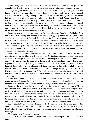Isabel's body straightened eagerly, 'I'd like to Aunt Dorcas,' she said and escaped to the straggling patch of flowers in view of the Aunts and Uncles on the square of coarse grass.

The garden grew without plan or order, and straggled in the same haphazard placing as the houses on the crooked lanes. Isabel lingered long over her task, and from where she picked she could see the promontory running far out into the sea. Was he looking for her? She moved between tall plants of multi-coloured Columbine, Blue Lupin, Red Peonies, and Bleeding Heart, and breathed the warm air, fragrant with Sweet Rocket and Boy's Love. The scent of the Boy's Love took her instantly to the brown wooden church, at the foot of another crooked lane. As long as it was green Aunt Dorcas cut a sprig on Sundays, and breathed it profoundly during the entirety of the minister's sermon. Uncle Seth always wore a posy, and sat fidgeting by her side until he was released to the open air.

Isabel cut a great bunch of long-stemmed flowers and entered Aunt Dorcas's kitchen from the narrow strip, joining the potatoe patch and the straggling flower garden. Quietly she stepped from the glare of the sunlight to the stuffy dimness of another crimson-floored kitchen. With the flowers in her hand she gently turned a brass tap and watched the water flow evenly towards an iron sink, enamelled on the inside to a shiny white. Isabel gave a long sigh. Aunt Dorcas had taps! Since Uncle Seth had sold his vessels and left the sea, he had pottered around doing odd jobs for her, and several years ago he had built a septic tank and brought the water into the house and right upstairs.

Isabel arranged the flowers in long glass vases, and placed one on the centre of the diningroom table. The yellow blind was drawn inside the Nottingham lace curtains, and a thin buzz came from some captive flies. The table was set with many places, and the knives and forks of each overflowed towards the next, while the backs of the waiting chairs were pushed closely together. A whole ham lay like a great lump thickly studded with cloves, and by its side were huddled three yellow-skinned chicken with their legs tied to their sides. Isabel smiled to herself. Aunt Dorcas had forgotten to remove the strings. 'I hope we get a good tea. Your Aunt Dorcas is not much of a cook anyway.' With infinite care Isabel moved a chair and unwound the string from the three chicken. Aunt Dorcas would never hear the last of it, if Mrs. Pyke saw the strings!

Isabel carried the second vase of flowers into the shaded parlour and placed it on a solid mahogany table, between the horse-hair settee and the harmonium. A hymn book lay open on the rack, at the page of Aunt Dorcas's favourite hymn, 'Eternal Father, strong to save.'

Isabel sat down in the yellow dimness of the stuffy parlour with the same buzz of flies in her ears from behind the drawn blinds. Two large conch shells gleamed white and pink from the iron fender—black from stove polish, and she had an instinct to get up and bend her ear to the convolutions of the shells. Above on the mantelpiece stood two delicate green vases with pendant lustres which changed and reflected the yellow light to gleams and points of brilliance. Isabel sighed and thought of the sun on an auburn head, but she went quietly upstairs and washed her hands luxuriously in the china basin with running water.

Isabel couldn't stay alone any longer, so she let herself out to the warm glare of the afternoon sun by way of the front door. As she turned towards the square of grass shaded by lilac bushes she heard her Mother's voice over a strong suck. (Uncle Seth must have brought her the port.)

'Nonsense Susie! What sort of a spy?'

'A spy like they used to have in the last war to build concrete platforms for the German guns.'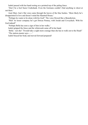Isabel paused with her hand resting on a pointed top of the paling fence.

'Don't be a fool Susie Cruikshank. Even the Germans couldn't find anything to shoot at out there.'

Aunt Mary Ann's flat voice came through the leaves of the lilac bushes. 'More likely he's disappointed in love and doesn't mind the Haunted House.'

'Perhaps he wants to be alone with his God!' The voice flowed like a Benediction.

'Well 'tis lesser company he's got Dorcas Penney, with Josiah and Coveyduck. With his God indeed!'

'Perhaps Bella has seen a sign of him in her walks.'

Isabel gripped the fence and the whitewash came off in her hand.

'Bella—not she! 'Twould take a sight more courage than she has to walk out to the Head!' 'The station-master says——'

Isabel braced her body and moved forward prepared!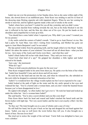#### Chapter Five

Isabel ran out over the promontory in her Sunday dress, but as she came within sight of the house, she slowed down to an indifferent pace. Peter Keen was striding to and fro in front of the decaying steps flicking cigarette ash with impatient fingers. When he saw her coming he strode to meet her, and his lighted cigarette made a thin curl of smoke in the scrub.

'Isabel, where have you been? I waited for you all day yesterday and you didn't come.'

Her eyes were dazzled from walking towards the sun, but as his body blocked it out she saw it reflected in his hair, and the blue sky shine out of his eyes. He put his hands on her shoulders and compelled her to look up at him.

'You should have come Isabel when I expected you. Why didn't you come? I wanted you for my picture.'

A shy smile curled the corners of Isabel's mouth. 'I had to go to Aunt Dorcas's to tea. She had a party for Aunt Mary Ann who's visiting from Lunenburg, and Mother has gone out again to Aunt Maria Benjamin's and I'm not asked.'

His lips parted widely from his gleaming teeth, and his laugh rolled over the Head. 'Isabel, Isabel I do adore the names of your relations! You must tell me all about them—what you had for tea—how many of the Aunts and Uncles were there—and what they said.'

Isabel's black lashes fell on her wide cheek bones. 'They said you were a spy.'

'Good God what kind of a spy?' He gripped her shoulders a little tighter and Isabel relaxed to his hands.

'Just a spy,' she murmured.

'What do I spy?'

'Places to hold concrete platforms for guns for the next war.'

Peter Keen wrapped Isabel in his arms from sheer joy. He spoke over the brim of her white hat. 'Isabel how beautiful! Come and sit down and tell me more.'

He took her by the hand and ran into the sun, and when he released her, she subsided on the rock while he dropped in contented relaxation at her feet.

'Isabel I've wondered how the village would explain me but I never expected to be a spy.'

Isabel looked at the path of light on the water and the shy smile spread to her eyes and widened her lips. 'You're a hermit and a woman-hater, and you don't mind the haunted house because you've been disappointed in love.'

He sighed with delight, 'so often Isabel, but I got over it.' He took her hand and looked up under the white hat. 'Am I a woman-hater Isabel?'

She said hastily. 'You're also a secret drinker and you like your drop!'

Peter Keen threw back his head and roared and Isabel watched the bared teeth and the brown lashes with light tips. 'Not very secret Isabel, and the last is not exactly a libel. I do like my drop.'

'So they say! The train brought you in a case of whisky and a case of wine.'

He still held her hand, but he put it back on her lap and dropped his red head against her knees. 'Isabel, you may as well know the worst before they tell you. It also brought me a barrel of beer. Stevens loves beer!'

She tried not to notice the weight of the red head. 'Uncle Seth was delighted to hear you were a drinker.'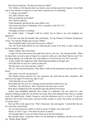Peter Keen looked up. 'He likes his drop too Isabel?'

'Yes I think so. We had port that was twenty years old that came from Oporto. Uncle Seth said it was wasted on women as it came from a special year of something.'

'A vintage year Isabel?'

'Yes, that's what he said.'

'Did you drink the port Isabel?'

'Yes I had two glasses.'

'Little drunkard, and did all the Aunts drink it too.'

'All except Aunt Susie Cruikshank, who's a member of the W.C.T.U.'

'The WHAT Isabel?'

'I thought you knew everything.'

He smiled widely. 'I thought I did too Isabel, but be kind to me and enlighten my ignorance.'

It was the tone that she dreaded. She said hastily. 'It's the Woman's Christian Temperance Union. You sign the Pledge and you get a ribbon.'

'How beautiful Isabel, and Aunt Susie wears a ribbon?'

'Yes, but Uncle Seth told her he was following the words of St. Paul, to take a little wine for his stomach's sake.'

'Isabel, I think I like Uncle Seth.'

'I expect for the same reason that made him want to visit you,' she said practically. 'When he heard that you had a store of liquor he wanted to walk out to the Head. But he won't! For one thing nobody ever walks this way, and another it's too far for his size. He's very fat!'

'A pity, Isabel! We might have had a Bacchanal and talked of foreign seas.'

'He'd like that: he says he's sailed on them all.'

'Do they know you come out here, Isabel?'

'Oh, no,' she answered quickly, 'they think I walk on the promontory and stop short of the house.'

'Don't they ever ask you questions?'

'My Mother always answers her own questions, but Aunt Dorcas does sometimes. She asked me last night if I'd seen any sign of you.'

'And what did you say, Isabel?'

She looked into his eyes for a fleeting second and then looked out to sea.

'I told her,' she said slowly, 'that I'd passed your man once or twice.'

Peter Keen wrapped his arms around his legs and smiled at his knees.

'Isabel, what delightful duplicity! But worthy of a diplomat.' He was silent for a few minutes looking towards the sea and the sun came down and saturated them both in a golden circle. He sighed lazily, 'Isabel, I meant to work this afternoon, but it's so lovely. I've got the half-shut eyes of the Lotus-eaters, and feel terribly content to watch "the tender curving lines of creamy spray".'

Her eyes flew wide open to his. 'That's Tennyson,' she said eagerly, 'I picked that line out for a fine day on the beach.'

'So you read Tennyson, Isabel, as well as stories of Spain? Any other poet?'

'Keats, it's all I've got. I won them for prizes at school.'

'It's enough Isabel, if you can forget Tennyson in his bad moments.'

She told him shyly, 'sometimes when I'm not thinking of Andalusia, and the sea is wild I say, "Break, Break, Break." '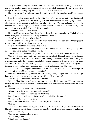'Do you, Isabel? I'm glad you like beautiful lines. Beauty is the only thing to strive after and it's an endless quest, but it comes at such unexpected moments. If you wish it often enough, some day a stately ship will go by and take You to Andalusia.'

Her mind gave a foreshadowed leap. 'But oh for a touch of a vanished hand,' and she sat rigid and silent.

Peter Keen sighed again, watching the white foam of the waves lap lazily over the jagged rocks. The dove grey backs of the hovering gulls looked blue under the burning sky. 'Isabel, I also intended to be very active and show you a beautiful cove. It's steep and dark and damp in the back with a beach of grey stones that the tide doesn't quite wash over, and it's very, very private if you care to climb down and risk your neck.'

'Deadman's Cove,' she said briefly.

He turned his eyes away from the gulls and looked at her reproachfully. 'Isabel, what a horrid name, and I felt so alive in it. Why do they call it that?'

'I don't know. Perhaps for Coveyduck.'

'Well, I didn't see any sign of him, and I swam right out to open sea, past all those jagged rocks, slippery with seaweed and many gulls.'

'Did you look at their eyes?' she asked hastily.

'Strangely enough I did. Not when I was swimming, but when I was painting, one swooped down and looked straight into my face.'

A breathless 'yes' was her only question, and he looked at her with contracted brows.

'Yes, Isabel, and I knew just what you meant by Helluland! That gull simply looked at me with yellow hate. I was fascinated by such cold ferocity. I wanted to paint it with your grey eyes recoiling, and I did rough in a sketch, but I couldn't manage a design to show your eyes and the gulls, and besides I can't paint yellow cold. It's all wrong.' He sighed again. 'I intended to work on that too, Isabel, and here I just sit and sit, and you'll be gone soon.'

She touched the package of sandwiches with her white canvas shoe. 'I don't have to go so early this afternoon. Mother is staying out to tea.'

He turned his whole body towards her. 'Of course, Isabel, I forgot. You don't have to go home to put the kettle on! You can stay to tea with me. How beautiful!'

'I've brought a sandwich so that I could stay out.'

'Where? That little packet! Isabel you must eat like a bird. I'm afraid I like my food as well as my drop. Stevens!' He turned towards the house and his round even voice went over the Head.

'We must eat out of doors,' said Isabel hastily.

'Wouldn't you like to put your legs under a table?'

'No, no, out of doors. I couldn't go into the house.'

Peter Keen turned back to her. 'Isabel, you're not afraid of the house?'

'No, no, but it's so lovely out here.'

Peter Keen shook his head. 'Isabel, I'm afraid you are. Stevens!'

'Yes, sir.'

Stevens' tall thin figure had appeared at the top of the decaying steps. He was dressed in black trousers and a white linen coat, and his face above a stiff collar rose impassive and calm.

'Stevens, I want a picnic.'

'Yes, sir, very good, sir. Hot or cold?'

'Hot or cold, Isabel?'

'I think cold out of doors.'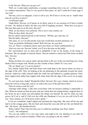'Cold, Stevens. What can you give us?'

'Well, sir, I could make sandwiches, or prepare something from a tin, sir—a lobster salad or a salmon mayonnaise. They're very good in these parts, sir, and I could devil some eggs if you wish.'

'Stevens, you're so adequate, I leave it all to you. We'll have it in the sun at—Isabel what time do you have to leave?'

'At half-past eight.'

'Eight-thirty! Stevens, we'll picnic at six-thirty, and as it's an occasion we'll have a bottle of wine.' He smiled at Isabel, his blue eyes full of laughing mockery. 'What have you got in that case that came in on the train, Stevens?'

'Well, sir, the choice was restricted. This is not a wine country, sir.'

'What do they drink, Stevens?'

Stevens spoke expressionlessly to the horizon. 'Whisky, gin, and rum, sir.'

'But the ladies, Stevens?'

'The same, sir, so I'm told and the wine lists would bear out that statement, sir.'

'Truly an alcoholic Helluland, Isabel! Well, Stevens, do your best.'

'Yes, sir. There's a moderate sherry and a nice hock, sir. Some Liebfraumilch, sir.'

'And very nice too, Stevens! Isabel, you'll love the nuns on the bottle.'

The conversation was as alien and as delightful to her as the beauty of the Song of Solomon. She sat upright in tranced silence. Stevens started to retreat but Peter Keen recalled him. 'Stevens.'

'Yes, sir.'

'Bring out those two canvas chairs and put them in the eye of the sun and bring me a long drink of beer to begin with. Would you like a bottle of beer, Isabel? It's very cool.'

'Oh, no, thank you. I've never tasted it.'

Very shortly Isabel Pyke and Peter Keen were sunk deep in the canvas chairs set close to the edge of the cliff. They sat looking at the sea glistening in flat quietude towards the misty horizon. Isabel lay softly relaxed under her white hat and bathed in a golden glamour. Peter Keen sipped clear amber beer topped with white foam like the edge of the waves on an angry day.

'So cool and clear, Isabel! Wonderful fellow Stevens! He's got a basket which he lowers down the well on a long rope, and it's as cold as the eyes of the gull down there.'

'Does he always cook for you?'

'Amongst other things. I take him everywhere with me because nothing is impossible to him. When he found out that the pony and cart which does his transportation, stopped short of the house he got a hand cart and pushed the things out himself. By and by when my hair grows, he'll cut it, and if I fall over the cliffs into Deadman's Cove (as you call it) he'll call out, "Just a minute, sir, I'll be down with a splint." '

It was too wonderful. Isabel sighed and stretched her long body. She took off her hat and laid it on the scraggy grass. She lay back and closed her eyes and still saw the sun behind her lids. 'Mr. Keen,' she breathed slowly.

'What, Isabel? That's the first time you've called me anything. Say Peter, Isabel.'

'I can't,' she whispered.

'Yes you can, Isabel, it's a very easy name, and ought to be very familiar to you after all the chapters you've read on Sundays. What were you going to ask me, Isabel?'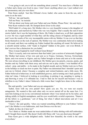'I was going to ask you to tell me something about yourself. You must have a Mother and a Father and a home you lived in once. I don't know anything about you. I just walked over the promontory and you were there.'

Peter Keen smiled. 'Just like Elfrieda's lover, Isabel, who came in from the sea, only I came in on the train.'

'Tell me,' she said hastily.

'Tell me Peter,' he insisted.

'Tell me about your home and your Father and your Mother. Please Peter,' she said shyly.

Peter Keen wanted to talk. He slumped down lower in his chair.

'Well Isabel it's a long story. My Mother who is a very beautiful woman is the daughter of an Ambassador, and married my Father who was very English. That's usually the end of most stories Isabel, but it was the beginning of theirs. My Father is dead now, so all their opposition is over. He was a rigid member of what they call the ruling classes of England, and my sister and I were the results of his very incompatible union with my Mother. It was over us that they broke themselves on the rock of opinion. My Mother was very continental, believed in making us all round, and there was nothing my Father loathed like anything all round. He believed in a smooth neutral surface, with "made in England" hidden in the grain—not even British, if that's not too fine a distinction for you Isabel.'

'Does it mean England by itself without Great Britain?'

'That's it exactly, and even narrower than that Isabel: just a section of aristocratic England. My Mother had money of her own and sent us to France, Germany, Norway, Switzerland, Spain, and even across to Algiers, and my Father brought us home and sent us to the seaside. We were always travelling in our childhood. My Mother gave me pencils, crayons, paints, and brushes and my Father took them away and sent me out to play cricket. I was bundled off to school—prep. and public—to be made in the English mould, and my Mother took me to Paris in the holidays to teach me how to paint. My Father was determined that I shouldn't paint and sent me to Oxford, where I became a complete and wicked hedonist, and a little more. My Father believed in behaviour, in well established grooves, and in turning one's back quickly on what isn't done. I believed in looking at everything, in picking it up, sampling it, tasting it, and throwing it away if it offended me. I had to find out for myself and because I was in rebellion to my Father's ideas I behaved a little worse than I might have done in the ordinary way.'

She said quickly, 'your Father and you are antagonistic.'

'Isabel, hoist with my own petard! How quick you are. No, we were not exactly antagonistic. We wanted to like each other only we never started off on the same foot. I've seen him looking at me in my conventional moments when I was turned out by his tailor, and talking mildly in English unemphasis, and his eyes would hold a wistful expression. "Damn it all the fellow is a gentleman," sort of thing, but when I talked innovations and art I was intolerable to him.'

'I know,' she said quickly, 'when you wanted something different to your Fathers' before you! Like Mother is over bathrooms, and Aunt Dorcas over the taxi.'

'Isabel, do they do it here too?'

'Yes I think so. Mother made me wear underclothes of white shirting with stiff embroidery until I bought them myself. She doesn't hold with flimsy silk "you can shoot peas through"!'

Peter Keen gave a wide delighted smile. 'Isabel how beautiful, the world is the same everywhere.'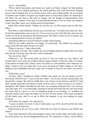'Go on,' she breathed.

'When I talked innovations and modern art, Isabel, my Father cringed. He liked painting of course, like every English gentleman, the family portraits, and a nice farm horse bringing home a load of English hay, or an obvious picture with a story telling quality. He was steeped in tradition and wouldn't recognize any modern ideas or forces that couldn't be expressed in old forms. He was dead to the spirit of change, and the thought of Impressionism, Post Impressionism, Cubism, or the idea of expressing abstractions in line or colour was madness to him. One didn't show one's feeling much less paint them!'

Isabel Pyke looked doleful. 'Perhaps he was like me: six little houses and six little fishflakes<sup>'</sup>

Peter Keen's smile bathed her like the sun in the Heavens. 'No Isabel your mind isn't shut. He had the opportunities and you haven't. If you were away from this little Bay and out in the world you'd soak up atmosphere like blotting paper. My Father's mind was set in granite, and I never understood how he loved my Mother.'

'Something different to himself which he couldn't help wanting.'

'Well his love didn't make her very happy,' he said grimly. 'My Mother was beating her wings all her life and I think she got very tired.'

'Where is she now?' Isabel asked softly.

'In the South of France. She couldn't get out of England quickly enough when my Father died, but she'll go back when she sees it more moderately.'

'Do you see her often?'

'Whenever I can. She always pulls me back if I lean too much one way. When I left Oxford, after I was twenty-one (without taking a degree Isabel) I wallowed a little, I'm afraid, in the stream of modern life. Liberty went to my head in a wild unbalance and I behaved very badly. I forgot to tell you Isabel that it was never any good my Father cutting me off with a shilling as my Grandfather had left a large sum of money in Trust for me until I was twentyone.'

'Where did you go?'

'To Paris where I thought my Father wouldn't hear about me, but my Mother arrived.' Peter Keen closed his eyes. 'I can see her now Isabel—very lovely, smooth, and groomed, and dressed like a dream. She told me mildly that I was a heresy to her theories, and that I'd had quite enough experience and liberty to keep me from such a violent reaction to my Father's domination. She further reminded me that taste was extremely important and I was showing very little signs of it. I was thoroughly ashamed of myself and found Stevens and went round the world, and as I grew to a love of simplified design in my painting, so I modified my outward conduct, but it took time Isabel, as I do love the four corners of the earth, and places off the beaten track, and I'm so apt to follow the moment, to my own undoing on many occasions.'

'And others too I expect,' she said gravely.

'I expect so Isabel, but when I want to really paint, I go off by myself and Stevens looks after me, just as he does now.'

Isabel turned it all over in her mind. 'What did your sister do between your Mother and Father?'

'Took what both had to offer and managed to keep a foot in both camps. My Father adored her in his distant way, but she disappointed him too. He wanted her to marry a Naval Officer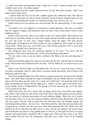—a really marvellous looking fellow with a figure like a God. I wanted to paint him, but he wouldn't pose for me. Too damn modest.'

After seeing her picture Isabel understood how he felt. She asked quickly, 'didn't your Sister want to marry him?'

'I almost think she did, but she had a phobia against the traditional mind. She told me she'd love to walk under an arch of swords with him, but she'd always imagine them over her head if she did anything that couldn't be explained on page four, line five, etc., etc.'

Isabel looked out to sea and her eyes were puzzled, but she asked politely, 'is she married now?'

'Yes Isabel: very, very happily to a well-known London Specialist. They have two babies like Fra Angelico's angels, and sometimes when I go there I have a dim distant vision of what might have been.'

Isabel's mind answered, 'there are no babies in the love I mean Isabel!' She looked at him wide-eyed in searching wonder as if he could explain all that she didn't understand. He met her eyes like pools of clear water, fringed thickly round the edges with lush growth. Unexpectedly he dropped on his knees beside her and wrapped his arms round her and her canvas chair. 'Isabel, your eyes, your child's eyes, with all their questions! You've never done anything you shouldn't have done have you?'

She whispered back from the terrifying nearness of his face, 'I've never had the opportunity. I don't know anything. How could I learn anything in this place?'

'Do you want to stay as you are Isabel, walking to the Head every day and dreaming of Andalusia?'

Isabel pressed back against the canvas in the chair, but the face with the blue eyes like bits of sky followed her and whispered below her chin. 'Tell me Isabel, do you want to stay as you are?'

Isabel's voice flowed wildly over the auburn hair. 'No, no, no. I want to go away. I want to see places and people, and live where there's sun and warmth and beauty, and in houses with bathrooms and silver taps.'

Peter Keen laughed kindly and softly and for a moment leaned his red head on her Sunday dress. 'Poor little Isabel, beating her wings in Helluland! And my Mother beat her's in better places, but beat them just the same! It's a mad, sad world Isabel.' He heard the thud of her heart and brushed her cheek with the lightest kiss. 'Isabel I see the signs of the picnic and a lovely Gothic bottle of Liebfraumilch.' He sprang to his feet and drew her out of her chair. 'Let's go and see my dear.'

Isabel Pyke had a day like a dream. She ate things she'd never seen before and sipped a pale yellow wine, unlike the rich red of Uncle Seth's port. Pink spots stood out on her cheeks, and she soared to a delicate intoxication of sweet nebulous things. When she was in doubt, and uncertain of how to act she sat in tranced stillness and Peter Keen directed her with warm and easy gaiety. Stevens went up and down the decaying steps and brought strange and fascinating looking dishes—all out of tins—Peter Keen told her, and when she tasted them she recognized the contents, but she had never seen them prepared like this. When they had finished she left a table that she didn't have to clear, and sat once again in the canvas chair, and watched the sun slant in a long golden path over the sea. A lone gull hovered in its dying radiance and poised lazily, translucent like a single pearl. When the time came to go, Peter Keen walked with her over the promontory until they were within vision of the huddled village.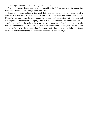'Good-bye,' she said mutely, walking away in a dream.

'*Au revoir* Isabel. Thank you for a very delightful day.' With easy grace he caught her hand, and kissed it with warm lips and strode away.

Isabel went home looking at the hand that yesterday had pulled the insides out of a chicken. She walked in a golden dream to the house on the lane, and boiled water for her Mother's final cup of tea. Her room under the slanting roof retained the heat of the day and she lingered sensuously over her nightly routine. She lay on the top of the honeycomb spread, with her eyes wide to the night, going over and over strange remembered conversation, while her hand retained the feel of his lips, and her knees and shoulder the weight of his head. She stayed awake nearly all night and when the time came for her to get up and light the kitchen stove, her body rose buoyantly to its feet and faced the day without fatigue.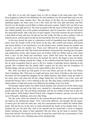#### Chapter Six

July drew to an end, and August came in with no change in the long sunny days. Peter Keen laughed at Isabel for her Helluland. He said Andalusia was all around them and even she marvelled at the many summer days. The sun shone on the Bay, the sea stretched away in sparkling ripples, the boats came in on a fair wind, the fish were split and dried, and flies buzzed over the bough covered flakes in black and azure swarms. Isabel's life was full of sun and warmth, and light and love. Her body accepted it like the touch of Peter Keen's hands, but she walked partially free of her golden enchantment, until he kissed her: until he had kissed her untouched mouth, silky with olive oil and virginity. From that moment she gave herself to a dual thrall of body and soul. He did not kiss her avidly, but like an artist, tentative with an untried canvas, and her passivity did not last beyond the first slow pressure of his lips.

As the days passed she spun in a glamorous world of expanding sense that nothing could pierce from the outside world of the house on the lane. She worked and cooked, and boiled and stirred skillets of red strawberries over the kitchen stove. Garden berries for number one preserve, and wild, for number two. These were followed by currants: red and black: and raspberries: garden and wild. She boiled and skimmed, and poured the steaming jam into glass and earthenware crocks, then cleared away her kitchen while her Mother had an extra snack from a slice of new bread and strawberry scum. Isabel fled down the lane towards the promontory, and her feet did not know the ground. By and by she began to pass the darkly dressed Stevens walking towards the village, as she walked towards the Head, but he accorded her no more recognition than he gave to the low clumps of partridge berries ripening on the ground. She wondered that the people didn't suspect her but they had the acceptance of familiar things, and she was known to be stand-offish so they let her be.

Mrs. Pyke was taken up with games of fives and forties and teas for Mary Ann Wilkes from Lunenburg. Mrs. Pyke put on weight and grew more short of breath as she trod across the beach, but she taunted her daughter for her added slimness. But Isabel's body felt fuller to her inner sense, and when she left the village behind her, she lifted it out of her waist and pointed her breasts, like a votive offering to the sun. She spun along a timeless path where the sharp outlines of right and wrong were dulled by the feelings in her own body.

All through August Isabel was subtly kissed, painted, and caressed out on the Head rising straight from the sea and in the little cove, reached by a hazardous path, and surrounded by granite and shaly cliff. The sun barely penetrated, and the sea washed at their feet as they lay in the shadow, while Isabel's blood flowed with a languid sweetness, and she was lost to the eyes of the gulls, Andalusia, and every other thing.

The day came when she returned to the crimson-floored kitchen and stood tranced with her hand on the earthenware teapot. 'Now I must look different,' she thought. But the square of mirror gave her back the same face, only her consciousness had to admit she looked rather pretty. She put the tea on the stove to steep and placed her hands on her slender body. For a moment she saw the girls who 'had' to be married and her mind held a vision of ungainly bodies straining the seams of their garments! But she threw up her head in reaction. Peter Keen had told her! He burned out her fear, he freed her mind from any consciousness of her actions, and woke every vibrating sense in her sleeping body.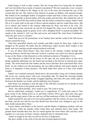Isabel began to look at other women. Was she wrong about love being like the animals, and were the dullest faces masks of natural concealment? Was her experience every woman's experience? She walked in the village on her way to the store and searched the eyes of the woman that she met. She stared at inert slatterns in groups of children with smeared mouths. She looked at the misshapen bodies of pregnant women and back at their joyless faces. She stared more hopefully at decent bodies with neat clothes and neat hats. She studied the wife of the merchant, but all the faces held no flame and the bodies contained no spring. Isabel's body felt as if it could walk on the tops of flower starred meadows and not weigh them down. She sat in church and looked at the minister addressing his flock, and then at his wife. The minister's black arms sawed the air and his fist banged the shiny cover of the great Bible. Could those banging hands lie gently on his wife's delighted flesh? It seemed incredible! The mouth of the minister's wife was thin and severe and looked like Aunt Susie Cruikshank's when she said 'wine is a mocker'.

Isabel fled out over the promontory in her Sunday dress and the world of the little brown church seemed far away.

Then they quarrelled: bitterly and violently and didn't speak for three days. Isabel's feet dragged on the ground, the kettle and the earthenware teapot became dead weights in her hands, and every passing second seemed anchored with lead.

It was all about Head House! They had rested in the summer weather through their growing intimacy, and the days had only varied in a summer way, and it was always agreeable to stay on the Head, or hide themselves in the sheltered seclusion of Deadman's Cove.

One afternoon as Isabel left the house on the lane, the sky soared above in thin silver height, gradually darkening over the beach and receding to the horizon in massed grey angry clouds. The wind stirred the lilac bushes and the leaves hid their faces and turned their silver backs. As she walked over the promontory the sea rolled restlessly and struck angrily at the boats as if impatient of their presence. The black hulks blew about as if they were feather weights.

Isabel's eyes strained anxiously ahead and as she proceeded a long roll of distant thunder fell on her ear, coming nearer with every succeeding clap. Far ahead the lowering thunder clouds were broken with long streaks of jagged lightning, and when she came within sight of the house the thunder was louder, and the lightning more frequent.

Peter Keen was standing so near the edge of the cliff that it seemed as if a breath of wind would send him down to the granite rocks below.

'Peter,' she called fearfully, 'don't stand so near. The wind is rising.'

But he called back exultingly, 'Isabel isn't it magnificent. If I could only paint it! That great sweep of sky falling down on us and those colours! Silver grey, dark grey, blue grey, black, and the angry green of the sea, and way off that undertone of blue. It's too defeating!'

Isabel reached his side and even in his preoccupation with the colours, his arm went round her body, and she saw that his eyes that should have been blue were changed to grey by the dark clouds massed above them.

It grew darker, and blacker on the horizon, and the flashes of lightning streaked, with less time between, while the thunder rolled round them and clattered above their heads. The ground shook beneath their feet, the sea roared against the storm bitten cliff, and they stood together in a vast sense of lonely violence, shattered only by elemental noise.

'Isabel we might be the only two left on the Day of Judgement.'

She grew smaller in the circle of his arm and crowded against his body.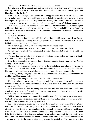'Peter I don't like thunder. It's worse than the wind and the sea.'

She shivered a little against him and he looked down at the wide grey eyes staring fearfully towards the horizon. His eyes drew hers to his own and he murmured, 'grey and black Isabel, like the day.'

Fear faded from her eyes, like a stain from shining glass as he bent to the silky mouth only a few inches beneath his own, and because Isabel hated the outside world she tried to ease herself past his lips and crowd her way into his warm body. Her desire for him as a lover and a sanctuary went into her kiss and they stood silent like a single figure of life in an empty world. The rain separated their faces but not their lips, and they stayed locked together savouring the cold drops that tried to seep between their warm mouths. When he held her away from him her hair was plastered to her head and the red of his was changed to a wet brown. The thunder came back to their ears.

'Isabel, we must run.'

Laughing, he took her hand and with heads bent they ran effortlessly towards the house, but as they reached the decaying steps the weight of her body fell back on his hand. He looked behind 'come on Isabel, we'll be drenched'.

Her weight stopped him again. 'I'm not going into the house Peter.'

He dragged at her hand, 'yes, you are, Isabel. It's fantastic nonsense and I insist.'

'I won't go,' she said flatly, and strained to release her hand but he gripped it tighter in annoyed insistence.

The rain that had tried to beat its way between their joined bodies now ran in a steady stream through the wide space between them.

Peter Keen snapped at her shortly. 'Isabel this is no time to discuss your phobias. You're coming inside if I have to carry you.'

Her eyes blackened, as he stepped down to her level and glared above her with great drops of rain running down his face. In her thin dress she looked as if she had come up from the sea. Her hair looked black like her eyelashes, and her eyes were wild, and black as both.

'Let me go Peter,' she gasped, and her strength almost freed her, but wax in his hands he couldn't stand her sudden resistance.

'Isabel you're coming into the house.' And now his eyes were black.

She dragged away, but with a quick gesture he jerked her towards him, and put one arm around her body and the other under her knees. She was lifted to his chest, and his legs were flexed towards the bottom step.

Like a maddened captive she swung her arm, and with her long hand taut and flat she struck him strongly in the face and the vibrant slap rang about the clatter of the thunder, while her hand tingled in a thousand pin points.

With a muttered curse he dropped her quickly, rage flooding him in an angry wave. Without a backward glance Isabel bent her head to the rain and streaked over the promontory like a sobbing, wounded thing cast up by the sea.

Isabel never dreamed of staying away from the Head. She was too inured to acceptance not to do the same thing every day. After an unhappy night she found the world was washed clean by the rain though it was an indefinite day, and only undertones of blue and gold came from the sea and the sky. The afternoon found her sitting immobile on her rock, and it found Peter Keen with his back to the land making a wide and free design of the scene in front of him. There was no evidence of the numerous canvases he had made of Isabel, and neither by word nor by sign did he acknowledge her presence. He painted as if he were alone in the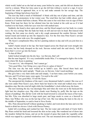whole world. Isabel sat as she had sat many years before he came, and she did not shorten her visit by a minute. When her time came to go she left him without a word or a sign. It never crossed her mind to approach him, or to try and make amends for her savage slap. The beginning of things had always been his!

The next day held a touch of Helluland! A bleak cold day out of place and time, and she walked over the promontory in her winter coat. The wind blew her hair wildly about, and it seemed as if summer had been a dream. When she came to her rock there was no sign of Peter Keen. Pride kept her there for her allotted time but she looked at the cold sea as if it had washed over her heart, while her eyes were hot with unshed tears.

Suddenly she heard a door open and close, and the blood surged over her body in a warm wave. He was coming! But she bade her body sit still and not turn its head. But tranced with waiting, the feet came too slowly, and a dry cough announced the sombre Stevens. Isabel turned round and looked up into the impassive face. For the first time Peter Keen's servant really saw the clear wide eyes. He coughed again.

'Mr. Keen's compliments Miss, but he's painting indoors to-day and will you join him in a cup of tea.'

Isabel's hands tensed in her lap. Her heart leaped across the Head and went straight into his arms, but her body drooped on the rock. Stevens waited until she said slowly, 'tell Mr. Keen that I CANNOT go into the house.'

'Is that all Miss?'

Isabel looked straight into the dry face, 'yes Stevens, that's all.'

But the man lingered. 'It's very comfortable inside Miss. I've managed to light a fire in the room where Mr. Keen is painting.'

'I'm sure it is,' she whispered, 'but I cannot go.'

'Very good Miss. Can I bring you a cup of tea or a glass of sherry?'

The tone was dry but tears welled up in Isabel's eyes. She forced them back and something jerked her spirit upright. 'Thank you, no Stevens. I don't need anything.'

She gave him a very faint smile and said simply, 'I sat here many years before you came, Stevens, and I'll sit here many years again. I'm used to the cold.'

'Yes, Miss. Very good Miss. I'll tell Mr. Keen.'

The unexpected dry kindness of the man's voice threatened Isabel's control. She rose as if she were under Peter Keen's eyes, threw back her head to the wind and walked away with a dauntless step. But she cried all night while the Grandfather's clock tolled away the hours.

The next morning the sky was dazzingly blue and when she went out in the backyard the light hurt her sleepless eyes. Big white clouds went floating by, puffy like the tops on the Queen of puddings. She did her work with her head lowered to conceal the traces of her tears, but Mrs. Pyke was absorbed in large meals past, and large meals to come as a farewell to Mary Ann Wilkes who was on the last lap of her visit. She was taking the train to the city in the middle of September, to catch a boat to Nova Scotia.

Mrs. Pyke dressed herself without speaking to Isabel, and went down the lane and over the beach to drink her eleven o'clock with Dorcas Penney.

Isabel left everything and washed her hair. The hot water and cold dash of Uncle Seth's Bay Rum cooled her head and loosened the skin on her scalp. She wandered out of doors into the meadow behind the house, and sat on the mound of grass that made the vegetable cellar which was topped by a pointed windowless roof. The sun streamed down and warmed her, as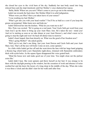she closed her eyes to the vivid burn of the sky. Suddenly her taut body eased into long relaxed lines and she slept timelessly until her Mother's voice shattered her repose.

'Bella, Bella! Where are you now? What's come to you to go out in the morning.'

Isabel ran towards the back door. Her Mother filled it in solid indignation.

'Where were you Miss? Have you taken leave of your senses?'

'I was washing my hair Mother.'

'What's got into you with your head washin'? You'll be as bald as a coot if you keep the grease out perpetual. Make haste now and help me.'

Isabel followed her into the kitchen. 'What do you want me to do?'

Mrs. Pyke was excited. 'We're going on a real jaunt. Your Uncle Seth got word from your Aunt Jose's up the shore to bring up your Aunt Mary Ann. He's taken the taxi—mind you! And we're starting as soon as we take dinner at your Aunt Dorcas's; and what's more we're going to stop the night and won't be back till dinner time to-morrow.'

Isabel's heart leaped, then beat drearily on. What was the good of her freedom now? 'Who's going Mother?' she asked quietly.

'Well you're not, that's one thing. Just your Aunt Dorcas and Uncle Seth and your Aunt Mary Ann. That's all the taxi will hold. Come on now, come upstairs.'

In a little while Isabel got her off and she went down the lane with her large hand gripping a Boston bag which held a new flannelette night-dress, trimmed with flannelette embroidery thick with eyelet holes. As the square figure disappeared the voice grated back.

'Mind the house now and make good use of your time. You might clean out the parlour extra like.'

Isabel didn't hear. She went upstairs and threw herself on her bed. It was strange to lie there with the daylight pouring in the window, but the cessation of work and absence of noise soothed her and she knew the luxury of a long sleep in the middle of the day. When she woke it was three o'clock and she didn't start for her walk until after four.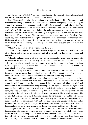### Chapter Seven

All the canvases of Isabel Pyke were propped against the backs of kitchen-chairs, placed in a neat row between the cliff and the front of the house.

Peter Keen stood studying them, motionless in the brilliant sunshine. Yesterday he had realized the meaning of the word Helluland, and if a train had been going towards the City he would have boarded it on a sudden impulse, and let Stevens pack up and follow after. The chill of the outside world and his coldness towards Isabel Pyke had destroyed his capacity for work. After a fruitless attempt to paint indoors, he had come out and tramped restlessly up and down the Head for several hours. But Isabel Pyke had gone then! He had seen her rise from her rock, and lift her body out of her waist and point her breasts to the wind. The sight of the dauntless gesture had made him feel captive and restless in the stuffy room. So much sea air in his lungs made them feel cramped in the glow of a fire, and he had thrown down his brushes in frustrated effort. Something had changed in him, when Stevens came in with his expressionless message.

'Miss Pyke says, sir, she CANNOT come into the house.'

The inscrutable emphasis on the word 'cannot' swept the cold anger and indifference out of his heart, and he felt as he sometimes did, after he had seen his Mother—wrong and unbalanced.

Where he had seen Isabel crude and wild with her savage slap, he now saw her coerced to his unreasonable domination, in the way he had tried to force her into the house against her will. He should have sensed that her reasons, whatever they were, came from some deep spiritual repudiation of the house. The fact that she wouldn't enter it with  $H_1M$ , made him realize the finality of her decision.

He was waiting for her now, and a careful examination of his canvases made him impatient to see her slender body outlined against the sky. The promontory ended with a slight dip towards the sea, and he couldn't anticipate her approach from a long distance.

His capacity to paint would be returned when she appeared, and impatiently he waited. She had become an integral part of his life on the lonely Head, and as long as he stayed, she would be as indispensable as the air he breathed. When his work had failed, his mind had reached out to her eager unformed companionship, and his eyes had desired the sight of her upturned face drinking in his every word. And her tall slender body with its tapering lines and springing breasts. In freeing it from its lonely thrall to the wind and its strange exotic dreams of Andalusia, he had awakened a clean fresh flame for himself, like a burning-glass on his own flesh. Sometimes when she left him he wondered if her strange eyes wouldn't follow him all his life. Isabel Pyke! Wouldn't the brief little name leap out of the varied confusion of other names, and her eyes dominant in still beauty, the other flickering glances that he held in his memory. She had stamped herself upon his canvases and sometimes he stood fearful before the strength of his work. Her eyes seemed to follow him around and the eyes of the gull.

The Eyes of the Gull! That picture had a fearful fascination for him! He had developed his fanciful sketch to a canvas of her head and shoulders, with a snowy-breasted gull hovering above her eyes, and claiming them in paralysed fear. He hadn't been able to show the eyes of the gull, but their yellow ferocity had gone into the slightly curved beak. Peter Keen was afraid of that picture and didn't look at it often. It had seemed to run away with him and paint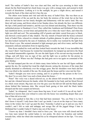itself. The outline of Isabel's face was clear and firm, and her eyes arresting in their wide dread, but the flesh beneath her cheek bones was grey with a strange taint, and seemed to hold a touch of dissolution. Looking at it in the sunlight, he gave a slight shiver, and turned it towards the back of the chair and let it face the sea.

The others were human and vital and told the story of Isabel Pyke. She was there as an elemental creature of the sea and the sky, her body the mistress of the wind, but on her face above he had drawn out her lonely thoughts and disharmony with her native land. She was there tall and young, and blown about in her Sunday dress, but already the face was different, the lips a little parted and tentative, and the eyes less distant and dreaming. Then there was the unfinished picture in Deadman's Cove! They called that Andalusia and Helluland! Peter Keen had clambered down, several times and painted the cove when she wasn't there, and when the light was chill and cool. The surrounding cliff of granite and shale veered from grey to black, and showed a moist patch of inky shadow. The tiny stretch of beach held the honey-coloured body of Isabel Pyke, relaxed in a slender attitude of golden glamour. In spite of the grim cove her skin looked warmed by the suns of Andalusia, but in reality was warmed by the light from Peter Keen's eyes. She seemed saturated in light amongst grey and silver tones, and her body emanated a delicate animalism from its tapering lines.

Peter Keen studied his work and then looked back towards the land. It was incredible that she wasn't there! And because he wanted her immediately he tramped up and down the Head and smoked innumerable cigarettes. He saw the dark figure of his servant moving towards the village, and still there was no sign of her, and the light was so perfect for the picture in Headman's Cove! Where was she? Perhaps she had gone out to tea again on command of the grim Mother.

He had tramped past the row of chairs many times before he saw her tall figure outlined against the sky. He watched her tread the slight descent, noting the slowness of the steps that usually skimmed so effortlessly over the scraggy grass. But her shoulders were back and her face was tilted to the warmth of the sun. He strode past the house and his voice met her first.

'Isabel I thought you were never coming, and it's so perfect for the picture in the Cove. My dear I'm so sorry that I was such a brute about the house—'

'Peter!' Her voice was a dazed relieved cry, as she almost fell towards him. He reached her and she vibrated between his hands, while life bounded in her body and her blood flowed in a thick sweet stream. Big tears ran over the grey eyes but did not fall and the black pupils shone behind like luminous dots. She swayed back gazing at him until the black lashes drooped and the tears seeped out between.

'Isabel,' he whispered, 'don't waste those big tears. It isn't worth it! It was all my fault. I should have known that your refusal to come into the house was something deeper than your fear of that old wives tale.'

Her voice gushed to him like a river that had been stemmed. 'Yes, yes Peter it is, but I don't know it myself. I only know that I can't go inside. I can sit on the steps as I have many times in the winter, but I can't go past the door. Yesterday I ached to go in and see you, but I couldn't, and I felt so rude and unhappy and savage like all the jagged things I hate in Helluland but I couldn't help it! I had to stay out of the house.'

'I know my dear. I shouldn't have tried to force you.' Her eyes were still closed and the two lone tears turned the curled lashes to wet points. He drew her boneless and melted towards him, while her tilted chin touched his as he whispered almost on her lips. 'I'm sorry Isabel.'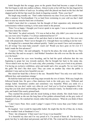Isabel thought that the scraggy grass on the granite Head had become a carpet of down. Her feet began to sink into endless softness. Almost in pity at her still face his lips lingered for a moment in the hollow of each eye. In aching relief she placed one hand on the face she had slapped and he felt her lips touch his cheek in lingering warmth. 'Peter, your face?'

His laugh rang roundly out. 'That's rather humorous my dear. Even your fist couldn't hurt after a summer in Newfoundland. I'm so hard from swimming in your cold sea that I shall have to ease my muscles back into civilization.'

Isabel's heart died for a moment, but the thought of their separation only skimmed her consciousness without scarring it, in her acute return to the present.

'Peter I'm so happy. I thought you'd never speak to me again. I was so miserable and the days have been like winters.'

'But Isabel,' he asked curiously, 'if it was as bad as that, why didn't you come to me and say you were sorry? Explain. I've always understood haven't I?'

Her face left the warm contact of his and drew back to look into his eyes. Her own were wide with amazement. 'Peter I never thought of it. I thought there was nothing to do but wait.'

He laughed for a moment then sobered quickly. 'Isabel you mustn't have such acceptance. It's all wrong! You must help yourself—reach out! Would you have gone on for ever if I hadn't made the first advances?'

'I expect so Peter,' she said unhappily. 'It must be the place, the wind, and the sea. They do what they like and we accept it. And Mother! Somehow she rolls over me like the sea rolls over the beach.'

For a moment her eyes were brooding, and he had the quick reflection that she was beginning to grope her way towards analysis. But he brought her back to the sunny day. 'Never mind it now my dear. It's such a day, after yesterday. I want you to look at my pictures. I'm having an exclusive exhibition, artist and model and a few sea-gulls. No we won't have the gulls! We don't like their eyes! They can come on another day when the public is admitted. Come and see how beautiful you are.'

She raised her head like a flower to the sun. 'Beautiful Peter? You only ever said I had a different face, and sometimes strange.'

He held her hand and went with long steps towards the row of chairs. With easy length she followed beside him. He gave a blue slantways look to the wide grey eyes. 'Different and strange Isabel. Sometimes sombre and sometimes very beautiful. When you smile it's a revelation, but you don't smile very often do you? And you've lived an imaginative life so long that you look aloof and brooding, but I haven't noticed it lately,' he finished with a wide grin, and Isabel Pyke nearly grinned back.

They reached the pictures and she stood looking at them silently. Her cheek bones were touched with pink as she saw the long lines of her golden coloured body on the grey rocks of Deadman's Cove. He watched her closely rather than the pictures. 'What do you think of them Isabel?'

'I don't know Peter. How could I judge? I expect I'll be worse than your Father would have been.'

He laughed. 'THAT would be impossible Isabel. He might like the bit of blue sky in them, but he wouldn't look at Deadman's Cove.'

'Peter,' she whispered, 'if that wasn't me I'd say it was beautiful.'

'It is beautiful my dear and I'm very proud of it. I'm proud of them all. The drawing is good, but they're individual and personal, and full of life. The wind and the sea seem to be in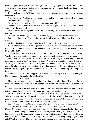them, and your wide eyes above those high cheek bones give you a Botticelli look. If they were more decorative, and you had on another dress they'd look quite dateless. I think you're going to make me famous Isabel.'

She asked sombrely. 'Will they make you famous because you painted them or because they are me?'

'Both Isabel. You've been a magnificent model and so much more than flesh and blood. You've no reserves in those pictures.'

'Why is that one turned away Peter? Is it the queer one with the gull?'

Without comment he reversed the picture and her wide eyes stared past in agonized dread at the snowy-breasted gull.

Isabel's hands locked together. Peter,' she said clearly, 'I've felt sometimes like I look in that picture.'

'No,' he said sharply, 'you couldn't. Not so strongly. It's just fanciful and imaginative.'

But she insisted, 'yes I have.' She paused in silent thought. Then asked hesitatingly, 'Peter?'

He looked at her with interest. 'What Isabel? Tell me! I like to hear your reactions.'

She felt for her words. 'There's a picture in our family Bible of Lazarus coming out of the tomb. I always hated it. He looks black and hollow and decayed round the eyes. Don't I look a little bit like that?'

'No,' he said in the same sharp tone, but Isabel Pyke said in her uncompromising voice, 'yes I do Peter, and also like the people I've seen in their coffins only my eyes are open.'

He turned the picture back to the chair appalled at the integrity of her opinion, but he answered her crisply, 'don't be morbid my dear. It's a mistake in painting. The flesh tints are all wrong. My mistake on an off day.' He pulled her round to face him. 'Is there time to paint in the Cove Isabel? Stevens will put these away when he returns. I'll just turn them away from the sun. Have you got to go rushing away? Somehow I wish you could stay for a long long time.'

Isabel Pyke's black lashes dropped to her cheeks, and rose again over wide smiling eyes. Her infrequent smile touched the whole of her face.

'Peter I don't have to go!'

He put his arms around her and laughed down into her smiling face. 'How beautiful my dear. Has your Mother gone out to tea again? Aunt Mary Ann must be having a whale of a time.'

'She's gone out to tea yes, but way up the Shore! Uncle Seth has hired the taxi! They're going to spend the night and won't be home until to-morrow at dinner time.'

He stared at her reflectively. 'What incredible luck! It's a compensation for our quarrel. What fun we can have. You'll stay all night Isabel?' His blue eyes blazed down on her. 'We'll paint in the Cove. It's a lovely day. Stevens will make us a picnic. We'll have a bottle of wine, several bottles of wine, and we'll watch the sun set and then—'

Isabel Pyke's eyes were black. 'I can't go into the house Peter. I must go home then.'

'No you mustn't Isabel,' he whispered. 'Ever read a lovely poem, "Sleeping Out: Full Moon." No, of course not, only Keats and Tennyson. I must send you some books when I go! There's no moon to-night but does it matter? We'll spread some rugs on the Head and watch the light fade and the stars come out, and we'll be all alone Isabel in the whole world, with nothing above but "the radiance of wings". No we mustn't have wings! They might be the gulls! Think of it Isabel? The stars overhead and the sound of the sea breaking at our feet.'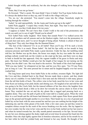Isabel thought wildly and recklessly, but she also thought of walking home through the village.

'Peter, they'd see me go home.'

He frowned. 'That's a point. We must think! I have it Isabel. You'll go home before dawn. It's always the darkest hour so they say, and I'll walk to the village with you.'

'No, no, no,' she protested. 'You mustn't come into the village. Somebody might be looking through the window.'

'Isabel,' he said reproachfully, 'do the Aunts and Uncles get up in the night?'

Isabel Pyke giggled. 'I expect they would, Peter, that night. They hate to miss anything! And if they saw you they'd talk about it for ten years.'

'I suppose so Isabel. We can't have that. Could I walk to the end of the promontory and watch you until you're out of sight? Would you be afraid?'

Now Isabel Pyke really laughed. 'How funny that sounds Peter! I've walked across the beach in all weathers and all seasons and on the blackest nights. And over the promontory in rain and sleet and snow, and I've never thought of being afraid. Nobody is afraid of that sort of thing here! They only fear things like the Haunted House.'

'The fear of the Unknown? It's in us all Isabel! Then you'll stay. It'll be such a lovely adventure. I'd like it so much. Please Isabel.' He laid his lips softly on her mouth in long sensuous pressure and Isabel Pyke made a great decision. Under his lips, her tumbling mind told her, her Mother was up the shore, the house was empty, the key was under the mat and perhaps nobody would look out the window as she crept up the lane, and there were no dogs to bark to herald her late approach. Only the vagrant waddle of fat geese in flocks and stray pairs. She knew her Mother would give her the length of her tongue for not turning out the parlour, but she didn't care. She was dead to the morrow. The hands of the clock had stopped. 'Will you stay Isabel,' he whispered on her lips, and her eyes flew open. 'Yes I'll stay Peter, just as long as I can.' His arms pressed her in return and he laughed happily over her newly washed hair.

The long hours sped away from Isabel Pyke in the swiftest, sweetest flight. The light left the Cove and they climbed back to the Head. Stevens made them a picnic, and they drank sherry out of a tumbler. It was Isabel Pyke's first taste and she followed it with many glasses from the tall thin bottle of hock. The yellow wine in her body raced the love in her veins and Peter Keen sat looking at her pink cheeks and shining eyes. He laughed at her and told her she was going to be like Uncle Seth, but the tranced stillness of her face drove the laughter from his lips and his hand shook a little as he drew her towards the canvas chairs in front of the house They watched the sun set and the sky gleam like a ragged opal pressing back on a sapphire dome. They saw the path of gold on the water dull to a leaden green. When the wind blew in a cool breath and the old house had dimmed to a dark square Peter Keen spread thick rugs on the ground and brought another to cover them. Their heads lay on a rise of ground and Isabel lay on her back with his arms around her and her eyes saw nothing but the height of the darkening sky and the white gleam of his teeth. Only a few stars came out and they rested in complete silence except for the wash of the waves breaking over the rocks. She lay lapped in her own wonder, but the wine in her veins and the love in her body melted out her last reserve and when he turned towards her, her silky mouth parted sensuously to his lips. Several times he saw her eyes shining against the dusky night and several times he pressed her head into his shoulder. Once she slept lightly against him in boneless relaxation, and he let his mouth lie on her hair while he held her yielded body and listened to her easy breath. He thought of her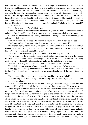tenseness the first time he had touched her, and that night he wondered if he had kindled a flame that might consume her, but when she waked and turned her drowsy mouth towards him he only remembered the freshness of her hair and the smooth touch of her skin. Then he slept and Isabel lay scarcely breathing, her heart drowned in tenderness for the strong relaxed body in her arms. Her eyes never left him, and the even breath from his parted lips fell on her breast. She had a strange thought that frightened her in its intensity. She wanted to clasp him closer until he died while her arms were around him, and she was sure he belonged to her. She had a wild desire to do it now and her shiver brought him back, 'Isabel my dear are you cold? You don't seem so.'

'No, no Peter hold me. I'm afraid of myself.'

Peter Keen stirred to wakefulness and wrapped her against his body. Every nuance found a pulse beat from himself, and she lost her strange thoughts against the vitality of his breast.

She saw the change in the sky. 'Peter,' she sighed, 'I must go. Some of the men might be going out in their boats.'

'But I'm so comfortable Isabel. Put your arms around me and we'll both go to sleep.'

'But I mustn't Peter. Look at the sky. Don't come. I know the way so well.'

He laughed lightly, 'don't be silly my dear. I'm coming with you. It's been so beautiful having you for such a long time. Your lovely, lovely body my dear! Kiss me before you go Isabel. You've become such a delightful lover.'

She kissed him with every drop of her blood and they both prepared to go.

They walked over the promontory hand in hand, and as they neared the houses they began to tiptoe. Suddenly Peter Keen's round laugh almost woke the village. 'Isabel we're walking as if we were overlooked by a thousand eyes, and even the gulls have gone to bed.'

'Sh-shush,' she laughed. 'I'm sure you've wakened Aunt Susie Cruikshank!'

'No Isabel,' he said solemnly, 'she smelt the Hock on your breath. "Wine is a mocker." '

Isabel giggled. 'The only one who wouldn't notice would be Uncle Seth. Don't come any further Peter. I'll be all right.' Her hands pressed against his chest as if she would force him back.

'I wish you could ring me up when you get in. I shall be so worried Isabel.'

'Don't be silly Peter. I must hurry. Look at the sky.' She was almost gone, anxious to feel secure in her own house.

'Isabel I'll watch until you're out of sight. Bless you my dear and good luck with the Aunts and Uncles.' Her hand felt the light contact of his lips, and she was off like an arrow.

When she got within the vision of the houses she crept silently in the shadows. She met the curve of the beach and saw the ghostly edge of the waves, but there was no gleam of lamps from any of the houses. Her heart thumped as she turned into her own lane, until she walked safe in the shelter of the fences. Not a sound but the stir of the trees and the soft wash of the waves, but the sky was growing light. She held her breath as she met the pebbled walk, and afraid of the scrunch from her shoes, she leaped to the edge of grass and tiptoed to the door. She fumbled for the key and turned it with infinite care. In a second she was inside, wrapped in inky silence. For a moment she sank against the papered walls and found her breath, but she knew no one had seen her return! Her body felt free of peeping eyes, and safe with its secret love. She crept up the stairs without striking a light and found her room. The slanting roof retained the warmth of the sun, in spite of the cool breeze from the window. Without sound she dropped her clothes in the warm darkness and crept under the honeycomb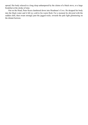spread. Her body relaxed to a long sleep unhampered by the claims of a black stove, or a large breakfast at the stroke of nine.

Out on the Head, Peter Keen clambered down into Headman's Cove. He dropped his body into the black water and it felt icy cold to his warm flesh. For a moment he shivered with the sudden chill, then swam strongly past the jagged rocks, towards the pale light glimmering on the distant horizon.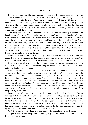# Chapter Eight

Summer died in a day. The gales tortured the boats and drew angry crests on the waves. The trees shivered in the wind, and when an early frost curled up their leaves they rustled with a dry sound. The late flowers in Aunt Dorcas's garden drooped limply with the weight of blackened petals, while enduring nasturtiums were torn to tatters and splashed to the ground in vivid rags. The scrub and scraggy grass was changed to red and yellow, but the blue was dimmed in the sea and the sky. Increased smoke issued from the chimneys, and the doors and windows were sealed to the wind.

Aunt Mary Ann went back to Lunenburg, and the Aunts and the Uncles gathered in a solid bunch to wave her away. They stood on the wooden platform of the station-shed while the train crawled round the curve of the beach. Until it was out of sight Aunt Mary Ann leaned out of the window waving vigorously in return and Isabel noticed that her gloved little finger was stuck out from a large white handkerchief in the same way that it stuck out from her teacup. Before she boarded the train she invited Isabel to visit her in Nova Scotia, but Mrs. Pyke answered in sharp decision. 'Bella visit you? Have sense Mary Ann! And who's goin' to do for me I'd like to know? She goes trapesing around enough as it is, there's no mistake. Lunenburg indeed! I never heard the like.'

Isabel didn't answer. What was Lunenburg to her with Andalusia in her heart? Then she realized with shocked amazement that she hadn't lived in her dream for many weeks. Peter Keen was the one image in her mind, while her body treasured the touch of his hands.

Mrs. Pyke bought berries for the last boiling of jam: bakeapples that came down on a schooner from Labrador. Isabel cleaned and weighed, and boiled and skimmed, and then blew out to the Head in her heavy coat.

Peter Keen painted indoors, and worked hard to finish his summer's work. He only stopped when Isabel came, and they walked up and down in front of the house, or back a little way to the land, on the side of the promontory away from the Bay. She learned what it was to love outside the body and to sustain herself by the sound of his voice and the touch of his hands. But her visits were shorter now. Her mother was in more, and sat by the fire with her eyes on the Grandfather's clock. Summer was over and the village was settling down for the winter. It was concerned with its wood and its fish and its winter supplies, and in getting the vegetables out of the ground. Mrs. Pyke wrote to the City for cherries and almond nuts for a recipe left by Aunt Mary Ann.

Isabel became afraid of the train and her fears materialized one night when Aunt Dorcas reported that the servant fellow was going the rounds of the village, collecting the bills for bread and milk, and butter and eggs. Next day she walked fearfully to the Head where she found Peter Keen standing silently by the rock, looking across the Bay. His chin was sunk in a high-necked sweater worn under a rough coat that smelt strangely to her nostrils, and the eyes that should have been blue were grey with the colour of the day. She came and stood quietly by his side with her hands thrust into the pockets of her coat.

'Isabel,' he said moodily. 'I see what you mean by Helluland! It looks pretty grim.'

'It gets worse now every day,' she answered quietly. 'We've gone from summer to winter. It's like that some years.'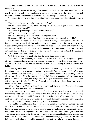'It's not credible that you walk out here in the winter Isabel. It must be the last word in desolation.'

'I do Peter. Somehow it's the only place where I can be alone. I've come when I've had to crawl towards the rock on my hands and knees, and sometimes when the wind is in I've tied myself to the steps of the house. It's only on very stormy days that I ever stay away.'

'And yet with your love of the sun and the warmth you choose the bleakest spot to dream of it.'

'But it's the only spot where I can own myself Peter.'

He asked her slowly, looking across the Bay. 'Will it remain to you Isabel as the place where you can own yourself?'

'No,' she whispered simply. 'Now it will be all of you.'

'Will you come here when I go?'

Her voice was the ghost of a whisper. 'You're going Peter?'

He nodded still looking away from her. 'Yes in ten days time—the train after this.'

For the first time since he came she saw him in stark reality as a being alien to her life, and her eyes became a wasteland. Her body felt cold and empty and she dropped silently to the support of the granite rock. In the continued bleak silence he looked down at her tense figure, and saw her boneless hands reveal white knuckles. He remembered how once he had criticized her, for her acceptance, now he saw what it meant. He watched the agonized reticence of her hands and couldn't bear it.

'Isabel don't wring your hands like that. Say something. Look at me.'

She raised her face obediently and he saw the whole of Helluland in her eyes: cold pools of bleak emptiness staring from a consciousness drained of joy. He dropped down beside her and put his arms around her, but her body was as tense and unyielding as the first time he had held it.

'Isabel my dear don't look like that. You knew I'd have to go sometime didn't you? Everything must come to an end no matter how beautiful! We have to go on! There's always change: new scenes, new people, new contacts, and the best is only a fugitive thing. There's always something to fill in the gaps, something a little better or something a little worse, but a gleam to follow: here, there, and everywhere! Isabel you must try and learn that! It's the only attitude to make life endurable. You can't spend your time looking back. Don't torture your hands like that. Say something!'

'What is there to say?' she whispered. 'You can't think like that here. Everything is always the same for ever and ever. Look at it yourself.'

She sprung to her feet unmindful for the first time of his encircling arms, and gestured towards the huddle of houses at the head of the Bay. While his eyes followed her directing arm she suddenly wheeled and left him with the swift abruptness of their early meetings. The contrast of her dauntless back and desolate eyes made him search savagely for a cigarette. 'Damn it all,' he said out loud, 'I was talking of my life not hers.'

That night he found his camp bed too narrow. He turned and twisted and strangely dreamt of Elfrieda! He saw her on the edge of her violated grave with her empty coffin standing beside her at an oblique angle. He leaned down to raise her and found her shoulders frozen to the ground, but as he straightened from his useless effort he found himself gazing into the wide open eyes of Isabel Pyke. He stayed rooted in horror staring at the familiar eyes frozen in their circle of black lashes, and as he strained to liberate his feet, a gull flew past his face and left a chill breath all around him like an encircling current. He woke to find himself struggling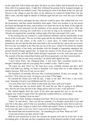on his camp bed: cold in body and spirit. He threw on some clothes and let himself out to the bitter chill of an autumn dawn. A light frost whitened the ground, but he tramped strongly up and down until the sun melted it away. That morning he wrote to his Bank in the City and sent Stevens to the village to post his letter. In the afternoon he waited for Isabel Pyke, but she didn't come, and that night he dreamt of Elfrieda again but her eyes were the eyes of Isabel Pyke.

Isabel had tried to anticipate the days when he would be gone. She walked half way over the promontory, and then turned desolately back again. There was nowhere to go but across the beach and through the lanes, and nowhere to be alone but out on the Head. In the night the Grandfather's clock measured out the loneliness of her present and future hours, while she twisted uneasily, knowing she would have to see him as long as he remained on the Head. Already she regretted the wasted day without sight of his face and sound of his voice.

In the morning the sun warmed to a pale luminous brilliance and lay beneficently on the havoc of the recent gales. The sea was blue again and the sky domed overhead in a thin azure, bathing the red and yellow of the scrub in a warm glow. As Isabel hurried over the promontory she saw that the blue had come back to the sea and the sky, and as she ran to meet her lover she was bathed in the blue that ran out of his eyes. Afraid of his dream he clasped the warm actuality of her body, and desolate with the thought of impending separation she pressed herself strongly against him. To forget the memory of her frozen gaze in Elfrieda's face he kissed her until the black lashes drooped sensuously over the wide open grey eyes. The warmth of the day relaxed their bodies and flowed graciously over their lowered spirits.

'Isabel why did you stay away yesterday?' he asked softly against her lips.

'I don't know Peter,' she whispered back. 'I only know that I punished myself, but I thought I should get ready for your going, but I couldn't to-day. I had to come.'

'Of course my dear. Don't try. We must have every available moment and don't spoil what's left Isabel my darling. It's been so beautiful. Let's keep what we've had without any shadow between. Will you if I ask you my dear?'

The loneliness of yesterday fell away like a loosened garment. To-day was enough. 'Yes, yes Peter. I'll be what you want. As long as you're here I'll be happy.'

He touched the closed eyes with his lips. 'I hope so my dear. We'll have a last lovely week. Yesterday I lived in your Helluland and felt very cold.'

'I'm sorry Peter, but I won't think of afterwards any more, until you're gone.'

'The weather got into our hearts Isabel. We need the sun. But it's going to be different now. Stevens met some old salt in the village and he said we're due "a fair spell now".'

She smiled happily from the circle of his arms and opened her eyes to see his face. 'Captain Joey Tucker I expect Peter. He smells the weather before it's on the glass.'

He laughed. 'Another Uncle my dear?'

'I don't know Peter. Perhaps a hundred years back. We're too mixed up to keep count.'

'Isabel,' he said slowly, 'since you left me yesterday I've thought a great deal of you and your life in this place, and of what you said about everything being the same forever and ever. With shame my dear I began to realize how selfish and stupid I'd been in talking of your life as if it were the same as my own. Now I want you to do something for me.'

She leaned back and searched his face. '*Do* something for you Peter. What can I do?'

'Come and sit down my dear, and let's talk.'

With his arm around her he drew her towards the granite rock and sat at her feet. In the enveloping glow of the pale sun they recaptured some of the blessed warmth of early summer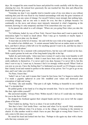days. He wrapped his arms round his knees and picked his words carefully with his blue eyes claiming her own. He noticed how graciously the sun touched her fine skin and effaced the bleak look from her grey eyes.

'Yesterday my dear I very stupidly tried to transfer some of my own ideas to you without realizing that your life was fixed in very limited surroundings with only the grim variations of nature to give you any sense of change. For myself I believe most strongly that nothing lasts, everything changes, and no one note is struck for ever, but that is perhaps because I'm continually on the move and always most intensely interested in what's happening at the moment, knowing it's only temporary and that I'll be somewhere else very soon.'

As he paused she asked in a soft whisper. 'Where are you going Peter when you take the train?'

'To California, Isabel, by way of New York. I haven't been there and I want to paint in that miraculous light I've heard so much about. Then I may go to Australia or maybe Japan. I don't know. I never plan very far ahead.'

'It must take an awful lot of money,' she said with her eyes wide at his magical wealth.

He smiled at her childish awe. 'A certain amount Isabel but not an undue strain on what I have, and there's always a little left over for anything special I want to do, and that my dear is what I want to talk about.'

He studied her for a moment with contracted brows, but her eyes still waited on his face. With a quick gesture he took one of her long hands lying idle in her lap.

'Isabel, he said irrelevantly, 'when men leave women it's such a time worn banality to tell them that *this* has been different. I think it must have been said so often that women must smile endlessly to themselves. I've never said it my dear, because I've never felt it, but this time I *want* to say it, I must say it, because I feel it so strongly within myself. When I look at you now as you are, I have the feeling that I've fashioned you myself: as if I'd begun a canvas that I dearly loved and wanted to perfect to the utmost of my power. Yet I've got to go on my dear, and I can't take you with me.'

'No Peter, I know that.'

'Isabel I am as I am, and it means that I must be foot loose, but I've begun to realize that I've made a gigantic upheaval in your life: muddled your values and destroyed your conception of right and wrong.'

'No Peter,' she said steadily. 'That part is all right. Nothing so beautiful to me could be bad. I've decided that.'

He pulled gently at her hand as if to drag her towards him. 'You're sure Isabel? You feel like that, right within yourself?'

She answered steadily. 'Always Peter. Within myself, I feel as if I could take my feelings for you to the feet of God.'

He dropped his forehead against their clasped hands and her eyes never left the copper gleam of his hair.

'Don't Isabel my darling. You're so sheer. I'm not worth all that.'

'But that is how I feel inside Peter—out here and when I'm by myself. Only sometimes it's just a little different when I'm at home, or in the village, or listening to the minister in church. It's like another world in which I have no part. But right or wrong Peter I know I've only come to life since you came.'

He raised his head and looked into her face. 'Perhaps to die again my dear with a heartache that may consume you.'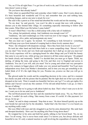'No, no I'll be all right Peter. I've got lots of work to do, and I'll do more for a while until time doesn't seem so long.'

'Do you know that already Isabel?'

'Only when we quarrelled Peter and yesterday when I didn't come. Don't worry about me. It's been beautiful and wonderful and I'll try and remember that you said nothing lasts, everything changes, and no one note is struck for ever.'

She said it like a parrot as if her mind had absorbed the words and not the meaning.

'No my dear,' he said gravely, 'you won't be able to accept that now with nothing to distract you in this limited little village. It's something especially interesting to follow after that counts. What filled your life before I came Isabel?'

'It wasn't filled Peter. I was like a child asleep with a fairy tale of Andalusia.'

'Yes, asleep, but painlessly asleep. And Andalusia was enough wasn't it?'

'Andalusia,' she said wonderingly as if the word was new to her tongue. 'It's gone now. I can't see orange, olive, palm, and pomegranate any more.'

'But you must see it again,' he insisted. 'It's something to look forward to—something that will keep your eyes front instead of weeping back to those lovely summer days.'

'Peter,' she whispered with desperate courage. 'Have they been truly lovely to you too?'

He took her other hand and held them both in a warm compelling clasp. 'Haven't I told you my dear? Very lovely and very fresh and unspoiled, but I shall go on and you must too! This lovely experience will be a springing-board for other things and you'll hold the beauty that came to you and to me, while giving your interest to all that comes and goes.' He gripped her hands closely and insistently. 'Isabel I've decided that you must go to Spain. Think, my darling, of taking the train, and going to the City and then over to England and across to Andalusia. You can if you will, and you must! You're young and reliant and very perceptive and a few contacts in bigger places will make you very poised and beautiful. You'll get more independent away from your Mother's domination, and in time you may get something to do. Isabel think of it! It's the right thing for you. Promise me, *promise me* that you will go to Spain.'

She glowed under his words and the compelling decision in his voice, and for a moment her cheeks ran pink with the picture that he painted. But the light died out of her eyes and she drooped on her rock. 'Peter it sounds too beautiful, but how can I go? I've only got eighty-five dollars and I haven't saved any this summer. I'll be old and afraid before I can go, so what's the use of talking.'

'But that's what we're going to talk about Isabel my dear. That's what I want you to do for me. I want you to let me send you to Andalusia!'

The red blood poured into her face and she snatched her hands away. 'No, no, Peter don't ask me. I couldn't do such a thing. Take money from a man. It's awful. It's like payment. Let me go, let me go—'

'Isabel,' he said in sharp command. 'Stop that at once.' He drew himself quickly up on the rock beside her and took her by the shoulders. 'Isabel that's the first time I've ever heard you say anything really crude.'

Her eyes filled with tears and she struggled to go but his arms detained her. She sank back and drooped desolately. 'How can I be anything else Peter living down there?'

He wrapped her in his arms and held her gently, talking to her bowed head. 'No, no my dear. I'm all wrong. You've never been crude since I've known you, but always delicate and beautiful to me. It's only a natural reaction to a gift involving the expenditure of money. Don't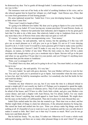be distressed my dear. You're gentle all through Isabel. I understand, even though I must have my way in this.'

The tenseness went out of her body at the relief of soothing kindness in his voice, and as she relaxed against him he heard her whisper on a half laugh. 'Aunt Dorcas says, Peter, that we come from generations of God fearing people.'

His arms tightened around her. 'Isabel how I love your developing humour. You laughed so little when I came first?

'There wasn't much to laugh at Peter.'

'It's going to be different now Isabel. My dear you're going to Spain to live your own life. Think of it this way Isabel. If I were leaving any woman anywhere I'd send flowers, books, or some other thing—whatever her particular taste indicated, and it happens to be my great good luck that I'm able to do a little more. But relatively Isabel a trip to Andalusia from me isn't any more than a box of flowers from some other man not quite so well off.'

'It's money,' she said in her uncompromising voice. 'Your money.'

'Yes it's money,' he said patiently, 'and my money, but the spending of it this way will give me as much pleasure as it will give you to go to Spain. It's not as if I were denying myself to do it. I wish I were! It would be a more gracious gift if I had to make some sacrifice for you. Unfortunately I haven't! And I'll make it very easy for you my dear. There'll be no cheques, no names, no bother of any kind. When the train comes in, there will be a plain envelope with enough notes to give you a moderate trip to Spain. Stevens will go to the post and when we say good-bye I'll just slip it in your pocket, and you'll forget it's anything more important than just the means to Andalusia.'

'Peter, you've arranged it all!'

'I'm afraid I have my dear, and you're going to do as I say. You must Isabel, as a last great favour to me.'

'Peter, I must go,' she said quickly. 'It's very late.'

'I'm sorry Isabel,' he said with grave decision, 'but your Mother will have to wait for her tea. You can't go until you've promised to go to Spain. And remember when the time comes to leave her, don't be held by meaningless sacrifice. Let somebody else boil the kettle for her and wash her dishes.'

'Peter I must go.'

'Certainly my dear whenever you say, but if you waste the time in a delayed refusal to accept a simple gift it's not exactly my fault is it? Perhaps you're prepared to spend the night, and by and by we'll see a posse of relations arrive. They'll all come together because they'll be afraid of the house, and I'll have to offer Uncle Seth a drink, and give your Mother a ten course dinner, and read a chapter with Aunt Dorcas, but I'm afraid, Isabel, I'm very much afraid, that I haven't anything that would appeal to Aunt Susie Cruikshank. We might show her the nuns on the bottles of Liebfraumilch. Then she'd realize how truly blessed they are.'

Isabel Pyke smiled under his chin, but she wanted to go. Their time was so short, and her Mother might think of things to claim her afternoons, if she attracted attention by being late. She raised her head and smiled into his eyes. 'Peter you always make big things seem like nothing at all. It's beautiful of you to want me to go to Andalusia and the way you talk about it makes it sound so little. But I don't see it that way! It seems so much. Won't you let me go home now and think about it?'

But he held her firmly. 'No, my dear, I'd rather not. Otherwise we'll waste a whole week talking and arguing, and there are so many other pleasant things to do aren't there? It's going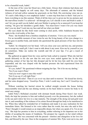to be a beautiful week, Isabel.'

At the tone of his voice her blood ran a little faster. Always their relations had shone and blossomed most happily on soft sunny days. The aftermath of summer, and the belated richness of red and yellow autumn lay graciously on her flesh. His convincing voice ran on. 'It's such a little thing to over emphasize Isabel—a mere trip from here to there! And you've been everything to me this summer. Think of all the time you've given me for my pictures and the marvellous results I've achieved—all through you. Let's decide it now and brush it aside. I can't let you go until you do Isabel, and your Mother is going to be so annoyed if you keep her waiting.' He gave her shoulders a gentle shake. 'You must know I want it for you very much don't you my dear? Look into my face and tell me what you think.'

Her eyes drank his like fresh water coming to clear pools, while Andalusia became lost again in the vivid reality of his face.

'Peter,' she breathed from a limitless simplicity of emotion. 'I love you very much.'

For an incredible moment of true vision he saw the living beauty of her eyes change to a frozen gaze in another body, and mutely she questioned the quick pressure of her face into his shoulder.

'Isabel,' he whispered over her head, 'will you close your eyes and kiss me, and promise me to accept my small gift. I don't want to talk about it any more. Kiss me by yourself as you do sometimes. Make me realize the warmth and life of your lips. I've got a touch of Helluland.'

She gathered an appeal from his voice and her body ached to respond. When she laid her mouth delicately to his she saw that his own eyes were sealed against her. In the slow gathering contact of her lips her lids drooped and he let her kiss him until his own body responded, and she was clasped with the hardest pressure she had experienced from his sensuous arms.

'It's yes, Isabel?' He questioned without resigning her lips. 'Do it for me my darling.'

'Yes if you want it Peter.'

'And you won't regret it once this week?'

'Not if you say it's all right Peter.'

He sighed with relief. 'Then it's *au revoir* my dear until to-morrow.' He kissed her slowly, and her arms dropped away. 'Good-bye Peter, I wish I could stay, but I can't! Good-bye my dear.'

Without watching her hurried retreat he walked straight towards the house feeling unaccountably tired and the sun shining warmly on his back failed to restore his body to its usual easy energy.

Isabel Pyke's Helluland crouched with dormant breath during Peter Keen's last week. Daily she kept her promise to him and walked joyously over the promontory, but she walked in the sun and it drew her love to a ripe maturity. The strength of the dying red and gold went into it, and something of the richness of its colour flowed through her body to be transferred to his. When they talked he reminded her of Andalusia and made it an easy realization for her immediate future. She listened to his voice rather than his words, but once she said to him. 'Peter I thought it would remain as an impossible dream, but when you speak of it, I'm on my way.' She kept her promise to him in everything, neither referring to his departure nor to her dislike of accepting the means of Andalusia. The prospect lay vaguely on her mind without shape or form. She was concerned with the present—timeless and changeless in her love for him, and blessed by the sun. Once in the resurgence of summer Mrs. Pyke went out to tea, and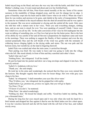Isabel stayed long on the Head, and once she was very late with the kettle, and didn't hear her Mother's chiding voice. It went round and about and over her fortified body.

Sometimes when she left him, Peter Keen stared moodily at the sea. Some of his serene sureness in the mutability of things dropped away, and his zest for change lost its edge. A germ of humility crept into his heart and he didn't know what to do with it. When she wasn't there he was restless and anxious to be gone, and chafed at the rarity of transportation. When she came he was bathed in the stayed radiance that she shed all around him and he was captive to the moment. She was never sentimental or cloying and she smiled all the week. Only once she told him with a mature note in her voice, 'Peter you said everything changes, nothing lasts, and no one note is struck for ever. You were speaking of yourself I think. I know now that I shall love you all my life.' In the calm conviction of her voice he felt inadequate but she went on talking of something else, as if her love had given her the better poise. But to the best of his ability he was careful of her and all Stevens's preparations for departure came and went in the mornings. There was nothing to suggest the finality of their summer and even the sky seemed perpetually blue and the soft breath of the wind was gentle with the remnants of withering leaves clinging lightly to the drying stalks and stems. The sun was pale and the horizon misty, but warmth lay on the land in lingering farewell.

Isabel Pyke was exalted and when the train came, it carried her through.

Their parting was brief. He was ready to leave and was going to walk into the village when she left. She stood silently in front of him and they searched each other's faces.

'Isabel what can I say?'

'Nothing Peter,' she whispered. 'It all lies inside.'

He put his hand into his pocket and drew out a long envelope and slipped it into hers. She scarcely noticed.

'Isabel it's Andalusia with my love.'

'Thank you,' she said simply.

He took her in his arms and wonderingly she noticed that his blue eyes were misted like the horizon. She thought vaguely that tears were for lesser things. Her own wide grey eyes clung to his face.

'Isabel,' he whispered, 'I shall remember your eyes like silver water.'

'They'll follow you,' she whispered, but he gripped her with reality.

'Isabel before I go, promise me, *promise me* again, that you will go to Spain.'

'Yes Peter, I'll go.'

'I'll know if you don't,' he muttered.

'What Peter,' she asked wonderingly.

'Nothing my dear.' He kissed her deeply and softly. 'Good-bye Isabel my darling. Bless you a thousand times.'

During his long kiss her eyes stayed open and it was only when she took his hand for a brief minute and dropped her face against it that he saw the black lashes rest for a short space. It was her voiceless farewell and she left his hand with the soft feel of her face, and walked erectly away.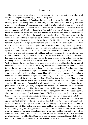### Chapter Nine

He was gone and he had taken the mellow autumn with him. The penetrating chill of wind and weather crept through the zigzag road and many lanes.

The realized medium of Andalusia lay unopened between the folds of the Chinese dressing gown. The money came to Isabel like, 'oats to a dead horse.' For a day her body rested in a sad glamour of remembered sense, until it awoke to piercing hunger. She craved the solace of arms and the warmth of lips. The founts of her liberated conversation dried up and her thoughts coiled back on themselves. Her body knew no rest! She turned and twisted under the honeycomb spread with her eyes wide to the darkness. The wind and the waves in her ears could not deafen her to the sound of a remembered voice. She paced a strip of thin carpet while her Mother's snores violated the silence. She threw her racked body in front of the window and did not notice the chill from the sea. The Head became a bed of drying scrub for her body, and the rock a pillow for her head. She endured the eyes of the gulls and let them stare at her with a merciless yellow gaze. She tramped the promontory in reacting violence and thought of Josiah of bygone days. For the first time in her life her spirit encompassed his agony for Elfrieda. She thought sometimes he was treading the Head beside her.

Mrs. Pyke talked of Christmas: of puddings and fruit cakes, and Isabel went to the store for citron, raisins, and spice. She tried to stir out of the black, black mixtures an anodyne for her pain. She denied herself the services of the poor woman in the village and did the scrubbing herself. It had destroyed Andalusia before and now it would destroy Peter Keen! With her face to the crimson floor she wrung, and soaped, and scrubbed, but the galvanized bucket became another container for her misery and her tears dropped into the water. The sobs tore up through her body, but she held them until she reached the Head. With her face on the granite rock she gave herself up to grief, while the sea beat savagely against the cliffs, and the wind blew its chill breath across her tormented body. She cried herself out, until she reached a boundless emptiness where nothing acute could live. Quiet at last she lay with her face to the sea, watching it roll in from the horizon. Peter Keen had taught her colour. There was no yellow in the day, and she couldn't find a gleam of light. The sky was thin and grey and the sea rolled thick and leaden. Suddenly his voice rang in the core of her memory, 'Isabel, Isabel, promise me, PROMISE ME you will go to Spain. The warmth of his hands was on her shoulders and she could feel herself in his grip. A thin trickle of life ran through her insensate body. Andalusia? Where was Andalusia? Hastily she turned her eyes away from the swooping gulls. She heard his voice again, 'Josiah sinned, Isabel: if he'd gone back to his ship he would have been very busy, and then he would have met another girl. There are so many girls, Isabel.'

Isabel Pyke sat up and the wind blew her hair away from her tear-stained face. She stood up, and her teeth chattered with the cold on her depleted body. She wrapped her coat tightly around her and faced the square house on the Head. Already the windows were returning to the dust of the past. They looked like empty eyes, and her own desolation acknowledged their state, but to-day her grief was appeased and she lived in the centre of nothing. As she shivered over the promontory, the germ of Andalusia grew in her heart and lifted her out of her well of emptiness. Her blood stirred to the word, and her feet quickened towards the unopened envelope between the folds of the Chinese dressing gown. As she reached the pebbled walk by her own front door she paused in fear of her Mother's eyes. She knew her face would betray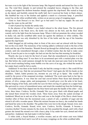her tears even in the light of the kerosene lamp. She lingered outside and turned her face to the sea. The wind blew damply in and tortured the crumpled leaves clinging to the lilac and syringa, and rapped the skeleton branches sharply against the clap-board. She waited as long as she dared, and fearfully entered the stuffy hall, but it received her body in black silence. She fumbled her way to the kitchen and applied a match to a kerosene lamp. A pencilled scrawl lay on the white scrubbed table, written on an uneven scrap of wrapping paper.

'Gone to Aunt Dorcas's to tea. Don't go to bed until I've had my supper. Be sure and change the water on the salt fish.'

A stub of pencil lay beside the untidy note.

In the absence of her Mother's eyes Isabel relaxed to the silent house. The fire glowed through chinks in the black stove, the kettle was almost on the boil, and the floor shone warmly red in the light from the kerosene lamp. Where it did not penetrate the colour receded to dusky red, and the scrubbed table stood out against the darkness in white solidity. The unwonted silence was only disturbed by the hiss of the kettle and the rap of the branches against the clap-board.

Isabel dragged an old rocking chair in front of the stove and sat relaxed with her frozen feet on the oven shelf. The monotony of her rocking added a rythmical creak to the hiss of the kettle and the rap of the branches. Warmth flowed up through her chilled body, and she rocked content, until she remembered through a daze of dulled routine that she had to make some bread. It must be put to rise to-night: she had cut into the last bun that morning for breakfast.

Wearily she rose to look for the bowl of yeast. Had she remembered to moisten it in her race with her welling tears? It was there in its accustomed spot with a cracked plate over the top. But before she could summon strength for her task she must put some food in her body. As she stood watching boiling water bubble over the curve of an egg, she wished the needs of her empty heart could be fed so easily.

Andalusia! It was there at her hand if only she had the courage to take it. She could fill her empty heart that way. Had she not promised Peter Keen? And again she felt his hands on her shoulders. 'Isabel, Isabel promise me, promise me you will go to Spain.' She would! She could by the power of the unopened envelope. Andalusia! The word came back to her lips in smooth syllabication. It was what her soul had craved before Peter Keen had dimmed the picture, of olive, orange, palm, and pomegranate. It would grow over the ache in her heart, and the longing of her body, and soothe her eyes for their craving of a gleam on a copper head. She quivered in a wave of remembered sense, and struck the rounded top from her boiled egg.

Feverishly Isabel Pyke dipped into the flour barrel and spun the handle of the sifter—once, twice, three times. Cordova, Seville, Granada! Her eyes grew black with dilated pupils and she turned them toward the wooden clock. Three hours away from the sealed envelope of Andalusia! Blood ran in and out of her face and rose to the height of the Slavic cheek bones. Another sifter of flour into the moistened yeast, a pinch of salt, a sprinkle of sugar and she stirred it all with a wooden spoon. When the mixture became too heavy, she washed her hands and bared her arms to the shoulder. The golden fists were lost in the dough. Knead, twist, turn: Cordova, Seville, Granada. Knead, twist, turn: Cordova, Seville, Granada. It became a voiceless rhythm! Twenty minutes by the clock, her fists assaulted the dough, until with a final gesture she turned the mound over with a heavy plop. It lay under her eyes, domed and white and perfect. Andalusia! she had made it with her hands.

A white cloth, a frayed blanket, a woollen sweater, and an old winter coat were folded over and around the bowl and it was left in its many wrappings on the white scrubbed table.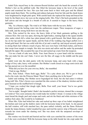Isabel Pyke stayed busy in the crimson-floored kitchen until she heard the scrunch of her Mother's feet on the pebbled walk. She lifted the kerosene lamp to the level of the small mirror and examined her face. Her eyes had come back to their wide gaze and the dilated pupils made them black. The swelling and redness had gone from her lids and the cheek hones were heightened by bright pink spots. With careful haste she replaced the lamp and braced her body by the black stove, her eyes on the singing kettle. Mrs. Pyke's flat heels grounded on the hall canvas and she brought in a breath of cold air. It seemed to linger in the heavy black garments.

'My, 'tis a blustery night. The wind is in! Make haste with the tea now, Bella.'

Isabel poured the boiling water into the earthenware teapot. Three teaspoons of sugar, a little milk, and the strong fresh brew ran into the cup.

Mrs. Pyke rocked by the stove, the heavy folds of her black garments spilling to the crimson floor. Her coat was open, showing the tight bodice, running high to the square double chin, under which fell a white lace jabot pinned with a gold brooch. Her black fabric gloves lay on her lap under her square hands, and the flesh of the wedding ring finger puffed over a broad gold band. Her hat was solid with bits of jet and a small tip, and stayed securely pinned to strong black hair without a touch of grey. Her eyes were hairy with black lashes, and brows that swept from temple to temple. Her skin was moist and sallow and the under lip protruded beneath the upper. She accepted the cup of tea and sucked up a taste from the teaspoon.

'Cut me a hunk of cake now, Bella. Your Aunt Dorcas is a poor hand with her mixtures. She can make but she can't bake. I never saw the like; all soggy in the middle and the pure dough.'

Isabel went into the dark pantry with the kerosene lamp, and came back with a large wedge of foxy cake, heavy with currants. Her Mother's teeth closed on a large semi-circle and her lips pursed out over the mouthful.

'What did you have for your own tea, Bella,' she mumbled.

'I had an egg, Mother.'

Mrs. Pyke bolted. 'Them fresh eggs, Bella! 'Tis a pity about you. We've got to break twelve the week, into the Princess Maud. Wasn't there anything else in the house?'

Isabel said nothing. Her Mother never begrudged her food, but she had eaten it without being told! Mrs. Pyke's brown eyes searched the dim corners of the shadowy kitchen and her gaze fastened on the muffled bowl of dough.

'I hope you worked that dough right, Bella. Poor stuff, your bread. You're too gentle handed by a long sight.'

'Not to-night,' thought Isabel. Hadn't she kneaded a perfect mixture, domed like a mosque in Cordova? Very soon someone else would make her mother's bread. A woman in the village must knead the dough, peel and scrape and wash, and stir the black and white mixtures of the endless fruit cakes. She would be in Andalusia!

When Mrs. Pyke had bolted her cake and sucked up three cups of tea Isabel straightened the kitchen and went up the shallow stairs with her kerosene lamp in her hand. As she passed the hall window, stiff with starched lace, the pane rattled violently, and the flame flickered inside the lamp-chimney. Isabel steadied her pace and trod the narrow strip of Brussels carpet towards her room under the slanting roof. She was alone with the unopened envelope of Andalusia!

Her routine was feverish and hurried and her wide eyes searched the corners of the room as if she were overlooked. With the kerosene lamp on the table beside her she crept under the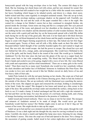honeycomb spread with the long envelope close to her body. The corners felt sharp to her flesh. She lay listening, her cheek bones red with colour, and her ears strained for sound. Her Mother's wooden bed still creaked to her weight but in a little while the sounds were muted to her heavy breathing which began to be inhaled noisily, and drawn to a sharp, short snore. Isabel waited until they came regularly in strangled sustained sounds. Then she sat up in bed, her body and the envelope making a grotesque shadow on the papered wall. Fearfully one long finger broke the seal and the crack of the paper sounded like a shot in the night. She waited for a change in her Mother's snores but as they continued in strangled rhythm, she peered inside the envelope. Green notes ran long and flat in a compact pile! Her eyes pierced the dark corners of the room, and glanced over her shoulders at the slanting roof, but there was nothing but her own shadow and the distorted outline of solid wooden furniture. She drew out the notes with a quick pull and they lay on the honeycomb spread with a bold fifty dollar mark facing her on the top of the green pile. She took it in her hand and it felt thick between her lingers. The red blood deepened on her cheek bones and the pupils swamped her eyes. She began to count with fingers burning acquisitively at their tips. She licked one hot first finger and counted again. Twenty of them: and all with a fifty dollar mark on their flat sides! One thousand dollars! Isabel thought of her carefully hoarded eighty-five and wanted to laugh out loud. She was rich: she would escape: she had the power to escape. She closed her eyes and saw behind her lids olive, orange, palm, and pomegranate. She would leave Helluland to the eyes of the gulls, and the lonely Head to the sound of the wind. She would go to Andalusia! Andalusia! For the first time since she had seen the gleam of the sun on a copper head, her dream came back to her with compelling reality. The blood that had flamed under Peter Keen's hands and cooled to joy at his going, tingled with a wave of new life. Her veins filtered with youth and expectation, and her mind remembered. 'There are so many girls in the world, Isabel.' Then there must be so many men! Somebody else would love her: somebody without the slack shoulders and leather face of Helluland. Someone in Andalusia like Peter Keen. She was awake to love now and she craved it like her Mother craved six daily brews of tea and four heavy slabs of fruit cake.

Isabel Pyke looked sly with the red spots burning on her cheeks. She crept out of bed and wrapped the long envelope carefully in the Chinese dressing gown. Back in bed she looked at the outside of the drawer. She sat up restlessly with her blackened eyes searching the narrow limits of the room. She slipped out again and extracted the envelope, holding it consideringly in her hand. Under the carpet? She dropped to her knees and turned up a thin corner to the right of the door. She pushed the envelope under and smoothed the surface, sitting back on her heels to see if it made a hump. It looked unchanged and flat and with a sigh she returned to her bed and blew out the lamp. For once the picture of a red head, shining teeth, and a being of strange fascinating conversation, had dimmed to the promise of Andalusia.

Isabel tossed and twisted restlessly. There was no sleep or rest for her mind. The mosques and minarets of Andalasia seemed to be made of dough. She would never get there! Somebody would find her money! Her Mother might come in and see if she'd 'dug out' the corners of her room. She might decide to take up the carpet.

Isabel sat up in bed and her eyes strained towards the corner of the carpet, through the wall of blackness. It was a dark night and she thought the sky must be curving overhead in an inky dome. Carefully she struck a match and lighted the lamp once more, listening for any change in her Mother's snores. This time she crept out of bed and tiptoed to the door. Not a change in the succession of grating sounds. Isabel stood in her cotton night-dress and looked around.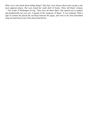What was it she heard about hiding things? That they were always discovered except in the most apparent places. Her eyes found her small shelf of books. Three tall black volumes —'The works of Washington Irving.' They were all about Spain. She opened one at random and prophetically her eyes saw 'Legends of the conquests of Spain'. It was ordained. With a sigh of content she placed the envelope between the pages, and went to the first untroubled sleep she had known since Peter Keen had left her.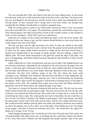### Chapter Ten

The next morning Mrs. Pyke sent Isabel to the store for some fatback pork. As she turned from the lane to the curve of the beach the wind cut her face with a cold blast. The boats in the bay rose and dipped to the heaving sea, and the crested waves made long indentations on the curving beach. As they retreated with a strong suck to the loose stones, she thought they sounded like her Mother's breath before it exhaled a strangled snore.

With the oozing parcel of pork in her hand Isabel crossed the street to the one-roomed post-office and asked for a City paper. The postmistress greeted her, and looked a query over steel-rimmed glasses, but Isabel stood silent in front of the wooden counter, so she stooped to a pile of week-old papers. 'Emily Pyke's girl was a silent piece.'

Isabel put two coppers on the counter and folded the paper to the size of her pocket. She had bread in the oven, dinner to get, and the crimson-floored kitchen to clear away before she could escape to her rock on the Head.

The day was grey and the light promised to be short. As they ate silently in the stuffy dining-room Mrs. Pyke seemed to be slow with her food. She pursed out her mouth and bolted as usual, but the square hands looked uncertain in piling up her food and several times a heaped mass dropped back to the mounds of turnip, potatoe, and oily cabbage, cooked with fatback pork. The food which encroached to the gold line round the edge of the plate, was slow in disappearing, and Isabel looked anxiously through the bare branches of lilac towards the leaden sky.

Isabel walked the arc of the curving beach, and once out of sight of the huddled houses ran over the bare promontory. Breathlessly she subsided on the rock and took the paper from her pocket. At the first sign of liberation from its folds the wind crackled and blew it backwards and forwards, and billowed it out of her hands. Bold type fluttered in front of her eyes—Italy —Abyssinia—but they were nebulous names to her. The only places her mind could encompass were, Helluland, and Andalusia! She had lived with them so long! Impatiently she held and searched the fluttering pages, until she saw a list of advertisements for Steamship Companies. With a sigh of relief she grasped it, and freed the remaining leaves of the paper to the caprice of the wind. She watched them scrape across the scrub and flatten themselves against the wall of the house before she studied the page in her hand.

Two boats to Liverpool in December during the first and last week. The first was too soon. Isabel looked towards the sea and began to plan. The train arrived from the City the day after to-morrow and returned the following day. She would write to-night and in a week the train would bring her back a reply. She would go the last week in December, but she would have to leave for the City before Christmas. Her Mother would spend it with Aunt Dorcas, and drink the annual glass of port with Uncle Seth, and eat turkey with its craw stuffed with force-meat. She would not tell her Mother until her plans were made, but whatever followed, she would be as cold to the grating voice as the yellow eyes of the gulls. If her Mother gave her 'the length of her tongue', and tried 'to knock the nonsense out of her', she would leave the eighty-five dollars for a woman 'to do' for her.

Isabel thought and planned. How would she go? First class? Second class? How much was a thousand dollars? She didn't know how to do things but she would learn. Hadn't she learned to love from Peter Keen? Hitherto she had imagined that people married, slept in the same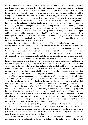bed, did things like the animals, and had babies like the cows and calves. The world of love and delight and golden sense, and the feeling of wanting to submerge herself in another being was utterly unknown to her until she had been held in Peter Keen's arms. There had been times when she had ached to ease behind his blue eyes and gleaming teeth, and to get past his strong outside body and live and dwell within him. She dropped her face in her long hands; then threw up her head and looked towards the sea. That way of thought drowned Andalusia!

Isabel thought of clothes. Would she ever have the dress that Peter Keen had imagined for her, on a day she had appeared in her Sunday dress? She shut her eyes and heard as clearly as if he were by her side. 'Isabel you must have a dress, long and svelte, and soft and gold: lamé that doesn't crush or scrape. You must wear it Isabel over your golden skin with perhaps a very little garment—skin tight. Then a streak of lip-stick, more orange than red, and antique gold ear-rings that skim the curve of your shoulders. And your hair must be washed soft to high lights of gold and waved back to the nape of your neck. Then you must sit very still in long golden lines and I shall paint you.' He had looked at her under contracted brows, as if it were her fault she didn't have a gold lamé dress.

Isabel dropped her face in her hands and let it stay. The paper in her lap crackled under her elbows, but she took no heed. Andalusia! Andalusia! It was Dead Sea fruit to her now! Her mind admitted it. She rocked to and fro and clenched her hands until the knuckles were white. Her aching longing was like a physical pain, and she allowed it to flow over her, unconscious of the fading light and the gathering chill. She would forsake everything, give up every hope of orange, olive, palm, and pomegranate, and stay in Helluland for the rest of her life, if only she could see his copper-kettle hair, the gleam of his teeth, and the eyes that held the blue of the sky on summer days, and changed to grey when the sun went in. And his lips and hands on her own body—. She sprang wildly to her feet, and the paper dropped from her lap and scraped across the scrub. She picked it up and put it in her pocket, and found herself facing the house. Sad and old and desolate it faced the sea. In spite of the fact that she had always refused to enter it with Peter Keen, it held no terror for her. She felt at one with it now. She wanted to put her arms around it and cry against its faded sides. Josiah would understand how she felt. She braced her shoulders and walked to the edge of the perpendicular cliff. Below, the sea dashed against it with savage strength, and where the black rocks rose out of the green water, the gulls hovered over them. She looked towards the horizon and tried to visualize what lay beyond. Andalusia! A world of other things. She must have the courage to break away! She couldn't face the snows of winter Helluland with her heart dead within her. She braced her body and started to go, but as she turned away from the sea a snowy-breasted gull poised in front of her face, and she found herself staring into a pair of yellow eyes. Tranced to utter stillness she stared and stared. Colder than the ice from the North, colder than the bergs gleaming white in the sun, colder than the bite of the Arctic wind she felt the glitter of the merciless yellow eyes. The spirit of Helluland! Cold on her body and cold on her heart! She threw one arm across her eyes and dashed blindly forward.

Isabel's memory held the gleam of the pitiless eyes all the way home, but after she and her Mother had eaten a silent tea, she went to her room under the slanting roof, and wrote her letter to the Steamship Company. She asked for rates, first and second class, and reserved a passage for the last week in December. As she walked across the beach to post it, Aunt Dorcas passed, going the other way to visit her Mother.

As Isabel walked home she was cold with more than the wind from the sea. The yellow implacable eyes were looking at her through the darkness of the night. She walked faster, and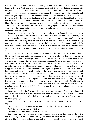tried to think of the time when she would be gone, but she shivered as she turned from the beach to the lane. Vainly she tried to reassure herself with the thought that she had gazed into the yellow eyes many times before. As a child she had shrunk from a close look at the birds which looked so beautiful and graceful at a distance. She remembered the first time she had seen a sea-gull's eyes, and how she had been chilled with their cold cruelty. She shook herself for her fancy but she returned to the house with her heart full of dread. She got back in time to make the sixth and final brew of tea and to watch her Mother consume a 'taster' of the first black Christmas fruit cake. The taster was large and very rich, and but for a small piece for Aunt Dorcas, Mrs. Pyke ate it all. Was it Isabel's fancy again that her Mother's movements were slow? She gulped just as quickly, but her face had a purple tinge, and her eyes held more than their usual dark glitter.

Isabel was sleeping unhappily that night when she was awakened by queer stertorous sounds, like yet unlike her Mother's snores. Her hands fumbled and found a match, and shakingly she lit the kerosene lamp. In her agitation the flame ran in a long smoky streak up the slender glass chimney. Instantly her eyes went towards the books of Washington Irving that held Andalusia, but they stood undisturbed in black formation. The sounds continued. In her white nainsook night-dress and bare feet she picked up the lamp and walked the thin strip of carpet towards her Mother's room. The draughts from the hall window turned her feet to ice.

Mrs. Pyke lay flat on her back—a dreadful sight, and the lamp wavered in Isabel's hand. She placed it on a table before her knees gave way beneath her. Her Mother's face was drawn to one side, and a bit of tongue protruded. A line of saliva dribbled over her chin, and one eye was completely closed while the other continued winking. But the expression of the live eye told Isabel that she was conscious of her condition. Her whole body seemed to strain In protest towards the loss of her grating voice. The strength of her domination over her daughter struggled to assert itself, and suddenly she began to gabble in a confusion of words. Frustration and contempt seemed to gather in the winking eye for Isabel's tranced panic, and as she received the dreadful look she turned and went out. Now her feet carried her fast. She tore her winter coat out of the cupboard, thrust her bare feet into her thick shoes and raced over the narrow stairs. She fell against the front door and fumbled for the large iron key. Desperately she turned it and felt the cold air rush over her thinly clad body. She shivered as her feet crashed over the pebbled walk, and turned down the lane towards the nearest house. Another Penney! They were all, Pykes, Penneys, and Tuckers, and all related in some remote distant way.

Isabel wrenched at the fastening of the nearest storm-door, and it flew back and cracked against the side of the house. She pounded with her fists, on the panels of a stout inner door until she heard the scrape of a window and a rough voice demanding, 'what's wrong now? Quit that banging.'

Isabel retreated to the dim focus of the window. 'Oh, Mr. Penney, it's Isabel Pyke. My Mother—'

'Who?' bawled a voice above the moan of the wind and the sound of the sea.

'Isabel Pyke, Mr. Penney, my Mother—'

'Wait now, I'll come down and unhasp the door.'

Isabel heard the window close and writhed in impatience. In her haste she had forgotten that Mr. Penney was deaf. It seemed a long time before she heard a step and saw a thin gleam of light. The door opened about a foot and Mr. Penney stood peering at her, in a striped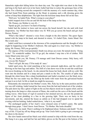flannelette night-shirt falling below his short day coat. The night-shirt was short in the front, and long in the back and even in her hurry Isabel had time to notice the grotesque lines of the figure. For a fleeting second she compared it with the memory of a warm summer day, when she had found Peter Keen painting on the Head, in pyjamas and a silk dressing gown the colour of deep blue delphiniums. The light from the kerosene lamp shone full on her face.

'Well now 'tis Isabel Pyke. What's wrong to your place?'

Isabel stepped close to his ear and felt the heat of the lamp on her face.

'Mr. Penney, my Mother is very ill—'

'Speak up girl, you know I'm hard of hearing.'

Isabel had the instinct to leave and run across the beach herself, but she said with loud desperation, 'my Mother has been taken very ill. Will you go across the beach and get Aunt Dorcas, Penney.'

'What's that Jabez?' shouted a voice from a height in the dim interior. The queer figure turned with the lamp in his hand, and shouted in return, 'it's Isabel Pyke, Annie Maud. Her Ma is took sick.'

Isabel could have screamed at the slowness of his comprehension and the thought of what might be happening in her Mother's bedroom. She said again in a loud voice, 'my Mother is dying, Mr. Penney. Will you go quickly.'

The urgency of the word penetrated. Death was always an event. He turned slowly. 'Dying is she? 'Tis wonderful sudden. Yes I'll go girl, the minute I step into a bit of clothes. Will Annie Maud come into you?'

'No, no, thank you, Mr. Penney. I'll manage until Aunt Dorcas comes. Only hurry, will you, PLEASE Mr. Penney?'

'That I will girl. Be easy. I'll be ready th' once.'

Isabel sped away, the wind snatching at her own nainsook night-dress, and the cold air blowing on her bare legs and ankles. The chill of a late dawn was in the air and she could hear the waves breaking on the beach. As she entered the house her body shook with icy cold. She went into the kitchen and lit a lamp and put a match to the fire. The crackle of splits rang through the silent house like a sharp bombardment and Isabel crouched over the black stove. When the fire was under way she filled up the kettle with water from the galvanized bucket and put it on to boil. In life or death tea might be necessary.

Reluctantly she returned to her Mother's room. Mrs. Pyke lay in the same position and the eye was still winking. Isabel turned her face away from the bed and looked out of the window. The pale dawn lay like a ghost of light on the sea but objects stood out in square relief, and by turning down the lamp to a thin crescent of flame, she could see the curve of the beach and the rolling waves. After hours of vigil (it seemed to her strained nerves), she saw the ponderous figure of her Aunt plodding in a line to the growing light. There was no hurry in her movements, and she, entered the house as calmly as if she had dropped over to spend the evening with her knitting. Isabel rushed down, 'what is it, my maid?'

The unchanged quality of her Aunt's voice released some of Isabel's panic. She spoke through deep gasps. 'I don't know Aunt Dorcas. 'Tis Mother. She looks dreadful.'

'There now, my maid. There's nothing to be frightened about. Sickness and death! 'Tis the way of life. I'll just lay off my things and go up. Your Uncle Seth is going to get a message up the shore to the doctor.'

Her slow hands removed her black coat which seemed to drip with the wind from the sea. She hung it on a peg, and laid her hat and fabric gloves on the flat post at the bottom of the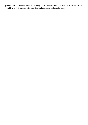painted stairs. Then she mounted, holding on to the varnished rail. The stairs creaked to her weight, as Isabel crept up after her, close in the shadow of her solid bulk.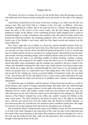## Chapter Eleven

The doctor was slow in coming. He was very far up the shore when the message was sent, and Isabel and Aunt Dorcas looked continually across the beach for the sight of his battered car.

Aunt Dorcas settled down in the house on the lane, waiting to see which way the tide was going to turn. She sent Uncle Seth to a relation on her own side—(a Wilkes)—with more confidence regarding his welfare, than if she had sent him to a Penney. She plodded up and down the stairs in the service of her cousin Emily, and the thin boards creaked to her ponderous weight. In the shadow of her comforting presence Isabel dropped from a world of tortured thought, to a realm of numbness and ceaseless work. She dared not think, and for the present she followed resistless, the sustaining guidance of her Aunt, who directed her into a decent care of her Mother's inert body, while her slim figure curved and strained over the large feather bed.

Mrs. Pyke's right side was as lifeless as a dead tree, and the dreadful contrast of the two sides tortured Isabel's eyes until she had to look away. She tried to stand so that she could only see one side at a time, and for choice she liked the paralysed one best. It was so smooth and free of wrinkles and the closed eye seemed to be resting in peace. She poured tea into the halfopen mouth, with the protruding tongue, and it trickled in brown stains out of the corner. Until the doctor came she spun in an unfeeling muddle of lifting, fetching, washing, cooking, baking, peeling, and scraping for the endless meals that had to go on. An unheard of pile of sheets and pillow-slips accumulated, and the washing was returned to the poor woman in the village who thankfully reclaimed her fifty cents a day. Isabel and her Aunt Dorcas had to take turns sitting up at night, and they watched through the silent hours in an old rocking chair, which was pushed close to a small black stove with sliding doors. Mrs. Pyke lay like a log, and except for the winking eye, and an occasional babble of incoherent words, she was dead to life. Aunt Dorcas did for her, and talked to her as if her cousin could understand: the only difference being that her deep voice flowed on in ineffable calm, without a continued grating interruption.

To Isabel the hope of Andalusia, and the memory of Peter Keen had receded to a world of distant dreams, and a realm of strange impossible things. But many times she looked through the Nottingham lace of the upper windows, for the sight of the doctor's car. She was strung to endurance for his verdict. Her Mother's death would solve her problem, but while there was calm and repose on one side of her face, there was no dissolution in the winking eye. With the memory of her Father's tranquil face in his coffin, she couldn't visualize her Mother in the same waxen peace. The other alternative she dared not name, but in the night by the black stove, with her eyes turned away from the feather bed, she thought in tortured channels. As her mind ran up this one, and that one, she seemed to meet a continual closing door. She might have known! It was the meaning of her last look into the pitiless eyes of the gull.

She would have liked to tramp the thin carpet in her Mother's room, but she forced herself to sit still in her chair, listening to the long moan of the wind, the raps on the clap-board and the sound of the waves breaking on the beach. She yearned to clarify her thoughts by a visit to her rock, and she chafed for her daily walk over the promontory. But at present there was no thought of leaving the house on the lane.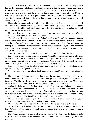The doctor arrived, grey and grizzled from many drives by the sea. Aunt Dorcas preceded him up the stairs, and Isabel crept after them, and crouched in the small passage, every nerve strained for the doctor's words. He said nothing until he came downstairs again and Isabel crept after them, and followed them into the dining-room. Aunt Dorcas sat in her Mother's worn velvet chair, and Isabel stole speechlessly to the stiff sofa by the window. Aunt Dorcas sat with her hands folded passively in her lap and questioned in her untroubled voice, 'well doctor, what do you think?'

He faced them square and tired with his hair falling over his forehead, and his clothes full of wrinkles. They looked as if he slept in them very often on people's stiff sofas, on kitchen settles, or in faded old arm-chairs. Isabel, waiting for his words, thought he looked worn and beaten like the old house on the Head.

He was a Scotsman and his voice was deep and pleasant. In spite of many years of windswept Newfoundland he had never lost his accent.

'Don't know, Mrs. Penney, can't say, it's hard to tell with Hemeplegia. Sometimes death occurs within a few hours, sometimes there's a slow improvement after a few weeks. Look for signs in the face and lower limbs. In this case the pressure is very high. Too full habit, too much pork and cabbage—might get better—might have another one—might be bed-ridden for years! Strong stock—great longevity! Quiet, care, light nourishment—that's all that can be done. I'll be back in a week.'

Aunt Dorcas followed him to the door and his old car shook him down the lane.

Isabel's stricken ears had retained one sentence. 'Might be bed-ridden for years.' The hope of Andalusia was dealt a mortal blow, and she drooped towards the kitchen. During the midday dinner she sat with her wide eyes unseeing. Without interest she scooped the centre out of a baked potato. Her Aunt's deliberate hands did the same thing.

Isabel looked through the bare branches of lilac towards the sombre sky, and then let her eyes rest on the placid figure of her Aunt.

'Aunt Dorcas,' she whispered in a dead voice, 'do you think Mother will be bed-ridden for years?'

Her Aunt slowly squashed a lump of butter into the steaming potato. 'I don't know, my maid. You heard what the doctor said. I've seen them get over a seizure, but the body is never the same. 'Twill be hard for you, my maid, but you must get constant help. Your Mother can afford it, with what will be saved off the food and now she'll have to eat light.'

Andalusia died within her! She knew that her Aunt already saw her Mother as a permanent invalid. Isabel's head drooped over her baked potato, and she looked ahead to a joyless routine of heavy service under the ceaseless scrutiny of the winking eye. She had a rebellious instinct to sweep the plates, and knives and forks aside with a wild gesture, but she asked quietly, 'Aunt Dorcas, do you think I could go out for a walk this afternoon?'

Her Aunt's voice agreed benignly, 'yes, indeed my maid. A breath of air will do you a sight of good. You can go th' once if you like. I'll clear away.'

'No, no, Aunt Dorcas, I'll do that, if you'll sit in Mother's room and tend the stove.'

'All right, my maid, and don't hurry back. I'll mind the kitchen fire and put the kettle to boil. We'll have a boiled egg and a bit of bread and butter. There was always a sight too much cooking in this house.'

Mrs. Penney moved away and creaked up the stairs. Isabel gathered up the dishes in mute surprise. It was the first time she had ever heard her Aunt make a remark that might be called criticism.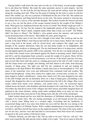During Isabel's walk down the lane and over the arc of the beach, several people stopped her to ask about her Mother. She made the same automatic answer to each enquiry, 'just the same, thank you.' As she trod the last lap between the road and the railway track she looked along the receding steel rails. What was the good of looking for the train to come in with her letter? She couldn't go: she was a prisoner in Helluland for the rest of her life. She rushed out over the promontory and flung herself down on the rock. The house seemed to welcome her, and release her to a survey of her desolate thoughts. She looked towards the horizon and tried to see a way out, but the doors of her escape seemed closed by the weight of her Mother's body. What good was Andalusia between the covers of a book? Her Mother might get well! A woman could 'do' for her, but she rocked to the implacable picture of the winking eye. Her Mother might die! Wasn't death, complete death, better than a body cut in half? 'The Wilkes didn't lie down to illness!' Her Mother's voice grated across her memory, and joined the recent pronouncement of the doctor. 'Bed-ridden for years, great longevity.'

Restlessly Isabel came to her feet with a thought in her mind. She would go and see the records of the dead Wilkes! Aunt Dorcas had told her not to hurry home. Before she went she took a long look at the house, with its closed doors, and windows like empty eyes. She thought of the summer afternoons when the sun had shone kindly on its dilapidation and turned the leaden windows to shining gold. The sky had burned above it in deep azure, and the sea had lapped against the granite cliffs in lazy quietude. Now the sky was damp and grey, the sea rolled with crested waves and dashed against the Head in booming sound. Isabel turned and left it, and her despondent body seemed to accept the weight of its gloom. Hurry left her feet and she walked slowly over the promontory, over the arc of the beach, past her own lane, past several other lanes until she came to a sloping graveyard on the side of a hill. Lonely and still the cheap stones rose straight, and slanting, and bent almost to the earth, from decaying mounds of damp grass. The light was dull but she wandered in and out looking for inscriptions to the dead Wilkes! Her Mother's family had come to Newfoundland in 1763, and many of the memorials were worn and obliterated from continued wind and weather. She peered and deciphered—ninety-four, ninety-two, eighty-nine, seventy-nine, seventy-six—(red spots leaped to Isabel's cheekbones)—ninety-four, ninety-two! Her arms dropped to her sides in the chill twilight and she sat desolately down on a strip of damp grass surrounding a clay mound. She dropped her chin in one hand and looked down the hill to the village. Blue wood smoke curled from nearly every chimney: coal smoke from a few. An occasional figure walked across the beach, with shoulders and head drooped to the wind from the sea. The chill November day had driven most of the villagers into their houses and Isabel imagined them all gathered in the warm kitchens, sitting round white scrubbed tables at an early tea. Her own people lived better than most and ate in the dining-room, like the wife of the storekeeper.

Isabel looked ahead and her eyes held the dreariness of Helluland without the gathering strength of its winter force. She was staring unseeingly, at an old mound several feet away, with a brown stone falling back at a crooked angle. Everything had the familiarity of accustomed things and it was some time before her eyes told her that she was staring at the sixty year old grave of Elfrieda Tucker. With a sudden abandonment of movement Isabel ran towards it, and threw herself face down on the neglected mound. The slant of the stone made a rest for her face, and her voice that had died to conversation when Peter Keen left, loosened its speech to the worn surface of the brown stone.

'Elfrieda, Elfrieda, you did what I did. Tell me what to do now? Tell me—tell me?' Her arms went round the flat slab and she tried to shake it for a reply. 'Your lover came in from the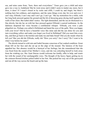sea, and mine came from, "here, there and everywhere." Yours gave you a child and mine gave me a way to Andalusia! But he went away and it didn't seem to matter any more, but it does, it does! If I wasn't closed in by rocks and cliffs, I could try and forget, but there's nothing here but coldness, and emptiness, and the same things every day for ever and ever. I can't stay, Elfrieda, I can't stay and I can't go, I can't go.' She lay motionless for a while, with her long body pressed against the ground and the bit of decaying grass drying itself against the walls of her chest. But Isabel didn't notice. The light diminished, and the sea air thickened to a fine drizzle, but she lay on with her face pressed against Elfrieda's scarred tombstone. As the darkness deepened her voice became a confidential whisper. 'Elfrieda, you were a pale pilgarlick too. Perhaps you called it Helluland and hated the eyes of the gulls. Were you happy with your lover? Did he have a beautiful voice like mine and did the sun shine for you and turn everything yellow and make you forget you lived in Helluland? Did you meet him every day, and then go back to the kitchen and make tea and bake bread? Did you die inside when he left you? But you did die Elfrieda, really die! Were you sorry? Am I sorry? Do I want to be what I was before he came?'

The drizzle turned to cold rain and Isabel became conscious of her soaked condition. Great drops fell on her face and she sat up on the edge of the mound. The lateness of the hour appalled her. Her absence would be a betrayal of her feelings, but she remembered that she was freed from the sound of her Mother's voice, and she was schooling herself to look away from the winking eye. Her Aunt Dorcas would welcome her kindly, offer to help, and warm her with the sound of her unchangeable voice. The thought of the heavy figure getting tea in the crimson-floored kitchen jerked Isabel to her feet. She picked her way out of the graveyard and ran all the way across the beach and up the lane.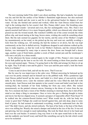### Chapter Twelve

The next morning Isabel Pyke didn't care about anything. She had a headache: her mouth was dry and felt like the surface of her Mother's flannelette night-dresses: her skin enclosed her like a hot sheath and she went to and fro to the galvanized bucket for dippers of cool water. All day she fetched and carried and worked, while her Aunt Dorcas rested from her vigil in the rocking-chair by her cousin's bed. Mrs. Penney didn't snore. Her breathing came in long profound sounds—unvaried and even, like her unchangeable voice. Mrs. Pyke's lost speech asserted itself above it in a more frequent gabble, which was silenced only when Isabel poured tea into the twisted mouth. She watched it dribble out of the corner towards the white pillow-slip, and stood staring at the long, brown stains, wishing she could do something about them. But the task seemed too gigantic for her inertia, and the sense of her Mother's weight lay mountainously on her mind, so she picked up the tray and went out, carefully avoiding a look from the winking eye. All morning she had the instinct to sit down, but she was kept continuously on her feet in dulled activity. Neighbours dropped in and relations walked up the lane to make inquiries, so that her work in her Mother's bedroom, and the crimson-floored kitchen, was interrupted by many trips to answer the door. Some one brought half a dozen eggs, another a pat of fresh butter, another a crock of black currant jam and the storekeeper's wife sent a red jelly in a china mould.

In the afternoon the house creaked again to the weight of Mrs. Penney's slow tread, and Uncle Seth puffed up the lane to see his wife. He stood looking at them from pouches round his eyes and seemed angry. 'Dorcas, I'm going back to the folks and arrange for them to sit up by night. They'll all take a turn and be glad to. Your eyes and this poor maid's, look like burnt holes in a blanket.'

'Come in and sit down Seth, and tell me the news. That'll rest me.'

But for once he was impervious to the calm voice. Without answering he buttoned up his coat over his portly stomach and let himself out to the pebbled walk. With a ponderous sigh Aunt Dorcas pulled herself up the stairs, and Isabel in a brief space of non-activity rocked dully by the kitchen stove. Later the minister called and his voice filled the dark hall with smooth piety. Aunt Dorcas took him upstairs to her cousin's room and Isabel went back to her rocking-chair, the lassitude of her body holding her from any extra effort. She rocked monotonously on the painted crimson canvas, listening to the drone of voices from the top flat. For a moment she had a vision of her Mother straining to interrupt them, but it slid off her mind as too sharp a thing to encompass. Once or twice she gave a fleeting thought to trains and travel, but that too slipped away. It seemed a prospect of impossible effort! Peter Keen? If he walked into the crimson-floored kitchen now? What would she do, with her body too weary to greet him? Perhaps she could rest herself against him, and sink deep, deep to some kind of peace. He had seemed to understand everything, would he understand how she felt now? She didn't know, and she stirred restlessly. The heat of her body or the heat of the black stove was stifling her. Wearily she raised a damper and looked at the size of the fire. It was red and glowing, but low enough to need replenishing. She took the black shovel in her hand and bent over the coal bucket. It seemed a long way from it to the open round hole in the stove, and she suddenly saw herself weary and bereft like something cast up by the tide which would never be reclaimed.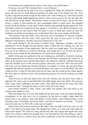The banister rail creaked heavily and her Aunt's deep voice flowed down.

'Come up, my maid. We're going to have a word of prayer.'

As Isabel crawled up the stairs, hot waves engulfed her. When she entered her Mother's room, she saw the two black figures in position on either side of the feather bed. Mrs. Pyke lay like a log between them except for the restless life of the winking eye. Aunt Dorcas knelt with her large hands folded against her massive chest, and as soon as she saw her niece her lids fell heavily on her cheeks. The minister looked at home on his knees, and as if he were always a master in that position his eyes commanded Isabel to kneel down. She dropped hastily beside her Mother's wash-stand. It had a marble strip standing upright against the wall, and Isabel wished she could put her face against it. It looked so cool. But the minister's eyes were closed and he had thrown back his head. A crest of black hair reared up from his forehead, curved like an incoming wave on the beach. His voice came rapidly and fluently.

'Oh Gracious Lord and Father, Thou who hast seen it incumbent on Thyself to burden thine handmaiden with this heavy blow, grant that she may be given grace to bear her affliction with meekness, humility, and sweet submission to Thy will—'

The words whirled to the hot centre of Isabel's brain. 'Meekness, humility, and sweet submission?' In the thought that the minister hadn't looked into the winking eye, she lost several fluid sentences of the supplication. But her mind was caught again. 'Give her grace from out of her affliction to count her blessings, and though she is cut off from all activity, teach her to give thanks for the ministrations of a kind and loving daughter—'

Isabel's wide gaze was gathered to the one winking eye, and held in frustrated contempt. When it dismissed her to fasten on the minister, she felt limp. Fascinated she waited for its effect on the praying voice, and the black figure. No sealed eye could be sufficient protection from the dreadful scorn of the one-eyed glance! One-eyed, one-eyed? Who was one-eyed? Her brain was hot behind her burning forehead. Coveyduck of course, the one-eyed ship's carpenter. She had the impulse to rise from her knees and walk out over the Head. The wind would cool her, sweep the hair back from her hot face, and she would put her cheek against the rock, and let it whistle over her. One kneeling leg started to rise, but the praying voice held her again.

'And oh Lord, as each day passes from time into eternity, may she grow more ready to approach Thy mercy seat: to put behind her all earthly things and come before Thy presence with a song, where suffering is no more, where "they shall run and not be weary, they shall walk and not faint". Through the mercy of Jesus Christ Our Lord, Amen.'

Aunt Dorcas breathed a deep 'Amen', but Isabel rose quietly, and went down to the rocking-chair without a word.

When the lamps were lit Uncle Seth puffed up the lane again, with Aunt Maria Benjamin triumphantly by his side, and a list of volunteers for the next six nights. Isabel heard the names from a vast distance. Aunt Julia Wilkes, Cousin Emma, Annie Maude Penney, Lydia Rumsden, Susie Cruikshank, and Jessie Tibbo. Aunt Dorcas smiled at her kindly. ' 'Tis good news my maid: now we'll be able to take our rest regular.'

Isabel went to bed without making tea. She didn't wash, she didn't rub in any olive oil, she didn't even light the kerosene lamp. She dropped her clothes in a heap and crept under the honeycomb spread. The wind was rising and beat the lilac and syringa hard against the clapboard. The windows rattled and draughts blew over her head but they did nothing to cool it. All night she tossed in a restless fever, and woke ceaselessly to hear the wind and the sea, the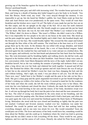growing rap of the branches against the house and the creak of Aunt Maria's chair and Aunt Dorcas's profound breath.

The morning came grey and chill with increasing wind. The wooden house quivered in its blast, and lying in a sheath of burning skin Isabel longed to give her body to its breath. 'You look like Boreas, North wind, any wind.' The voice strayed through her memory. It was impossible to get up, but she heard her Mother's gabble, her Aunt Maria creak up from her chair and Aunt Dorcas turn over ponderously in the spare room. They would all want their breakfast and the kitchen stove wasn't lit yet! The habit of years made her put her feet out on the thin carpet, and she sat upright on the edge of the bed. All at once her teeth clattered together and a sharp pain stabbed her side. Her breath caught on a gasp and she put her hand over her heart. She knew she was ill, but with what? Her Mother's eye winked in her mind. 'The Wilkes' didn't lie down to illness.' She wasn't a Wilkes: she didn't want to be a Wilkes, but it was impossible for two people to be sick in one house at the same time. She stood up and the pain caught her again. She breathed lightly and it didn't hurt: she breathed deeply and the blood ran over her face. She would breathe lightly! She crossed the thin carpet and looked out through the blue white of the stiff curtains. The wind beat at the bare trees as if it would gouge them up by the roots. In the distance the sea rolled with savage abandon, and licked greedily up the deep indentations of the beach, like a row of foam-flecked tongues. Isabel shivered again but she washed her face and hands in icy water and put on a knitted dress. She was hot again, and recklessly wet her hair-brush and plastered her hair back from her burning face. She went downstairs and by breathing lightly and walking slowly she did her work, and lingered in the kitchen while the others ate their breakfast. Aunt Dorcas's deep voice came in low conversation while Aunt Maria Benjamin told the news of the night. Isabel didn't eat any breakfast herself, but as she was washing the remains of porridge and molasses from a soup plate a long shiver ran over her body and clattered her teeth together. It passed and left her limp. She finished her dishes. She would go upstairs and tell Aunt Dorcas she was ill and go to bed, but as she entered her Mother's room her Aunt was busy changing the bed, and she said without looking, 'that's right, my maid, I was just about to call you. You lift that side. There now, easy!' Isabel bent to her Mother's weight and the pain in her side cut her like a knife. She gave a deep gasp and the quick unguarded movement to get her breath brought her Mother's winking eye within a few inches of her face. It seemed to taunt her for the weakness of her body and when she could, she left the room without giving voice to her illness. She went into her own bedroom and closed the door. Listlessly she made the bed and tidied the room. With the wind howling in her ears and the misery of her body, desolation swept over her. A sob tore up through her body but it met the pain in her chest and the tears streamed over her face. The relief of crying was diminished by the extra strain on her breathing, and she strained to control her gasping sobs. Her throat worked until it held a hard pain, and when she was quiet again she went over and rested her forehead against the black backs of Washington Irving. Motionless she stood with her eyes closed and breathing so lightly that the pain was not reached. Confused and fevered, memory washed over her. Andalusia was under her forehead! She would be patient and wait. Peter Keen had told her that nothing lasted, everything changed, and no one note was struck for ever. She would remember! Soon she would pass out of this. The fever and misery of her body would leave her, something would be done about her Mother, and she could go to Andalusia where the wind was kind to growing things and the sea didn't strain to lick everything off the shore. There would be sun, gaiety, lightness, and love and the caress of soft voices. Drearily she ached for Peter Keen until her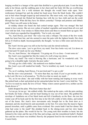longing swelled to a hunger of the spirit that distilled to a great physical pain. It met the hard ache in her throat, and the stabbing pain in her chest until her body felt like an overflowing container of pain. For a wild moment she thought she would burst wide open. Now restlessness besieged her and she jerked her head away from the black books. She couldn't rest in bed where thought leaped up and tortured her. She must work, wait, forget, and begin again. For a second she flicked her burning face with the icy face cloth and ran the comb through her hair. What did they have for dinner yesterday? Turnips and potatoes and fatback pork! There was still some in the house.

At midday dinner she found she had cooked turnips again. That was strange! She had meant to have carrots. She sat over a plate of mashed vegetables and turned them all over and over with her fork. Four strokes to flatten them down and three to mound them up again. Her Aunt's kind eyes regarded her thoughtfully. 'You're sick, my maid.'

'No, Aunt Dorcas, just tired.' Her voice was only a whisper. The strain of the few words made her heart beat fast, and she seemed to meet the pain with the lightest breath. Her chest felt as if it held no depth. Inconsequentially she thought, 'we have a little sister and she has no breasts.'

Her Aunt's bovine gaze was still on her hot face and she stirred restlessly.

The slow voice came, 'you've got fever, my maid. Your face looks very red. Lie down on your bed and I'll watch out for your Mother.'

'No, no, Aunt Dorcas,' she whispered. 'I'm going out. It's so close—I want some air.'

Her Aunt's eyes regarded her like the waters of a well a long way down.

'Close, my maid? The wind is blowing like a hurricane, and 'tis wonderful cold. 'Tis going to be a dreadful night. God pity the poor sailor.'

'I'll only go for a little while,' she muttered over shallow breath.

Her Aunt's eyes still studied her kindly. 'You're troubled, my maid. I can see it. Is it your Mother?'

'No, no it's nothing Aunt Dorcas. I'm just tired and I've got a cold.'

But the slow voice protested. ' 'Tis more than that, my maid. If you've got trouble, take it to the Lord. His love is all around us. 'Tis His love that we need, my maid—'

'No, no let me alone,' she said wildly with her heart running and leaping at every word. She jerked back a chair and picked up her untouched plate but her Aunt's voice held her. 'Yes, 'tis love we need my maid, the love of God. "Many waters cannot quench love, neither can the floods drown it."

Isabel dropped the plate. Who knew better than she?

'Let me go, let me go,' she sobbed wildly. She rushed up the stairs, with the pain catching her breath, her body a flame, and her heart beating its way out of her chest. She grabbed the envelope of Andalusia out of her black book and left it heedlessly on the floor: she tore her winter coat off its hook and for the first time in her life left a table of dirty dishes, and rushed out of the house. Her Aunt's slow movements only brought her to the front door as it slammed, and she stood heavily and uncertainly on her feet. For some time the massive figure paused irresolute, until a gabble came from overhead. Her cousin hadn't had her dinner. But what had come to the maid? She plodded back to the dining-room and her slow hands gathered up the plates. She would let her be. The young took their troubles to heart, but she listened to the wind, and the rap of the lilac and syringa, and she remembered Isabel's flushed face and her own heart was troubled. Heavily she prepared food for the twisted mouth of her Cousin Emily.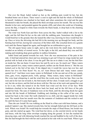## Chapter Thirteen

Out over the Head, Isabel rushed as fast as the stabbing pain would let her, but she breathed better out of doors. There wasn't a soul in sight and she had the whole of Helluland to herself. Andalusia was clutched in her hand, and when sometimes the wind and the pain threatened to take her breath, she placed the thick envelope across her mouth. The sea was like thunder in her ears, and pounded against the granite cliffs, and where she could see it breaking across the Bay, it leaped in white foam towards the black heads, to drop back to the churning waves beneath.

The wind was North East and blew from across the Bay. Isabel walked with a list to the right, and the full blast hit her on the side with the stabbing pain. Sometimes she thought it would bend her to the ground, then she leaned the other way, knowing its force would bear her up. Once or twice the shivering she had felt in the morning tore up through her body, and the burning heat left her, leaving her conscious of the bitter chill. She crouched down on a granite rock until the flames lapped her again, and brought her an exhilaration to go on.

The old square house came in sight, and as she went down the small slope, the horizon receded on an infinity of crested waves. To the right, to the left, and ahead they rose and fell, making and remaking deep green gulches in endless formation.

Isabel listed and panted towards her rock. Now she was unconscious of the pain in her side. A bird had entered her chest and was straining to get out! It beat its wings inside her and pecked with its beak at her chest. It was the gull! She ran on to shake it out, but the bird flew on inside her. She ran faster. It must leave her and fly out to sea. So much sea! 'Many waters cannot quench love, many waters cannot quench, neither can the floods drown it.' But the sea looked cool to the feel of her skin. If she dipped into it would the waves lap over her, and drown her love for Peter Keen? No, no, no! Aunt Dorcas had said 'many waters cannot quench love!' And there were many waters in Helluland: in the sea and out of the sea: ponds, arms, guts, rivers, stagnant pools, wells, springs. 'Many waters, many waters in Helluland!' Her voice kept whispering it, and the wind blew the words away from her lips. Here was the rock and in her last run towards it, the bird nearly left her chest. It made such a struggle to get out, but she sat down, and the bird sat down with her. She tore at her neck and opened her coat to let it out, while she turned to let the North East wind cool the fever of her face. With Andalusia clutched in her hand she threw back her head, and let the full force of the gale assault her body. The suns of Andalusia were on her flesh, until the shivering shook her again and she felt the breath of Helluland. Grabbing and clutching at the collar of her coat, she turned her back to the wind. Her teeth chattered in icy chill, and she sagged inside her cloth coat. The sounds from her mouth were like the castanets of Andalusia and she rocked to and fro until the heat of it came back again.

Then she saw Josiah! He was walking on the Head in a blue coat with brass buttons, and a peaked Captain's cap. She started towards him, but her strength failed and she fell back on the rock. Where was Josiah? He would help her towards the steps of Head House, but Josiah was gone, and she started up again. The wind beat her down, so she crawled slowly on her hands and knees, with the long white envelope scraping along the ground. At last she reached the decaying steps, and with labouring breath reached the top and huddled in the well of the door. But she had brought the bird with her and it pecked at her side with its cruel beak. When it got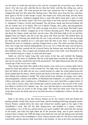out she knew it would turn and look at her, and for a moment she covered her eyes with her sleeve. Now she was cold: cold like the ice from the North: cold like the rolling sea, cold as the eyes of the gulls. The wind pierced her thin coat, turned her feet to lumps of ice, and whipped her hair into thin strips like flicking wires. They blew away from her face, and blew back again to hit her in thin streaks of pain. Her hands were white and dead, and she thrust them in her pockets. Andalusia dropped down a step! She didn't heed until a gust of wind moved it with a dry husky sound. The fever came back to her body and she swooped towards it. Andalusia! Cordova, Seville and Granada! The old house shook and shivered behind, but she sat warmly now in its shelter. She was in Spain! Orange, olive, palm, and pomegranate! How much money had she left? The white envelope was heavy in her hand. She hadn't spent much. Eighty-five dollars, wrapped up in her Chinese dressing gown! With a quick gesture she thrust her fingers inside and drew out the notes. She held them high in the air and they dripped from her fingers and fell in her lap, green and fresh and flat. She picked them up again. Granada! Glowing and ardent like the sun. Long convulsive shudders tore up through her body, and she doubled up to a wild peck from the bird in her chest. A hacking cough fluttered the notes of Andalusia, and they flopped down a step. The white envelope left them with a dry scrape and whirled independently out to sea. For a while the notes moved heavily in a lump, until they reached the bit of gravel below the bottom step, and then they all went their different ways. They scraped and scratched and stuck to the scrub: were liberated by the wind, whirled along for a space, to catch and stick again.

Isabel sat with her hands lying like cold stones in her lap, and watched the flapping movements of the notes of Andalusia. But the wind urged them towards the edge of the cliff, and one by one they reached the end of the promontory! The light dimmed and only the white crested tops of the waves were visible.

Then Josiah came back! She called to him and her voice came over a curious rattle, but he turned his head and started to walk towards her. The light went, the notes of Andalusia took their last flutter in the dark, the sea was a sound instead of a sight, the wind rushed across the Head, pushed past the house, which rocked and shook at her back, but she still crouched at its door talking and croaking to Josiah! The wind carried away whispers of orange, olive, palm, and pomegranate, calumus and saffron, of Helluland and Andalusia, of a gold tissue dress, of yellow-eyed gulls, and a winking eye, of Headman's Cove, and a head like a copper kettle. In a voice with a curious rattle, and a breath that could be heard above the screech of the wind, she talked to Josiah in his Captain's cap. The voice that had died to conversation when Peter Keen left her, gave its secrets to the savage night. The wind tore them away from her lips, swept them across the Head, and out to sea after the notes of Andalusia! Cordova, Seville, and Granada.

Back in the house on the lane Dorcas Penney sat by her cousin's bed and clicked her knitting-needles. Emily Pyke dozed on her back, and her breathing held long strangled sounds. Dorcas Penney creaked down the stairs and clicked her needles again in the sight of the Grandfather's clock. She left the dark dining-room, and plodded to a pantry window, commanding a view of the sea, and her brown eyes grew troubled. She stirred the fire and put on the kettle, and when the light faded she lit the kerosene lamp, and its glow turned the crimson floor to dusky red. With the lamp in her hand she went into the dining-room and held it high to the face of the Grandfather's clock. Fifteen minutes after six! The heavy head rolled sorrowfully, and the massive bulk went back to the kitchen. As fast as her slow-moving body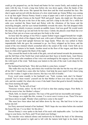could go she prepared tea, cut the bread and butter for her cousin Emily, and creaked up the stairs with the tray. It took a long time before she was down again, when the hands of the clock pointed to after seven. She opened the front door and the wind assaulted her face. She shut it again and moved with the decision of a slow mind made up. Emma Wilkes was coming to sit up that night! Dorcas Penney found a scrap of paper and a stub of pencil and wrote a note. She might pass Emma on the beach! Well and good! Again, she might not. She placed the note on the flat post at the foot of the stairs, and left a lamp in the hall. For a while her calm eyes watched the flame bend and flicker with the vibrations of the house and the encircling draughts, and her eyes turned doubtfully towards the stairs. Her lids dropped while her lips moved, silently in prayer, towards an audible Amen. God was good! He would watch the lamp, as she had to go out and look for her niece. Calmly she placed a neat black hat over her bun of hair, put on a loose coat and gave her body to the wind.

An hour later the springs of Joe Perry's square bodied wagon sagged beneath her weight. She took up the whole of the slippery back seat, with a pair of blankets across her knees, and a dusty bottle of port held upright between her large hands. When she was settled in black imponderable bulk she gave the command to go. Joe Perry whipped up his horse, and the sound of the iron rimmed wheels scrunched above the sound of the wind. Uncle Seth sat in front holding a lantern in his hands. Another stood on the floor of the wagon, and threw their faces in white relief against the black of the night.

They crossed the beach in the teeth of the gale, curved and turned towards the promontory, and the full blast of the North East wind rushed past their faces in hostile haste. Aunt Dorcas directed, and the calm roundness of her voice was unchanged by the urgency of her search, or the wild touch of the wind. 'Seth keep your lantern to the side of the road. Look sharp for the poor maid.'

Her husband bawled back. 'How did you think to come here, woman?'

'She walks this way by day, and where else would her feet take her but the way she's gone all her life? I should have come after her before. God help the poor maid if she's been lying out in this weather. I ought to have known. Her face was full of trouble.'

Every word came roundly to her husband's ear. 'Tush, woman, tush, don't be blamin' yourself. You've been wearin' yourself out for that Mother of hers ever since she was taken sick, and she wouldn't be where she is now if she hadn't been that good to herself, feeding her face from morning till night.'

'Hush, Seth. 'Tis the will of God.'

'Nonsense woman, unless 'tis the will of God to shut that carping tongue. Poor Bella. It must be sweet to her, her Mother's silence.'

'Hush, Seth, we mustn't question. The ways of the good God are inscrutable and strange.'

'Too strange, on a night like this, woman. I've never seen it worse at sea. There'll be trees and fences down to-night. Wonder what could have come to the maid?'

'She must have been taken bad and fallen down by the way. She had fever in her eyes before she left.'

Joe Perry answered instead of her husband. 'Well I hope she was taken before she reached the house Ma'am. I've no likin' for this drive.'

Dorcas Penney's voice spoke to the back of his neck with implacable calm. 'Let fear lend wings to your horse, Joe Perry, and I'll not mind your feelings.'

The oracular voice induced silence and instinctively he flicked the back of his labouring beast. Uncle Seth peered to right and to left with the lantern held high in his hand. Aunt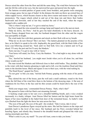Dorcas raised the other from the floor and did the same thing. The wind blew between her lids and she felt the cold on her eyes, but she narrowed her gaze and peered into the night.

The lanterns revealed patches of gaunt scrub, loose boulders, and granite rocks emerging from scraggy grass, but no sign of Isabel. In the distance the dark sea threw up crested lines of white-capped waves, which became clearer as they drove nearer and nearer to the edge of the promontory. The wagon wheels jolted in and out of the deep ruts and threw their bodies backwards and forwards, until at last they reached the end of the track, when the wagon stopped with a sudden jolt.

'This is where I stop ma'am. I've got to mind my horse.'

Joe Perry looped the reins around the carriage lamp and leaped out to the uneven track.

'Help me down, Joe Perry.' And he gave his hand obediently to the heavy descent. As Dorcas Penney dropped from one side, her husband dropped from the other and the wagon rose perceptibly in height.

The wind made free with their garments and struck on their flesh with an icy breath.

'What do we do now Dorcas? She's not here.' The lantern gleamed on the pouches of his face, as he lifted it to speak to his wife. Implacably she gazed back, with the black folds of her loose coat billowing around her. 'Seek until we find Seth. Give me a lantern and we'll go ahead. I'll carry the port and Joe'll carry the blankets.'

'Sorry ma'am, I've got to stay with m' horse.'

'Your horse will stand, Joe Perry. Carry the blankets. 'Tis a bad night to stay alone with all your fears.'

'Yes,' bawled her husband, 'you might meet Josiah when you're all alone Joe, and then where would you be?'

The man seized the blankets and followed close to their solid bodies. They plodded, listed to the wind, with their lanterns gleaming to right and to left, over the trackless Head until they came to the desolate house. Black and square it rose to their eyes, with the wind rushing by.

'The Head House!' gasped Joe Perry.

'Tis not goin' to bite you man,' bawled Seth Penney gasping with the strain of his portly weight.

They skirted the rear of the house, past the well and a small outhouse, round to the front where the full blast of the wind blew them to the bottom of the decaying steps. A flat note of Andalusia hit Joe Perry in the face and his thin scream could be heard above the roar of the wind.

'Hold your tongue man,' commanded Dorcas Penney. 'Hark, what's that?'

She paused to listen with her black coat streaming forward.

A hacking cough came to her ears over a dreadful bubbling breath, and a voice croaked incessantly in a husky whisper. Aunt Dorcas lifted her lantern and the high beam found the figure of her niece huddled in the faded front door of the tormented house. As Isabel's wide eyes flinched from the light she threw her arm across her face.

'The eyes of the gull, the eyes of the gull,' she croaked. 'Take it away, take it away.'

Aunt Dorcas's ponderous figure swayed up the stairs. She laid her lantern on the steps and painfully knelt to the level of her niece. Her husband and Joe Perry crowded behind her kneeling figure, and silently they listened to the dreadful breath and glimpsed the wide eyes staring unseeingly past them.

'What's come to you, my maid? 'Tis your old Aunt, come to take you home.'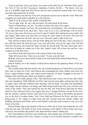'Time to go home, time to go home. Got to put on the kettle for tea. Good-bye Peter, goodbye. Now it's for ever but I'm going to Andalusia, Cordova, Seville—' The husky voice was lost in a dreadful cough and Aunt Dorcas put her arms around the racked body, but it threw her aside and strained for its breath.

Dorcas Penney rose heavily to her feet and spread out her coat to take the wind. When the coughing was spent Isabel crumpled up in the doorway.

'What'll we do, Dorcas? She sounds wonderful bad.'

'You're right, Seth. We can't take her home. We must break in the house.'

'Break in Head House, ma'am. 'Tis better to chance the ride in the wagon.'

'That's quite enough, Joe Perry. We need help now, not hindrance. You and Seth go round to the back and break in the back door. There's sure to be a stove and perhaps a bit of wood. 'Tis not so long since the house was lived in and it's better than risking the poor maid's life any further. Make haste now and when you break in, come round to the front. Pull from the back and I'll push from the front, but easy now! The poor maid is right in the way.'

They left her in black silence with her body filling the well of the door. Above the howl of the wind she heard the back door give way, and when they were on the other side, with the front door between, she leaned her body towards the inward pull. The door burst open and a cold wave of damp air rushed out in her face. Isabel's body fell at their feet and her voice croaked on to the dirty floor.

Aunt Dorcas bent and raised her to the massive bulk of her bosom.

'Seth, lift her poor feet. There now my maid. 'Tis just your old Aunt.'

With her Aunt at her head and her Uncle at her feet Isabel Pyke entered Head House.

Chapter Fourteen

Dorcas Penney sat in the kitchen of Head House between the guttering flame of the two murky lanterns.

The wooden chairs that had stood in the sun to hold the pictures of Isabel Pyke now joined their seats to make her a bed. Aunt Dorcas had commanded the shiny leather seats from Joe Perry's square-bodied wagon, and Isabel tossed restlessly on them, wrapped in the pair of blankets with Aunt Dorcas's black coat folded to a pillow.

The rusty stove held a gleam of fire. They had found some wood, a bit of coal, and a blunt and rusty tomahawk. With difficulty Joe Perry had cleaved some splits, and because they had no paper Uncle Seth had whittled some shavings with his knife. The splits had smouldered and caught, but the chimney was damp, and Isabel nearly hacked her life away with the extra strain of the smoke. They had carried her into the hall, and Aunt Dorcas had kept her there, until Joe Perry had gone back to his wagon. Her niece's strange delirium was not for his ears! But the chimney warmed, and her Aunt and Uncle carried her back to the kitchen and placed her on the bed of wooden chairs. Now Uncle Seth had followed Joe Perry, and they were jolting back to the village to collect food and fuel, linseed meal and muslin, clothes and bedding, saucepans and kettles, and to send Isabel's wash and scrub woman to stay, up in the house on the lane.

Dorcas Penney dug at the damper of the stove with a bit of stick, and tended the fire with what fuel she had. The bottle of port stood warming on the fender in front of the rusty bars, and every now and then she poured a few drops between Isabel's talking lips.

The wind pushed at the house and rushed past, until another gust crouched for a minute's lull, and then pounced with a new violence to sweep it out of its path. Because it couldn't roar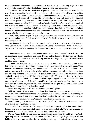through the house it clamoured with a thousand voices at its walls, screaming to get in. When it dropped for a second's lull it whistled and wailed in tormented frustration.

The house strained on its foundation of granite stones, and threatened to leave it with every blast of wind. But Josiah and Coveyduck had built to last, and Aunt Dorcas blessed the tale of the hammer. She sat close to the side of the wooden chairs, and watched the wide-open eyes, and feverish cheeks of her niece. Her incessant husky voice had revealed and repeated most of her golden happiness and autumn desolation, mixed up with the Song of Solomon, and strange countries called Helluland and Andalusia. Aunt Dorcas's sorrowful ears received the story in profound calm, but she talked tranquilly to her niece in her deep voice which seemed to soothe and quiet her. Isabel kept trying to get off her chairs and her hot hands beat themselves against the wooden rungs. She was restrained only when her Aunt spoke to her, so the two talked to the wild accompaniment of the wind.

'Look, look, there's a gull—a gull with yellow eyes. It's looking at me.' Her arm was thrown across her face. 'Take it away, take it away.' The husky voice tried to scream and died to a strangled croak.

Aunt Dorcas lumbered off her chair, and beat the air between the two murky lanterns. 'Yes, yes, my maid, I'll drive it out. There now! 'Tis gone. Lie down and let me cover you up. 'Tis your old Aunt that's watching. Nothing can hurt you, not even the gull. The love of God —'

'Many waters cannot quench love, many waters cannot quench love—' The voice went on in maddening husky monotony, and Aunt Dorcas sighed heavily. 'Neither can the floods drown it my maid.' But the voice took that up and her Aunt began to pray until Isabel's voice died to a husky whisper.

'O God, heal the poor maid. Lay not this sin at her door. 'Twas the fault of her elders letting her work away with nothing to enrich her life. Man cannot live by bread alone. Thou knowest that O heavenly Father, and she was raised without love. Save her O Lord that I may not reproach myself for the rest of my life. I let her go rushing out, with the fever in her face and her lungs bursting with sickness—' A gust of wind nearly shattered the house and Isabel strained to leave her chairs with her eyes wild and black. 'There, there, lie down my maid. 'Tis only the wind.' Isabel quieted and the black figure sagged back on its chair, while the deep voice whispered on. 'O Lord, be merciful to-night to those that go down to the sea in ships and do business in great waters. Remember the sailor's prayer, O Lord be good to my boat, the sea is so wide and my boat is so small—'

Isabel was coughing her life out, and her face was turning blue.

With the bottle of warm port in her hand her Aunt leaned over and raised her to her massive bosom. But the face with the Slavic cheek bones had turned deathly pale, and the port ran down in a long red stain. She propped the bottle against the back of a chair and put a large thumb and finger on Isabel's wrist. 'Poor maid your heart is running out.'

Isabel's wide grey eyes focused on her for a second. 'Aunt Dorcas's voice Peter. 'Twas always kind, so deep, Mother's voice—'

The faint husky whisper trailed away and her head slumped against her Aunt's black bodice. She tried the port again but it ran out in the same red streak. There was no sound of the laboured breath. Isabel's heart had run out! The gull had left her breast!

Dorcas Penney held the limp body for some minutes, gazing into the sightless eyes. Wide open they looked back at her with an emptiness of life. With two large fingers she pressed and held the lids down, until the black lashes rested in a dark segment on the Slavic cheek bones.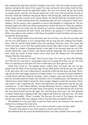She composed the long body and laid it straight on the chairs. Then she sat between the murky lanterns waiting for the return of the wagon. Two tears ran heavily down either cheek but they flowed unregarded towards the high black bodice. Her eyes were closed, and her lips moved in constant prayer, until her ears became impervious to the roar of the sea and the screech of the wind. Solid and withdrawn she prayed silently with moving lips, until she heard the creak of the wagon and the scrunch of the wheels. Before she left the Head she let herself out for a breath of air. As she lumbered down the mouldering steps, her eyes contracted in their heavy shadows, but her massive chest expanded to receive long draughts of windswept air. The sea pounded against the cliffs and rolled mountainously towards the horizon. When the stuffiness of the kitchen was out of her nose she turned to go, and saw something green fluttering at her feet. Without amazement she bent wearily and picked it up, gazing at it with brooding eyes. With a slow glance at the windows of the house she pushed it inside her bodice and once more mounted the decaying steps.

Her Aunt brought Isabel across the beach, past her own lane, over the rail way-track, and into her own small parlour. It was evening before she lay long and still, clothed in her Sunday dress, with her smooth hands folded across the smocking round her waist. The Aunts and Uncles had made a posy from their potted plants and the pale hands loosely clasped a single rose, folded in a clump of drooping fuschia. In the light of the kerosene lamp the red of the fuschia looked like a spot of blood. Aunt Dorcas held the lamp high. She was alone with her niece while the sound of many muted voices came from the dining-room. Her profound whisper filled the silent parlour.

' 'Tis just you and me, my maid. They'll never know. You won't go down like Elfrieda. You both met love and took it, and perhaps where you're going she'll bear you up. The Lord bless you and keep you and cause His Face to shine upon you. Rest quiet my maid.'

Isabel Pyke rested on. The pendant lustres winked above her head, and sent out gay gleams from the flame of the kerosene lamp, but her black lashes with brown tips were sealed to life and colour. Her Aunt walked heavily around the coffin and laid down the lamp. With a sigh she sat down and sagged inside her wrinkled clothes. For a moment her hands fumbled in a small drawer until they found an envelope, a piece of paper, a pen, and a bottle of ink. Only then she searched inside her bodice and extracted a bit of crumpled green. She flattened it out with her heavy hand, folded it inside the sheet of paper, slipped it inside the envelope, licked, and sealed it with a ponderous fist. Slowly and laboriously she addressed it and the fine pen scratched out, 'To the Chinese Millions, Foreign Missionary Society, London, England.' With the envelope in her hand she left Isabel alone in the parlour. In the dark hall she put on her hat and coat and let herself out into the night. The wind had gone down and a few stars gleamed overhead, behind dark scudding clouds. She stopped and looked up with tired eyes. The thick lips murmured audibly, 'When I consider Thy Heavens, the work of Thy fingers, the moon and the stars which Thou hast ordained: what is man that Thou art mindful of him?'

She plodded on to the post-office to post her letter, and as she returned to her home her husband was waiting at the storm-door.

'Dorcas woman come in and rest. You've done it all and it's time you had a spell.'

'Yes Seth I'll be glad of a rest. Send someone to Emily and I'll go to bed.'

Her husband drew her across the threshold and her own stairs creaked to her tired weight.